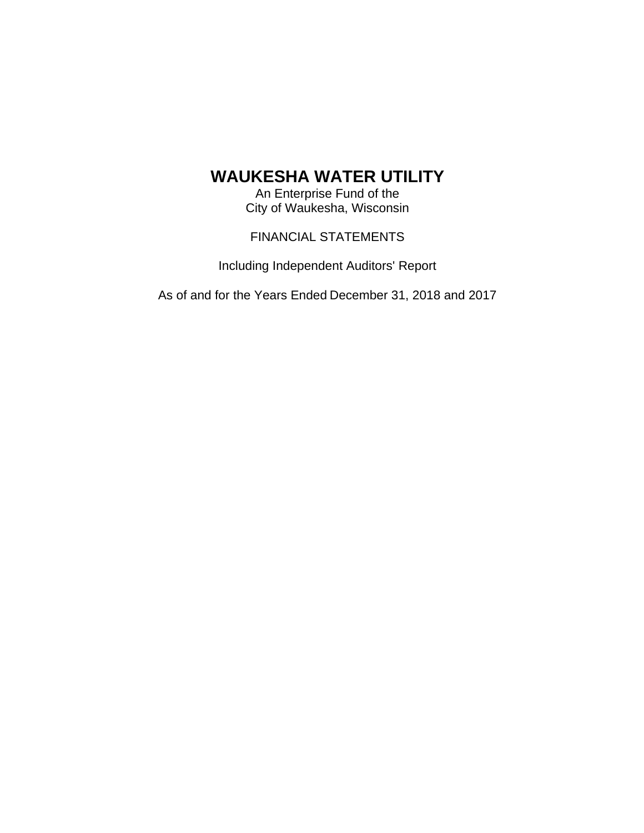An Enterprise Fund of the City of Waukesha, Wisconsin

FINANCIAL STATEMENTS

Including Independent Auditors' Report

As of and for the Years Ended December 31, 2018 and 2017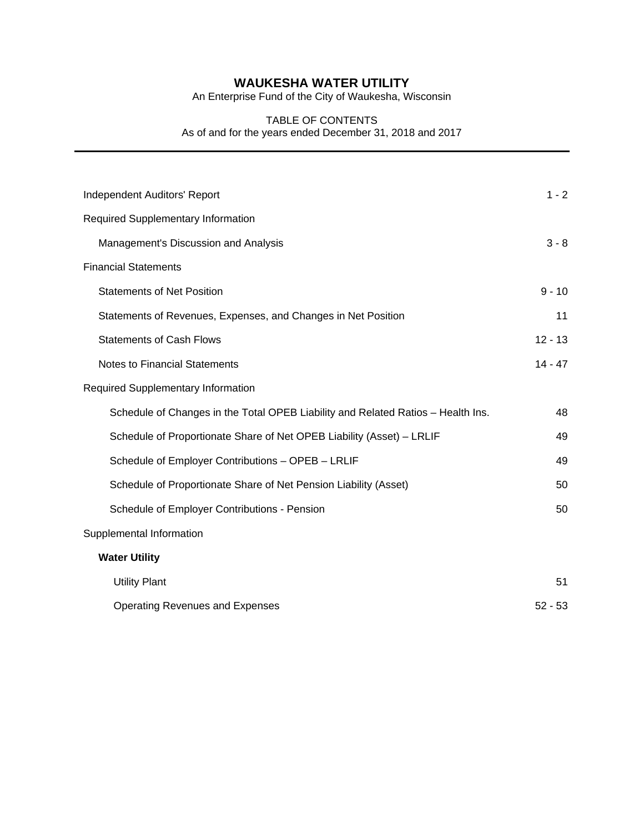An Enterprise Fund of the City of Waukesha, Wisconsin

### TABLE OF CONTENTS As of and for the years ended December 31, 2018 and 2017

| Independent Auditors' Report                                                     | $1 - 2$   |
|----------------------------------------------------------------------------------|-----------|
| <b>Required Supplementary Information</b>                                        |           |
| Management's Discussion and Analysis                                             | $3 - 8$   |
| <b>Financial Statements</b>                                                      |           |
| <b>Statements of Net Position</b>                                                | $9 - 10$  |
| Statements of Revenues, Expenses, and Changes in Net Position                    | 11        |
| <b>Statements of Cash Flows</b>                                                  | $12 - 13$ |
| <b>Notes to Financial Statements</b>                                             | $14 - 47$ |
| Required Supplementary Information                                               |           |
| Schedule of Changes in the Total OPEB Liability and Related Ratios - Health Ins. | 48        |
| Schedule of Proportionate Share of Net OPEB Liability (Asset) - LRLIF            | 49        |
| Schedule of Employer Contributions - OPEB - LRLIF                                | 49        |
| Schedule of Proportionate Share of Net Pension Liability (Asset)                 | 50        |
| Schedule of Employer Contributions - Pension                                     | 50        |
| Supplemental Information                                                         |           |
| <b>Water Utility</b>                                                             |           |
| <b>Utility Plant</b>                                                             | 51        |
| <b>Operating Revenues and Expenses</b>                                           | $52 - 53$ |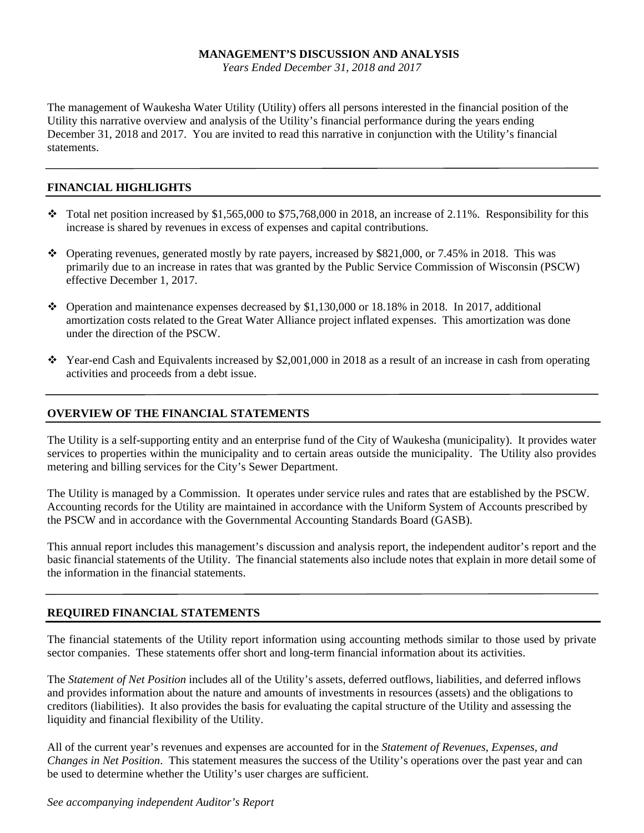*Years Ended December 31, 2018 and 2017* 

The management of Waukesha Water Utility (Utility) offers all persons interested in the financial position of the Utility this narrative overview and analysis of the Utility's financial performance during the years ending December 31, 2018 and 2017. You are invited to read this narrative in conjunction with the Utility's financial statements.

### **FINANCIAL HIGHLIGHTS**

- Total net position increased by \$1,565,000 to \$75,768,000 in 2018, an increase of 2.11%. Responsibility for this increase is shared by revenues in excess of expenses and capital contributions.
- Operating revenues, generated mostly by rate payers, increased by \$821,000, or 7.45% in 2018. This was primarily due to an increase in rates that was granted by the Public Service Commission of Wisconsin (PSCW) effective December 1, 2017.
- Operation and maintenance expenses decreased by \$1,130,000 or 18.18% in 2018. In 2017, additional amortization costs related to the Great Water Alliance project inflated expenses. This amortization was done under the direction of the PSCW.
- $\cdot \cdot$  Year-end Cash and Equivalents increased by \$2,001,000 in 2018 as a result of an increase in cash from operating activities and proceeds from a debt issue.

### **OVERVIEW OF THE FINANCIAL STATEMENTS**

The Utility is a self-supporting entity and an enterprise fund of the City of Waukesha (municipality). It provides water services to properties within the municipality and to certain areas outside the municipality. The Utility also provides metering and billing services for the City's Sewer Department.

The Utility is managed by a Commission. It operates under service rules and rates that are established by the PSCW. Accounting records for the Utility are maintained in accordance with the Uniform System of Accounts prescribed by the PSCW and in accordance with the Governmental Accounting Standards Board (GASB).

This annual report includes this management's discussion and analysis report, the independent auditor's report and the basic financial statements of the Utility. The financial statements also include notes that explain in more detail some of the information in the financial statements.

### **REQUIRED FINANCIAL STATEMENTS**

The financial statements of the Utility report information using accounting methods similar to those used by private sector companies. These statements offer short and long-term financial information about its activities.

The *Statement of Net Position* includes all of the Utility's assets, deferred outflows, liabilities, and deferred inflows and provides information about the nature and amounts of investments in resources (assets) and the obligations to creditors (liabilities). It also provides the basis for evaluating the capital structure of the Utility and assessing the liquidity and financial flexibility of the Utility.

All of the current year's revenues and expenses are accounted for in the *Statement of Revenues*, *Expenses, and Changes in Net Position*. This statement measures the success of the Utility's operations over the past year and can be used to determine whether the Utility's user charges are sufficient.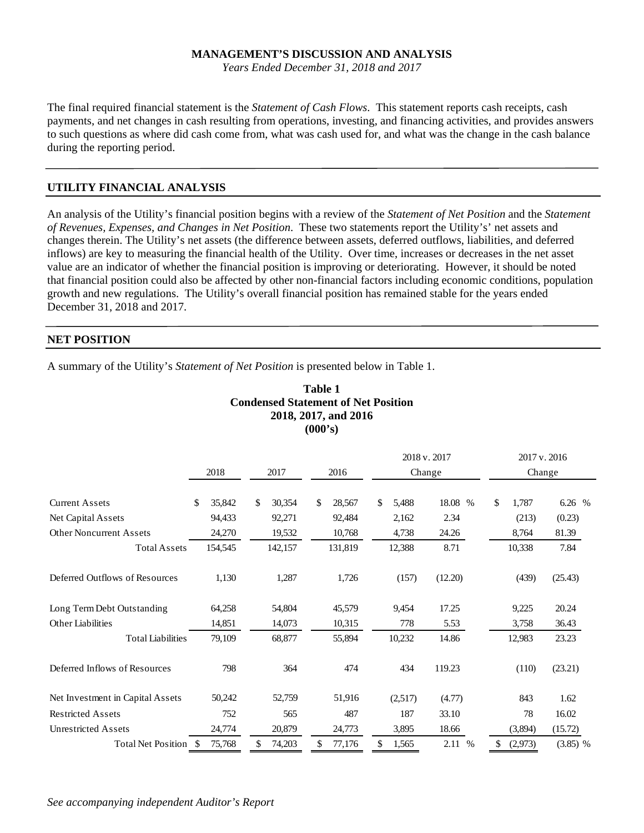*Years Ended December 31, 2018 and 2017* 

The final required financial statement is the *Statement of Cash Flows*. This statement reports cash receipts, cash payments, and net changes in cash resulting from operations, investing, and financing activities, and provides answers to such questions as where did cash come from, what was cash used for, and what was the change in the cash balance during the reporting period.

#### **UTILITY FINANCIAL ANALYSIS**

An analysis of the Utility's financial position begins with a review of the *Statement of Net Position* and the *Statement of Revenues, Expenses, and Changes in Net Position*. These two statements report the Utility's' net assets and changes therein. The Utility's net assets (the difference between assets, deferred outflows, liabilities, and deferred inflows) are key to measuring the financial health of the Utility. Over time, increases or decreases in the net asset value are an indicator of whether the financial position is improving or deteriorating. However, it should be noted that financial position could also be affected by other non-financial factors including economic conditions, population growth and new regulations. The Utility's overall financial position has remained stable for the years ended December 31, 2018 and 2017.

#### **NET POSITION**

A summary of the Utility's *Statement of Net Position* is presented below in Table 1.

|                                                              |   |                   |                        | Table 1<br>(000's) | <b>Condensed Statement of Net Position</b><br>2018, 2017, and 2016 |                      |                        |                          |                       |
|--------------------------------------------------------------|---|-------------------|------------------------|--------------------|--------------------------------------------------------------------|----------------------|------------------------|--------------------------|-----------------------|
|                                                              |   | 2018              | 2017                   |                    | 2016                                                               |                      | 2018 v. 2017<br>Change | 2017 v. 2016<br>Change   |                       |
| <b>Current Assets</b><br>Net Capital Assets                  | S | 35,842<br>94,433  | \$<br>30,354<br>92,271 | \$                 | 28,567<br>92,484                                                   | \$<br>5,488<br>2,162 | 18.08 %<br>2.34        | \$<br>1,787<br>(213)     | 6.26 %<br>(0.23)      |
| <b>Other Noncurrent Assets</b><br><b>Total Assets</b>        |   | 24,270<br>154,545 | 19,532<br>142,157      |                    | 10,768<br>131,819                                                  | 4,738<br>12,388      | 24.26<br>8.71          | 8,764<br>10,338          | 81.39<br>7.84         |
| Deferred Outflows of Resources                               |   | 1,130             | 1,287                  |                    | 1,726                                                              | (157)                | (12.20)                | (439)                    | (25.43)               |
| Long Term Debt Outstanding<br><b>Other Liabilities</b>       |   | 64,258<br>14,851  | 54,804<br>14,073       |                    | 45,579<br>10,315                                                   | 9,454<br>778         | 17.25<br>5.53          | 9,225<br>3,758           | 20.24<br>36.43        |
| <b>Total Liabilities</b><br>Deferred Inflows of Resources    |   | 79,109<br>798     | 68,877<br>364          |                    | 55,894<br>474                                                      | 10,232<br>434        | 14.86<br>119.23        | 12,983<br>(110)          | 23.23<br>(23.21)      |
| Net Investment in Capital Assets<br><b>Restricted Assets</b> |   | 50,242<br>752     | 52,759<br>565          |                    | 51,916<br>487                                                      | (2,517)<br>187       | (4.77)<br>33.10        | 843<br>78                | 1.62<br>16.02         |
| <b>Unrestricted Assets</b><br>Total Net Position \$          |   | 24,774<br>75,768  | \$<br>20,879<br>74,203 | \$                 | 24,773<br>77,176                                                   | \$<br>3,895<br>1,565 | 18.66<br>2.11 %        | \$<br>(3,894)<br>(2,973) | (15.72)<br>$(3.85)$ % |

*See accompanying independent Auditor's Report*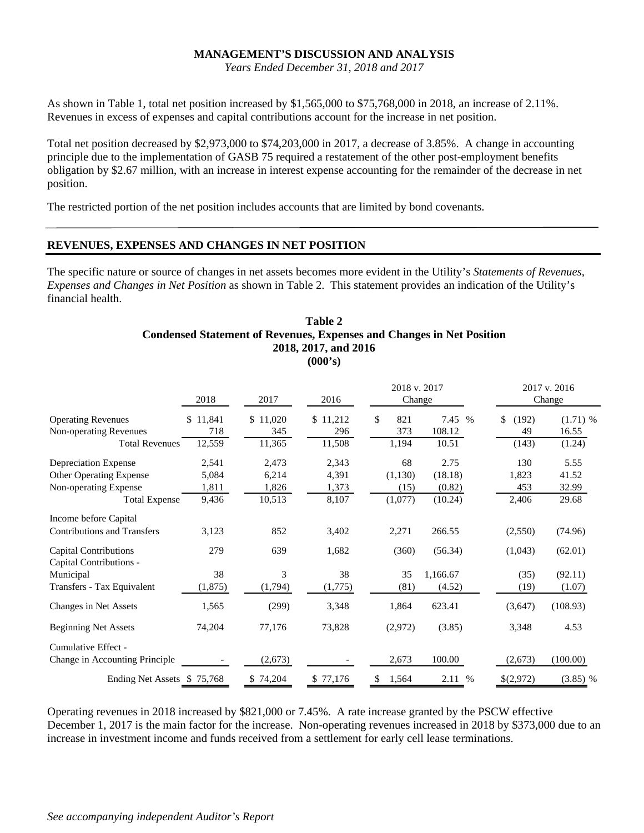*Years Ended December 31, 2018 and 2017* 

As shown in Table 1, total net position increased by \$1,565,000 to \$75,768,000 in 2018, an increase of 2.11%. Revenues in excess of expenses and capital contributions account for the increase in net position.

Total net position decreased by \$2,973,000 to \$74,203,000 in 2017, a decrease of 3.85%. A change in accounting principle due to the implementation of GASB 75 required a restatement of the other post-employment benefits obligation by \$2.67 million, with an increase in interest expense accounting for the remainder of the decrease in net position.

The restricted portion of the net position includes accounts that are limited by bond covenants.

### **REVENUES, EXPENSES AND CHANGES IN NET POSITION**

The specific nature or source of changes in net assets becomes more evident in the Utility's *Statements of Revenues, Expenses and Changes in Net Position* as shown in Table 2. This statement provides an indication of the Utility's financial health.

#### **Table 2 Condensed Statement of Revenues, Expenses and Changes in Net Position 2018, 2017, and 2016 (000's)**

|                                                         | 2018     | 2017         | 2016     | 2018 v. 2017<br>Change |          |             | 2017 v. 2016<br>Change |
|---------------------------------------------------------|----------|--------------|----------|------------------------|----------|-------------|------------------------|
| <b>Operating Revenues</b>                               | 11,841   | 11,020<br>\$ | \$11,212 | \$<br>821              | 7.45 %   | \$<br>(192) | $(1.71)$ %             |
| <b>Non-operating Revenues</b>                           | 718      | 345          | 296      | 373                    | 108.12   | 49          | 16.55                  |
| <b>Total Revenues</b>                                   | 12,559   | 11,365       | 11,508   | 1,194                  | 10.51    | (143)       | (1.24)                 |
| <b>Depreciation Expense</b>                             | 2,541    | 2,473        | 2,343    | 68                     | 2.75     | 130         | 5.55                   |
| <b>Other Operating Expense</b>                          | 5,084    | 6,214        | 4,391    | (1, 130)               | (18.18)  | 1,823       | 41.52                  |
| <b>Non-operating Expense</b>                            | 1,811    | 1,826        | 1,373    | (15)                   | (0.82)   | 453         | 32.99                  |
| <b>Total Expense</b>                                    | 9,436    | 10,513       | 8,107    | (1,077)                | (10.24)  | 2,406       | 29.68                  |
| Income before Capital                                   |          |              |          |                        |          |             |                        |
| <b>Contributions and Transfers</b>                      | 3,123    | 852          | 3,402    | 2,271                  | 266.55   | (2,550)     | (74.96)                |
| <b>Capital Contributions</b><br>Capital Contributions - | 279      | 639          | 1,682    | (360)                  | (56.34)  | (1,043)     | (62.01)                |
| Municipal                                               | 38       | 3            | 38       | 35                     | 1,166.67 | (35)        | (92.11)                |
| Transfers - Tax Equivalent                              | (1, 875) | (1,794)      | (1,775)  | (81)                   | (4.52)   | (19)        | (1.07)                 |
| <b>Changes in Net Assets</b>                            | 1,565    | (299)        | 3,348    | 1,864                  | 623.41   | (3,647)     | (108.93)               |
| <b>Beginning Net Assets</b>                             | 74,204   | 77,176       | 73,828   | (2,972)                | (3.85)   | 3,348       | 4.53                   |
| Cumulative Effect -                                     |          |              |          |                        |          |             |                        |
| <b>Change in Accounting Principle</b>                   |          | (2,673)      |          | 2,673                  | 100.00   | (2,673)     | (100.00)               |
| Ending Net Assets \$75,768                              |          | \$74,204     | \$77,176 | \$<br>1,564            | 2.11 %   | \$(2,972)   | $(3.85)$ %             |

Operating revenues in 2018 increased by \$821,000 or 7.45%. A rate increase granted by the PSCW effective December 1, 2017 is the main factor for the increase. Non-operating revenues increased in 2018 by \$373,000 due to an increase in investment income and funds received from a settlement for early cell lease terminations.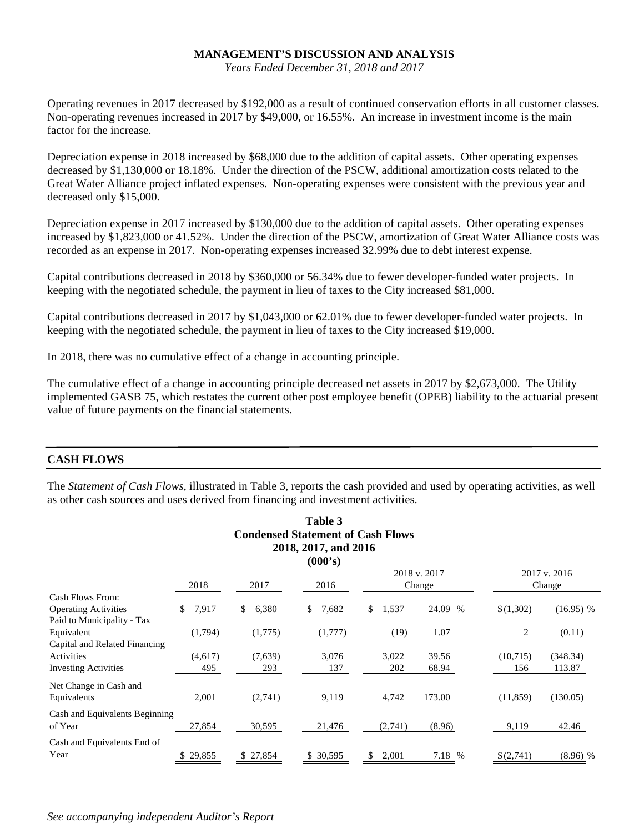*Years Ended December 31, 2018 and 2017* 

Operating revenues in 2017 decreased by \$192,000 as a result of continued conservation efforts in all customer classes. Non-operating revenues increased in 2017 by \$49,000, or 16.55%. An increase in investment income is the main factor for the increase.

Depreciation expense in 2018 increased by \$68,000 due to the addition of capital assets. Other operating expenses decreased by \$1,130,000 or 18.18%. Under the direction of the PSCW, additional amortization costs related to the Great Water Alliance project inflated expenses. Non-operating expenses were consistent with the previous year and decreased only \$15,000.

Depreciation expense in 2017 increased by \$130,000 due to the addition of capital assets. Other operating expenses increased by \$1,823,000 or 41.52%. Under the direction of the PSCW, amortization of Great Water Alliance costs was recorded as an expense in 2017. Non-operating expenses increased 32.99% due to debt interest expense.

Capital contributions decreased in 2018 by \$360,000 or 56.34% due to fewer developer-funded water projects. In keeping with the negotiated schedule, the payment in lieu of taxes to the City increased \$81,000.

Capital contributions decreased in 2017 by \$1,043,000 or 62.01% due to fewer developer-funded water projects. In keeping with the negotiated schedule, the payment in lieu of taxes to the City increased \$19,000.

In 2018, there was no cumulative effect of a change in accounting principle.

The cumulative effect of a change in accounting principle decreased net assets in 2017 by \$2,673,000. The Utility implemented GASB 75, which restates the current other post employee benefit (OPEB) liability to the actuarial present value of future payments on the financial statements.

### **CASH FLOWS**

The *Statement of Cash Flows,* illustrated in Table 3, reports the cash provided and used by operating activities, as well as other cash sources and uses derived from financing and investment activities.

|                                |             |             | Table 3                                  |             |              |           |              |
|--------------------------------|-------------|-------------|------------------------------------------|-------------|--------------|-----------|--------------|
|                                |             |             | <b>Condensed Statement of Cash Flows</b> |             |              |           |              |
|                                |             |             | 2018, 2017, and 2016                     |             |              |           |              |
|                                |             |             | (000's)                                  |             |              |           |              |
|                                |             |             |                                          |             | 2018 v. 2017 |           | 2017 v. 2016 |
|                                | 2018        | 2017        | 2016                                     |             | Change       |           | Change       |
| Cash Flows From:               |             |             |                                          |             |              |           |              |
| <b>Operating Activities</b>    | 7,917<br>\$ | 6,380<br>\$ | 7,682<br>\$                              | \$<br>1,537 | 24.09 %      | \$(1,302) | $(16.95)$ %  |
| Paid to Municipality - Tax     |             |             |                                          |             |              |           |              |
| Equivalent                     | (1,794)     | (1,775)     | (1,777)                                  | (19)        | 1.07         | 2         | (0.11)       |
| Capital and Related Financing  |             |             |                                          |             |              |           |              |
| Activities                     | (4,617)     | (7,639)     | 3,076                                    | 3,022       | 39.56        | (10,715)  | (348.34)     |
| <b>Investing Activities</b>    | 495         | 293         | 137                                      | 202         | 68.94        | 156       | 113.87       |
| Net Change in Cash and         |             |             |                                          |             |              |           |              |
| Equivalents                    | 2,001       | (2,741)     | 9,119                                    | 4,742       | 173.00       | (11, 859) | (130.05)     |
| Cash and Equivalents Beginning |             |             |                                          |             |              |           |              |
| of Year                        | 27,854      | 30,595      | 21,476                                   | (2,741)     | (8.96)       | 9,119     | 42.46        |
| Cash and Equivalents End of    |             |             |                                          |             |              |           |              |
| Year                           | \$29,855    | \$27,854    | \$ 30,595                                | 2,001<br>\$ | 7.18 %       | \$(2,741) | $(8.96)$ %   |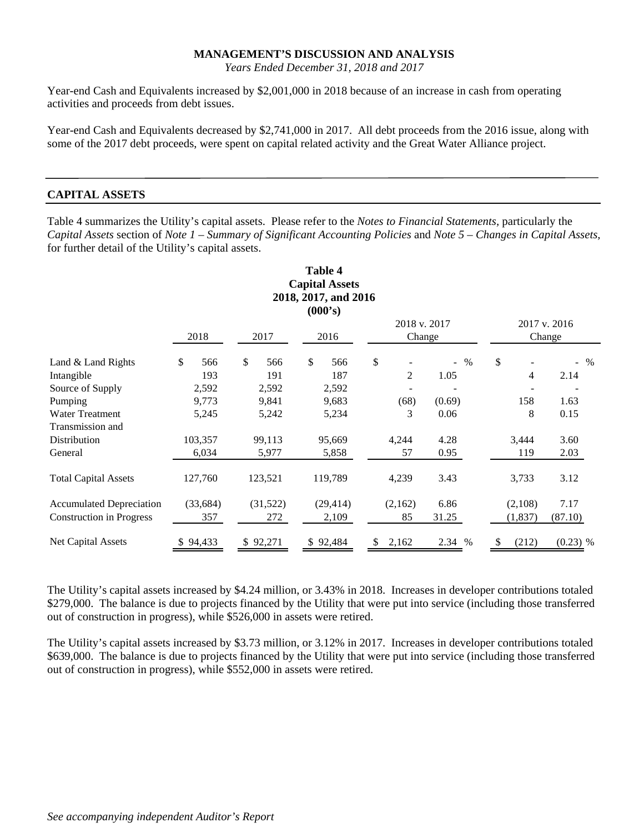*Years Ended December 31, 2018 and 2017* 

Year-end Cash and Equivalents increased by \$2,001,000 in 2018 because of an increase in cash from operating activities and proceeds from debt issues.

Year-end Cash and Equivalents decreased by \$2,741,000 in 2017. All debt proceeds from the 2016 issue, along with some of the 2017 debt proceeds, were spent on capital related activity and the Great Water Alliance project.

#### **CAPITAL ASSETS**

Table 4 summarizes the Utility's capital assets. Please refer to the *Notes to Financial Statements,* particularly the *Capital Assets* section of *Note 1 – Summary of Significant Accounting Policies* and *Note 5 – Changes in Capital Assets,*  for further detail of the Utility's capital assets.

|                                 |           |              |          |    | <b>Table 4</b><br><b>Capital Assets</b><br>2018, 2017, and 2016<br>(000's) |                        |                |        |                        |         |            |  |
|---------------------------------|-----------|--------------|----------|----|----------------------------------------------------------------------------|------------------------|----------------|--------|------------------------|---------|------------|--|
|                                 | 2018      | 2017<br>2016 |          |    |                                                                            | 2018 v. 2017<br>Change |                |        | 2017 v. 2016<br>Change |         |            |  |
| Land & Land Rights              | \$<br>566 | $\mathbb{S}$ | 566      | \$ | 566                                                                        | \$                     |                |        | $\%$<br>$\blacksquare$ | \$      | $-$ %      |  |
| Intangible                      | 193       |              | 191      |    | 187                                                                        |                        | $\mathfrak{D}$ | 1.05   |                        | 4       | 2.14       |  |
| Source of Supply                | 2,592     |              | 2,592    |    | 2,592                                                                      |                        |                |        |                        |         |            |  |
| Pumping                         | 9,773     |              | 9,841    |    | 9,683                                                                      |                        | (68)           | (0.69) |                        | 158     | 1.63       |  |
| <b>Water Treatment</b>          | 5,245     |              | 5,242    |    | 5,234                                                                      |                        | 3              | 0.06   |                        | 8       | 0.15       |  |
| Transmission and                |           |              |          |    |                                                                            |                        |                |        |                        |         |            |  |
| Distribution                    | 103,357   |              | 99,113   |    | 95,669                                                                     |                        | 4,244          | 4.28   |                        | 3,444   | 3.60       |  |
| General                         | 6,034     |              | 5,977    |    | 5,858                                                                      |                        | 57             | 0.95   |                        | 119     | 2.03       |  |
| <b>Total Capital Assets</b>     | 127,760   |              | 123,521  |    | 119,789                                                                    |                        | 4,239          | 3.43   |                        | 3,733   | 3.12       |  |
| <b>Accumulated Depreciation</b> | (33, 684) |              | (31,522) |    | (29, 414)                                                                  |                        | (2,162)        | 6.86   |                        | (2,108) | 7.17       |  |
| <b>Construction in Progress</b> | 357       |              | 272      |    | 2,109                                                                      |                        | 85             | 31.25  |                        | (1,837) | (87.10)    |  |
| <b>Net Capital Assets</b>       | 94,433    |              | \$92,271 |    | \$92,484                                                                   | S                      | 2,162          | 2.34   | $\%$                   | (212)   | $(0.23)$ % |  |

The Utility's capital assets increased by \$4.24 million, or 3.43% in 2018. Increases in developer contributions totaled \$279,000. The balance is due to projects financed by the Utility that were put into service (including those transferred out of construction in progress), while \$526,000 in assets were retired.

The Utility's capital assets increased by \$3.73 million, or 3.12% in 2017. Increases in developer contributions totaled \$639,000. The balance is due to projects financed by the Utility that were put into service (including those transferred out of construction in progress), while \$552,000 in assets were retired.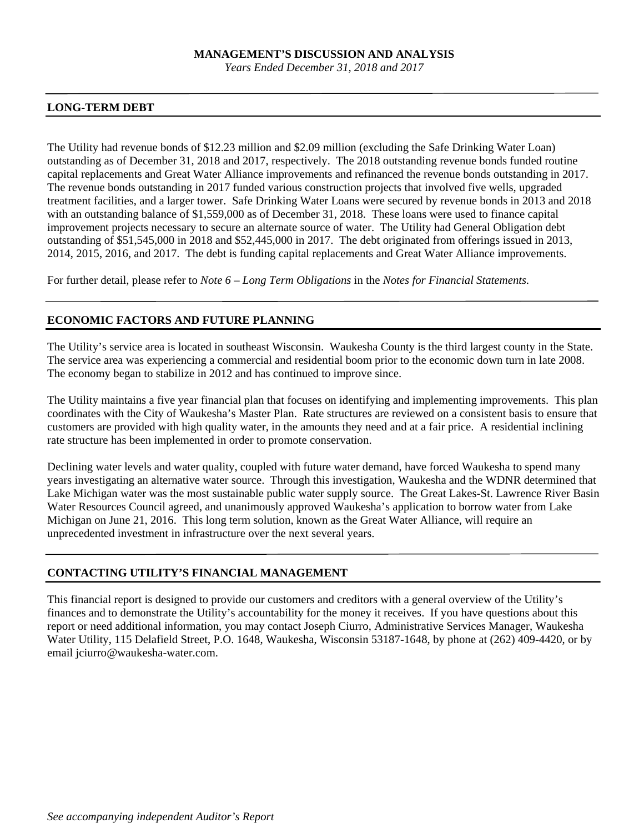*Years Ended December 31, 2018 and 2017* 

#### **LONG-TERM DEBT**

The Utility had revenue bonds of \$12.23 million and \$2.09 million (excluding the Safe Drinking Water Loan) outstanding as of December 31, 2018 and 2017, respectively. The 2018 outstanding revenue bonds funded routine capital replacements and Great Water Alliance improvements and refinanced the revenue bonds outstanding in 2017. The revenue bonds outstanding in 2017 funded various construction projects that involved five wells, upgraded treatment facilities, and a larger tower. Safe Drinking Water Loans were secured by revenue bonds in 2013 and 2018 with an outstanding balance of \$1,559,000 as of December 31, 2018. These loans were used to finance capital improvement projects necessary to secure an alternate source of water. The Utility had General Obligation debt outstanding of \$51,545,000 in 2018 and \$52,445,000 in 2017. The debt originated from offerings issued in 2013, 2014, 2015, 2016, and 2017. The debt is funding capital replacements and Great Water Alliance improvements.

For further detail, please refer to *Note 6 – Long Term Obligations* in the *Notes for Financial Statements.* 

### **ECONOMIC FACTORS AND FUTURE PLANNING**

The Utility's service area is located in southeast Wisconsin. Waukesha County is the third largest county in the State. The service area was experiencing a commercial and residential boom prior to the economic down turn in late 2008. The economy began to stabilize in 2012 and has continued to improve since.

The Utility maintains a five year financial plan that focuses on identifying and implementing improvements. This plan coordinates with the City of Waukesha's Master Plan. Rate structures are reviewed on a consistent basis to ensure that customers are provided with high quality water, in the amounts they need and at a fair price. A residential inclining rate structure has been implemented in order to promote conservation.

Declining water levels and water quality, coupled with future water demand, have forced Waukesha to spend many years investigating an alternative water source. Through this investigation, Waukesha and the WDNR determined that Lake Michigan water was the most sustainable public water supply source. The Great Lakes-St. Lawrence River Basin Water Resources Council agreed, and unanimously approved Waukesha's application to borrow water from Lake Michigan on June 21, 2016. This long term solution, known as the Great Water Alliance, will require an unprecedented investment in infrastructure over the next several years.

### **CONTACTING UTILITY'S FINANCIAL MANAGEMENT**

This financial report is designed to provide our customers and creditors with a general overview of the Utility's finances and to demonstrate the Utility's accountability for the money it receives. If you have questions about this report or need additional information, you may contact Joseph Ciurro, Administrative Services Manager, Waukesha Water Utility, 115 Delafield Street, P.O. 1648, Waukesha, Wisconsin 53187-1648, by phone at (262) 409-4420, or by email jciurro@waukesha-water.com.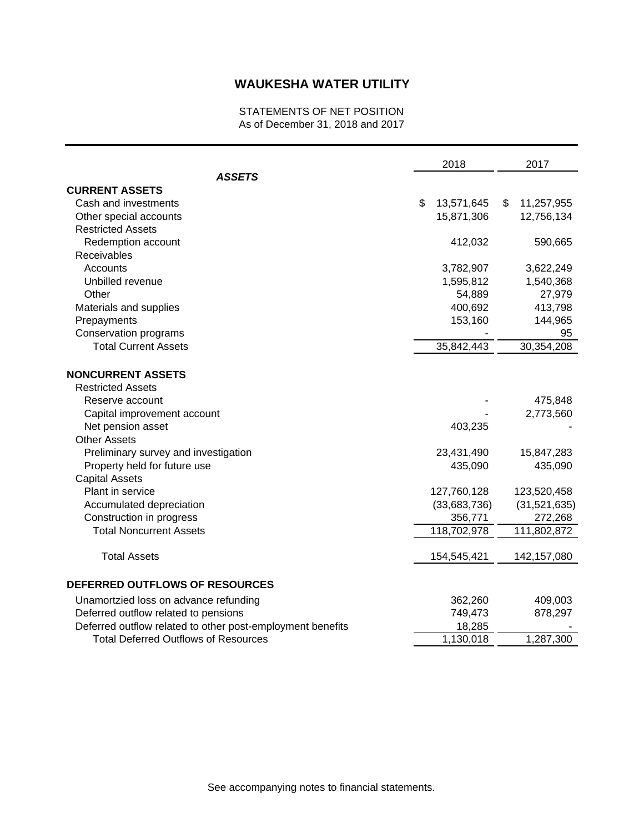### STATEMENTS OF NET POSITION As of December 31, 2018 and 2017

|                                                            | 2018             | 2017             |
|------------------------------------------------------------|------------------|------------------|
| <b>ASSETS</b>                                              |                  |                  |
| <b>CURRENT ASSETS</b>                                      |                  |                  |
| Cash and investments                                       | \$<br>13,571,645 | \$<br>11,257,955 |
| Other special accounts                                     | 15,871,306       | 12,756,134       |
| <b>Restricted Assets</b>                                   |                  |                  |
| Redemption account                                         | 412,032          | 590,665          |
| Receivables                                                |                  |                  |
| Accounts                                                   | 3,782,907        | 3,622,249        |
| Unbilled revenue                                           | 1,595,812        | 1,540,368        |
| Other                                                      | 54,889           | 27,979           |
| Materials and supplies                                     | 400,692          | 413,798          |
| Prepayments                                                | 153,160          | 144,965          |
| Conservation programs                                      |                  | 95               |
| <b>Total Current Assets</b>                                | 35,842,443       | 30,354,208       |
| <b>NONCURRENT ASSETS</b>                                   |                  |                  |
| <b>Restricted Assets</b>                                   |                  |                  |
| Reserve account                                            |                  | 475,848          |
| Capital improvement account                                |                  | 2,773,560        |
| Net pension asset                                          | 403,235          |                  |
| <b>Other Assets</b>                                        |                  |                  |
| Preliminary survey and investigation                       | 23,431,490       | 15,847,283       |
| Property held for future use                               | 435,090          | 435,090          |
| <b>Capital Assets</b>                                      |                  |                  |
| Plant in service                                           | 127,760,128      | 123,520,458      |
| Accumulated depreciation                                   | (33,683,736)     | (31,521,635)     |
| Construction in progress                                   | 356,771          | 272,268          |
| <b>Total Noncurrent Assets</b>                             | 118,702,978      | 111,802,872      |
| <b>Total Assets</b>                                        | 154,545,421      | 142, 157, 080    |
| DEFERRED OUTFLOWS OF RESOURCES                             |                  |                  |
| Unamortzied loss on advance refunding                      | 362,260          | 409,003          |
| Deferred outflow related to pensions                       | 749,473          | 878,297          |
| Deferred outflow related to other post-employment benefits | 18,285           |                  |
| <b>Total Deferred Outflows of Resources</b>                | 1,130,018        | 1,287,300        |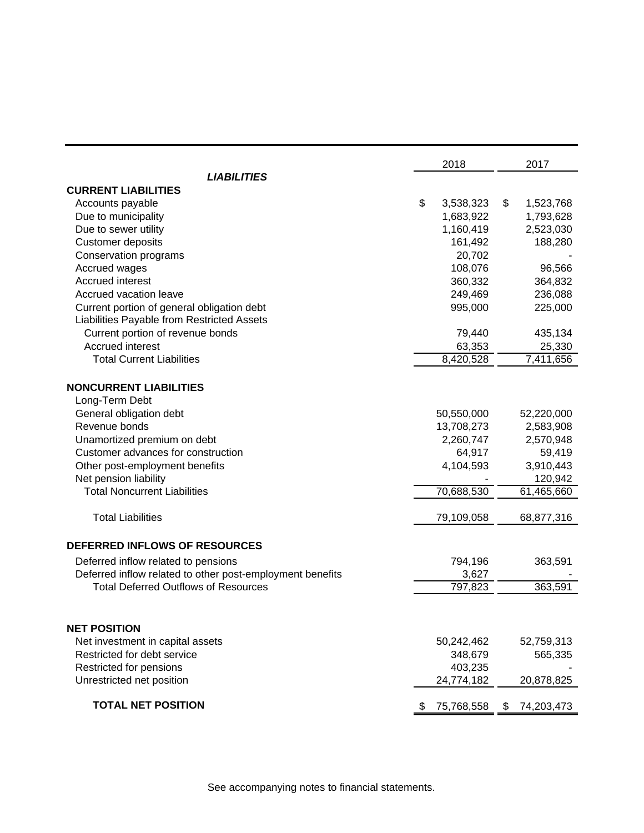|                                                           |    | 2018       | 2017             |
|-----------------------------------------------------------|----|------------|------------------|
| <b>LIABILITIES</b>                                        |    |            |                  |
| <b>CURRENT LIABILITIES</b>                                |    |            |                  |
| Accounts payable                                          | \$ | 3,538,323  | \$<br>1,523,768  |
| Due to municipality                                       |    | 1,683,922  | 1,793,628        |
| Due to sewer utility                                      |    | 1,160,419  | 2,523,030        |
| <b>Customer deposits</b>                                  |    | 161,492    | 188,280          |
| Conservation programs                                     |    | 20,702     |                  |
| Accrued wages                                             |    | 108,076    | 96,566           |
| Accrued interest                                          |    | 360,332    | 364,832          |
| Accrued vacation leave                                    |    | 249,469    | 236,088          |
| Current portion of general obligation debt                |    | 995,000    | 225,000          |
| Liabilities Payable from Restricted Assets                |    |            |                  |
| Current portion of revenue bonds                          |    | 79,440     | 435,134          |
| Accrued interest                                          |    | 63,353     | 25,330           |
| <b>Total Current Liabilities</b>                          |    | 8,420,528  | 7,411,656        |
|                                                           |    |            |                  |
| <b>NONCURRENT LIABILITIES</b>                             |    |            |                  |
| Long-Term Debt                                            |    |            |                  |
| General obligation debt                                   |    | 50,550,000 | 52,220,000       |
| Revenue bonds                                             |    | 13,708,273 | 2,583,908        |
| Unamortized premium on debt                               |    | 2,260,747  | 2,570,948        |
| Customer advances for construction                        |    | 64,917     | 59,419           |
| Other post-employment benefits                            |    | 4,104,593  | 3,910,443        |
| Net pension liability                                     |    |            | 120,942          |
| <b>Total Noncurrent Liabilities</b>                       |    | 70,688,530 | 61,465,660       |
| <b>Total Liabilities</b>                                  |    | 79,109,058 | 68,877,316       |
| DEFERRED INFLOWS OF RESOURCES                             |    |            |                  |
| Deferred inflow related to pensions                       |    | 794,196    | 363,591          |
| Deferred inflow related to other post-employment benefits |    | 3,627      |                  |
| <b>Total Deferred Outflows of Resources</b>               |    | 797,823    | 363,591          |
|                                                           |    |            |                  |
| <b>NET POSITION</b>                                       |    |            |                  |
| Net investment in capital assets                          |    | 50,242,462 | 52,759,313       |
| Restricted for debt service                               |    | 348,679    | 565,335          |
| Restricted for pensions                                   |    | 403,235    |                  |
| Unrestricted net position                                 |    | 24,774,182 | 20,878,825       |
| <b>TOTAL NET POSITION</b>                                 | Ъ  | 75,768,558 | \$<br>74,203,473 |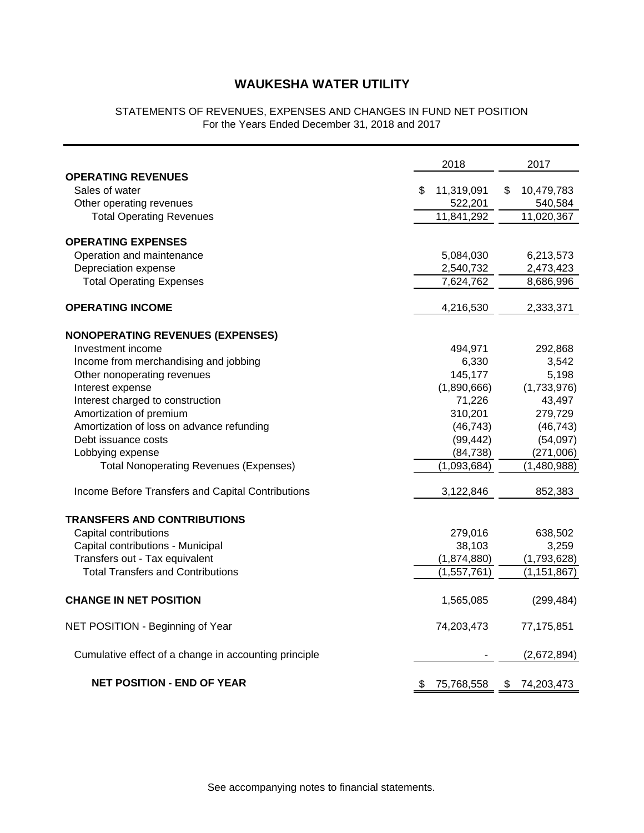### STATEMENTS OF REVENUES, EXPENSES AND CHANGES IN FUND NET POSITION For the Years Ended December 31, 2018 and 2017

|                                                       | 2018             | 2017             |
|-------------------------------------------------------|------------------|------------------|
| <b>OPERATING REVENUES</b>                             |                  |                  |
| Sales of water                                        | \$<br>11,319,091 | \$<br>10,479,783 |
| Other operating revenues                              | 522,201          | 540,584          |
| <b>Total Operating Revenues</b>                       | 11,841,292       | 11,020,367       |
| <b>OPERATING EXPENSES</b>                             |                  |                  |
| Operation and maintenance                             | 5,084,030        | 6,213,573        |
| Depreciation expense                                  | 2,540,732        | 2,473,423        |
| <b>Total Operating Expenses</b>                       | 7,624,762        | 8,686,996        |
|                                                       |                  |                  |
| <b>OPERATING INCOME</b>                               | 4,216,530        | 2,333,371        |
| <b>NONOPERATING REVENUES (EXPENSES)</b>               |                  |                  |
| Investment income                                     | 494,971          | 292,868          |
| Income from merchandising and jobbing                 | 6,330            | 3,542            |
| Other nonoperating revenues                           | 145,177          | 5,198            |
| Interest expense                                      | (1,890,666)      | (1,733,976)      |
| Interest charged to construction                      | 71,226           | 43,497           |
| Amortization of premium                               | 310,201          | 279,729          |
| Amortization of loss on advance refunding             | (46, 743)        | (46, 743)        |
| Debt issuance costs                                   | (99, 442)        | (54,097)         |
| Lobbying expense                                      | (84, 738)        | (271,006)        |
| <b>Total Nonoperating Revenues (Expenses)</b>         | (1,093,684)      | (1,480,988)      |
|                                                       |                  |                  |
| Income Before Transfers and Capital Contributions     | 3,122,846        | 852,383          |
| <b>TRANSFERS AND CONTRIBUTIONS</b>                    |                  |                  |
| Capital contributions                                 | 279,016          | 638,502          |
| Capital contributions - Municipal                     | 38,103           | 3,259            |
| Transfers out - Tax equivalent                        | (1,874,880)      | (1,793,628)      |
| <b>Total Transfers and Contributions</b>              | (1, 557, 761)    | (1, 151, 867)    |
|                                                       |                  |                  |
| <b>CHANGE IN NET POSITION</b>                         | 1,565,085        | (299, 484)       |
| NET POSITION - Beginning of Year                      | 74,203,473       | 77,175,851       |
| Cumulative effect of a change in accounting principle |                  | (2,672,894)      |
| <b>NET POSITION - END OF YEAR</b>                     | \$<br>75,768,558 | \$<br>74,203,473 |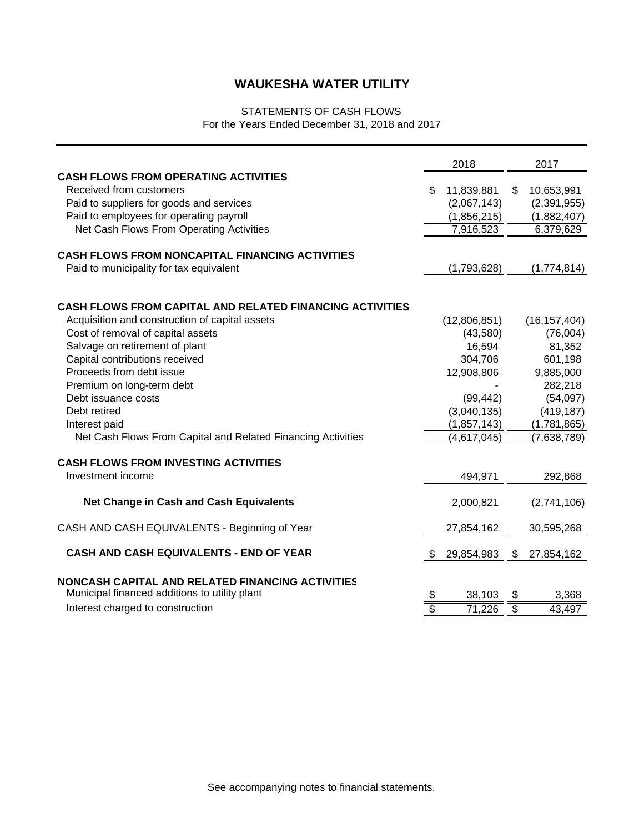### STATEMENTS OF CASH FLOWS For the Years Ended December 31, 2018 and 2017

|                                                                                                                                                                                                           |    | 2018                                                  |                          | 2017                                                  |
|-----------------------------------------------------------------------------------------------------------------------------------------------------------------------------------------------------------|----|-------------------------------------------------------|--------------------------|-------------------------------------------------------|
| <b>CASH FLOWS FROM OPERATING ACTIVITIES</b><br>Received from customers<br>Paid to suppliers for goods and services<br>Paid to employees for operating payroll<br>Net Cash Flows From Operating Activities | S  | 11,839,881<br>(2,067,143)<br>(1,856,215)<br>7,916,523 | \$                       | 10,653,991<br>(2,391,955)<br>(1,882,407)<br>6,379,629 |
| <b>CASH FLOWS FROM NONCAPITAL FINANCING ACTIVITIES</b><br>Paid to municipality for tax equivalent                                                                                                         |    | (1,793,628)                                           |                          | (1,774,814)                                           |
| <b>CASH FLOWS FROM CAPITAL AND RELATED FINANCING ACTIVITIES</b>                                                                                                                                           |    |                                                       |                          |                                                       |
| Acquisition and construction of capital assets                                                                                                                                                            |    | (12,806,851)                                          |                          | (16, 157, 404)                                        |
| Cost of removal of capital assets                                                                                                                                                                         |    | (43,580)                                              |                          | (76,004)                                              |
| Salvage on retirement of plant                                                                                                                                                                            |    | 16,594                                                |                          | 81,352                                                |
| Capital contributions received                                                                                                                                                                            |    | 304,706                                               |                          | 601,198                                               |
| Proceeds from debt issue                                                                                                                                                                                  |    | 12,908,806                                            |                          | 9,885,000                                             |
| Premium on long-term debt                                                                                                                                                                                 |    |                                                       |                          | 282,218                                               |
| Debt issuance costs                                                                                                                                                                                       |    | (99, 442)                                             |                          | (54,097)                                              |
| Debt retired                                                                                                                                                                                              |    | (3,040,135)                                           |                          | (419, 187)                                            |
| Interest paid                                                                                                                                                                                             |    | (1, 857, 143)                                         |                          | (1,781,865)                                           |
| Net Cash Flows From Capital and Related Financing Activities                                                                                                                                              |    | (4,617,045)                                           |                          | (7,638,789)                                           |
| <b>CASH FLOWS FROM INVESTING ACTIVITIES</b>                                                                                                                                                               |    |                                                       |                          |                                                       |
| Investment income                                                                                                                                                                                         |    | 494,971                                               |                          | 292,868                                               |
| Net Change in Cash and Cash Equivalents                                                                                                                                                                   |    | 2,000,821                                             |                          | (2,741,106)                                           |
| CASH AND CASH EQUIVALENTS - Beginning of Year                                                                                                                                                             |    | 27,854,162                                            |                          | 30,595,268                                            |
| <b>CASH AND CASH EQUIVALENTS - END OF YEAR</b>                                                                                                                                                            |    | 29,854,983                                            | \$                       | 27,854,162                                            |
| NONCASH CAPITAL AND RELATED FINANCING ACTIVITIES                                                                                                                                                          |    |                                                       |                          |                                                       |
| Municipal financed additions to utility plant                                                                                                                                                             | \$ | 38,103                                                | \$                       | 3,368                                                 |
| Interest charged to construction                                                                                                                                                                          | \$ | 71,226                                                | $\overline{\mathcal{G}}$ | 43,497                                                |
|                                                                                                                                                                                                           |    |                                                       |                          |                                                       |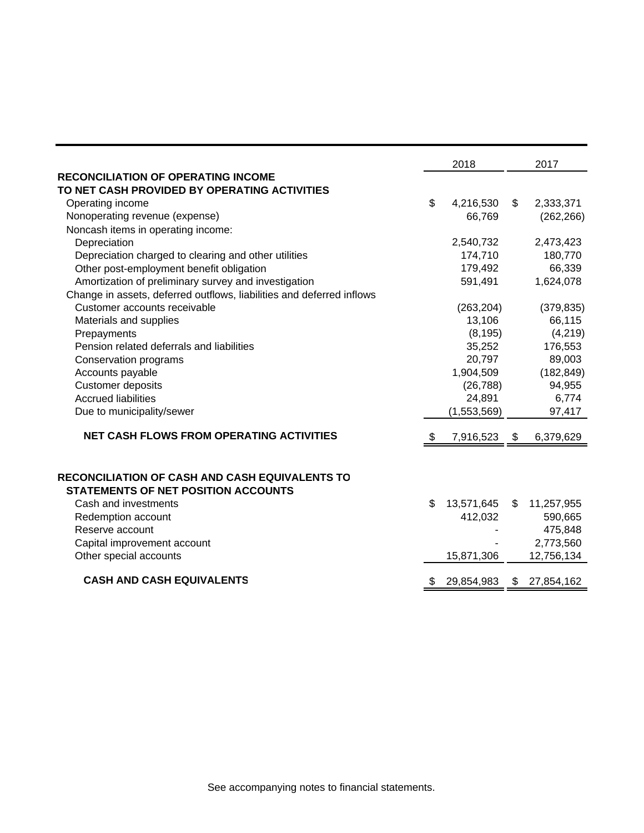|                                                                       | 2018             |               | 2017       |
|-----------------------------------------------------------------------|------------------|---------------|------------|
| <b>RECONCILIATION OF OPERATING INCOME</b>                             |                  |               |            |
| TO NET CASH PROVIDED BY OPERATING ACTIVITIES                          |                  |               |            |
| Operating income                                                      | \$<br>4,216,530  | $\frac{1}{2}$ | 2,333,371  |
| Nonoperating revenue (expense)                                        | 66,769           |               | (262, 266) |
| Noncash items in operating income:                                    |                  |               |            |
| Depreciation                                                          | 2,540,732        |               | 2,473,423  |
| Depreciation charged to clearing and other utilities                  | 174,710          |               | 180,770    |
| Other post-employment benefit obligation                              | 179,492          |               | 66,339     |
| Amortization of preliminary survey and investigation                  | 591,491          |               | 1,624,078  |
| Change in assets, deferred outflows, liabilities and deferred inflows |                  |               |            |
| Customer accounts receivable                                          | (263, 204)       |               | (379, 835) |
| Materials and supplies                                                | 13,106           |               | 66,115     |
| Prepayments                                                           | (8, 195)         |               | (4,219)    |
| Pension related deferrals and liabilities                             | 35,252           |               | 176,553    |
| Conservation programs                                                 | 20,797           |               | 89,003     |
| Accounts payable                                                      | 1,904,509        |               | (182, 849) |
| <b>Customer deposits</b>                                              | (26, 788)        |               | 94,955     |
| <b>Accrued liabilities</b>                                            | 24,891           |               | 6,774      |
| Due to municipality/sewer                                             | (1,553,569)      |               | 97,417     |
| <b>NET CASH FLOWS FROM OPERATING ACTIVITIES</b>                       | \$<br>7,916,523  | \$            | 6,379,629  |
|                                                                       |                  |               |            |
| <b>RECONCILIATION OF CASH AND CASH EQUIVALENTS TO</b>                 |                  |               |            |
| <b>STATEMENTS OF NET POSITION ACCOUNTS</b>                            |                  |               |            |
| Cash and investments                                                  | \$<br>13,571,645 | \$            | 11,257,955 |
| Redemption account                                                    | 412,032          |               | 590,665    |
| Reserve account                                                       |                  |               | 475,848    |
| Capital improvement account                                           |                  |               | 2,773,560  |
| Other special accounts                                                | 15,871,306       |               | 12,756,134 |
| <b>CASH AND CASH EQUIVALENTS</b>                                      | \$<br>29,854,983 | \$            | 27,854,162 |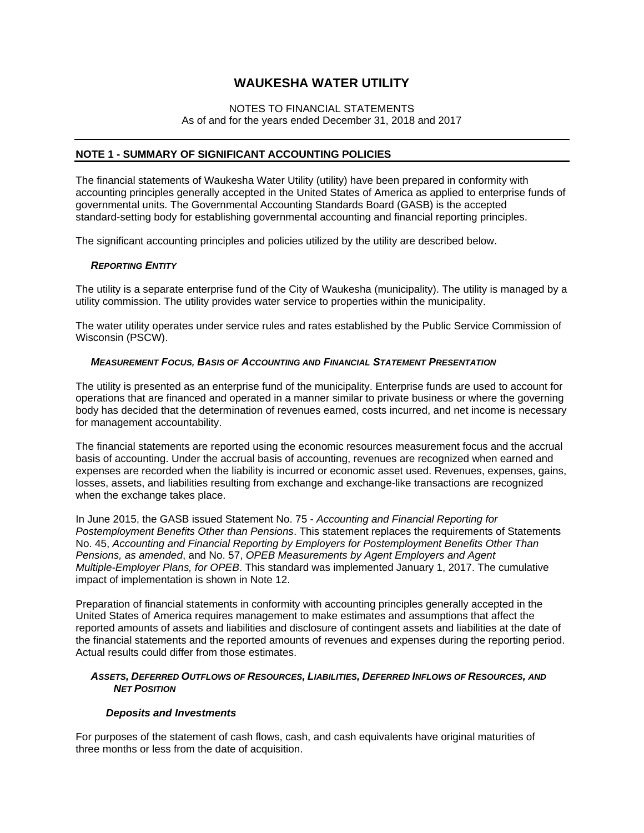### NOTES TO FINANCIAL STATEMENTS As of and for the years ended December 31, 2018 and 2017

### **NOTE 1 - SUMMARY OF SIGNIFICANT ACCOUNTING POLICIES**

The financial statements of Waukesha Water Utility (utility) have been prepared in conformity with accounting principles generally accepted in the United States of America as applied to enterprise funds of governmental units. The Governmental Accounting Standards Board (GASB) is the accepted standard-setting body for establishing governmental accounting and financial reporting principles.

The significant accounting principles and policies utilized by the utility are described below.

#### *REPORTING ENTITY*

The utility is a separate enterprise fund of the City of Waukesha (municipality). The utility is managed by a utility commission. The utility provides water service to properties within the municipality.

The water utility operates under service rules and rates established by the Public Service Commission of Wisconsin (PSCW).

#### *MEASUREMENT FOCUS, BASIS OF ACCOUNTING AND FINANCIAL STATEMENT PRESENTATION*

The utility is presented as an enterprise fund of the municipality. Enterprise funds are used to account for operations that are financed and operated in a manner similar to private business or where the governing body has decided that the determination of revenues earned, costs incurred, and net income is necessary for management accountability.

The financial statements are reported using the economic resources measurement focus and the accrual basis of accounting. Under the accrual basis of accounting, revenues are recognized when earned and expenses are recorded when the liability is incurred or economic asset used. Revenues, expenses, gains, losses, assets, and liabilities resulting from exchange and exchange-like transactions are recognized when the exchange takes place.

In June 2015, the GASB issued Statement No. 75 - *Accounting and Financial Reporting for Postemployment Benefits Other than Pensions*. This statement replaces the requirements of Statements No. 45, *Accounting and Financial Reporting by Employers for Postemployment Benefits Other Than Pensions, as amended*, and No. 57, *OPEB Measurements by Agent Employers and Agent Multiple-Employer Plans, for OPEB*. This standard was implemented January 1, 2017. The cumulative impact of implementation is shown in Note 12.

Preparation of financial statements in conformity with accounting principles generally accepted in the United States of America requires management to make estimates and assumptions that affect the reported amounts of assets and liabilities and disclosure of contingent assets and liabilities at the date of the financial statements and the reported amounts of revenues and expenses during the reporting period. Actual results could differ from those estimates.

#### *ASSETS, DEFERRED OUTFLOWS OF RESOURCES, LIABILITIES, DEFERRED INFLOWS OF RESOURCES, AND NET POSITION*

#### *Deposits and Investments*

For purposes of the statement of cash flows, cash, and cash equivalents have original maturities of three months or less from the date of acquisition.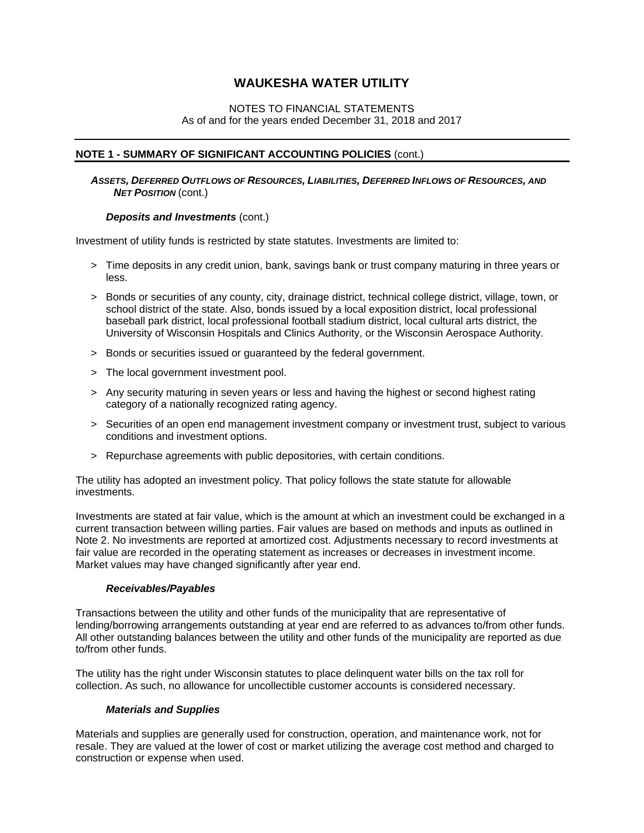### NOTES TO FINANCIAL STATEMENTS As of and for the years ended December 31, 2018 and 2017

#### **NOTE 1 - SUMMARY OF SIGNIFICANT ACCOUNTING POLICIES** (cont.)

 *ASSETS, DEFERRED OUTFLOWS OF RESOURCES, LIABILITIES, DEFERRED INFLOWS OF RESOURCES, AND NET POSITION* (cont.)

#### *Deposits and Investments* (cont.)

Investment of utility funds is restricted by state statutes. Investments are limited to:

- > Time deposits in any credit union, bank, savings bank or trust company maturing in three years or less.
- > Bonds or securities of any county, city, drainage district, technical college district, village, town, or school district of the state. Also, bonds issued by a local exposition district, local professional baseball park district, local professional football stadium district, local cultural arts district, the University of Wisconsin Hospitals and Clinics Authority, or the Wisconsin Aerospace Authority.
- > Bonds or securities issued or guaranteed by the federal government.
- > The local government investment pool.
- > Any security maturing in seven years or less and having the highest or second highest rating category of a nationally recognized rating agency.
- > Securities of an open end management investment company or investment trust, subject to various conditions and investment options.
- > Repurchase agreements with public depositories, with certain conditions.

The utility has adopted an investment policy. That policy follows the state statute for allowable investments.

Investments are stated at fair value, which is the amount at which an investment could be exchanged in a current transaction between willing parties. Fair values are based on methods and inputs as outlined in Note 2. No investments are reported at amortized cost. Adjustments necessary to record investments at fair value are recorded in the operating statement as increases or decreases in investment income. Market values may have changed significantly after year end.

#### *Receivables/Payables*

Transactions between the utility and other funds of the municipality that are representative of lending/borrowing arrangements outstanding at year end are referred to as advances to/from other funds. All other outstanding balances between the utility and other funds of the municipality are reported as due to/from other funds.

The utility has the right under Wisconsin statutes to place delinquent water bills on the tax roll for collection. As such, no allowance for uncollectible customer accounts is considered necessary.

#### *Materials and Supplies*

Materials and supplies are generally used for construction, operation, and maintenance work, not for resale. They are valued at the lower of cost or market utilizing the average cost method and charged to construction or expense when used.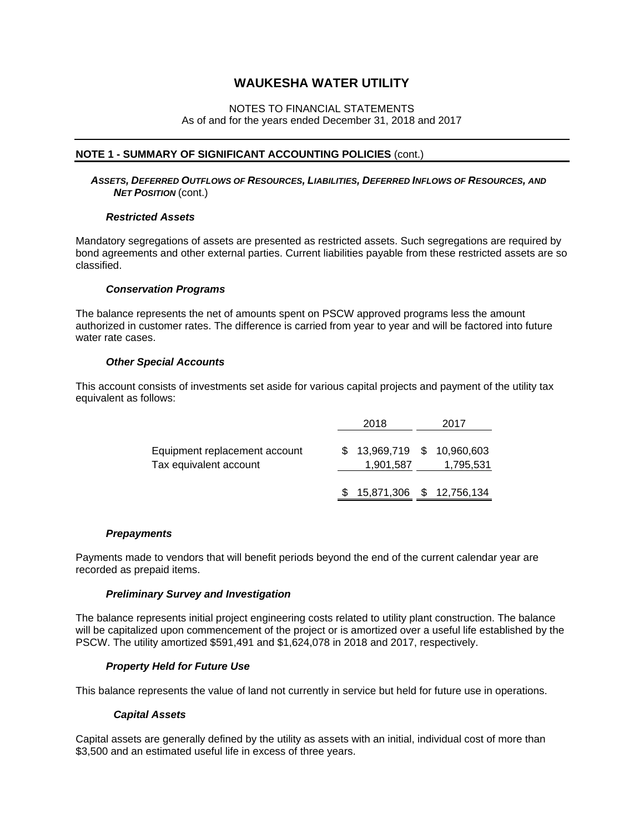#### NOTES TO FINANCIAL STATEMENTS As of and for the years ended December 31, 2018 and 2017

#### **NOTE 1 - SUMMARY OF SIGNIFICANT ACCOUNTING POLICIES** (cont.)

 *ASSETS, DEFERRED OUTFLOWS OF RESOURCES, LIABILITIES, DEFERRED INFLOWS OF RESOURCES, AND NET POSITION* (cont.)

#### *Restricted Assets*

Mandatory segregations of assets are presented as restricted assets. Such segregations are required by bond agreements and other external parties. Current liabilities payable from these restricted assets are so classified.

#### *Conservation Programs*

The balance represents the net of amounts spent on PSCW approved programs less the amount authorized in customer rates. The difference is carried from year to year and will be factored into future water rate cases.

#### *Other Special Accounts*

This account consists of investments set aside for various capital projects and payment of the utility tax equivalent as follows:

|                                                         | 2018                                     | 2017      |
|---------------------------------------------------------|------------------------------------------|-----------|
| Equipment replacement account<br>Tax equivalent account | \$ 13,969,719 \$ 10,960,603<br>1,901,587 | 1,795,531 |
|                                                         | $$15,871,306$ $$12,756,134$              |           |

#### *Prepayments*

Payments made to vendors that will benefit periods beyond the end of the current calendar year are recorded as prepaid items.

#### *Preliminary Survey and Investigation*

The balance represents initial project engineering costs related to utility plant construction. The balance will be capitalized upon commencement of the project or is amortized over a useful life established by the PSCW. The utility amortized \$591,491 and \$1,624,078 in 2018 and 2017, respectively.

#### *Property Held for Future Use*

This balance represents the value of land not currently in service but held for future use in operations.

#### *Capital Assets*

Capital assets are generally defined by the utility as assets with an initial, individual cost of more than \$3,500 and an estimated useful life in excess of three years.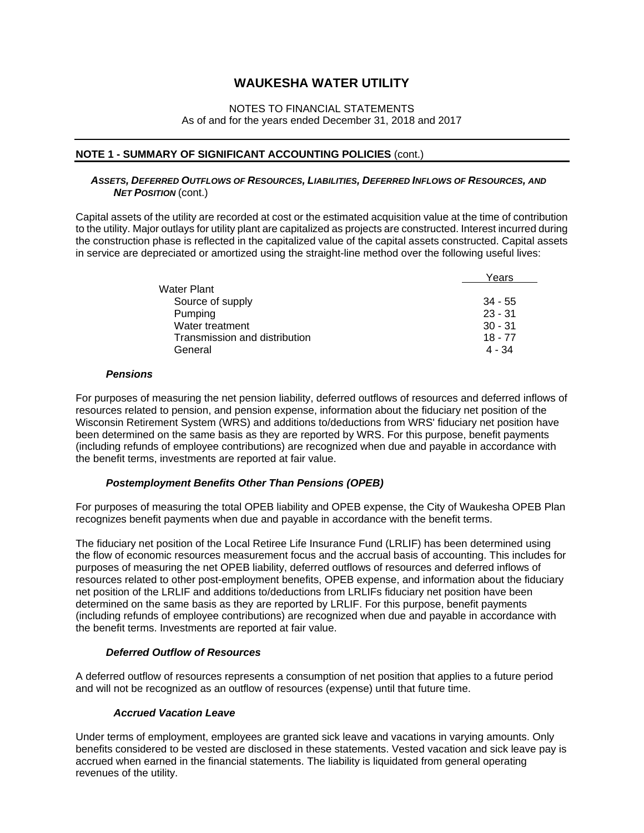### NOTES TO FINANCIAL STATEMENTS As of and for the years ended December 31, 2018 and 2017

#### **NOTE 1 - SUMMARY OF SIGNIFICANT ACCOUNTING POLICIES** (cont.)

#### *ASSETS, DEFERRED OUTFLOWS OF RESOURCES, LIABILITIES, DEFERRED INFLOWS OF RESOURCES, AND NET POSITION* (cont.)

Capital assets of the utility are recorded at cost or the estimated acquisition value at the time of contribution to the utility. Major outlays for utility plant are capitalized as projects are constructed. Interest incurred during the construction phase is reflected in the capitalized value of the capital assets constructed. Capital assets in service are depreciated or amortized using the straight-line method over the following useful lives:

|                               | Years     |
|-------------------------------|-----------|
| Water Plant                   |           |
| Source of supply              | $34 - 55$ |
| Pumping                       | $23 - 31$ |
| Water treatment               | $30 - 31$ |
| Transmission and distribution | $18 - 77$ |
| General                       | $4 - 34$  |

#### *Pensions*

For purposes of measuring the net pension liability, deferred outflows of resources and deferred inflows of resources related to pension, and pension expense, information about the fiduciary net position of the Wisconsin Retirement System (WRS) and additions to/deductions from WRS' fiduciary net position have been determined on the same basis as they are reported by WRS. For this purpose, benefit payments (including refunds of employee contributions) are recognized when due and payable in accordance with the benefit terms, investments are reported at fair value.

#### *Postemployment Benefits Other Than Pensions (OPEB)*

For purposes of measuring the total OPEB liability and OPEB expense, the City of Waukesha OPEB Plan recognizes benefit payments when due and payable in accordance with the benefit terms.

The fiduciary net position of the Local Retiree Life Insurance Fund (LRLIF) has been determined using the flow of economic resources measurement focus and the accrual basis of accounting. This includes for purposes of measuring the net OPEB liability, deferred outflows of resources and deferred inflows of resources related to other post-employment benefits, OPEB expense, and information about the fiduciary net position of the LRLIF and additions to/deductions from LRLIFs fiduciary net position have been determined on the same basis as they are reported by LRLIF. For this purpose, benefit payments (including refunds of employee contributions) are recognized when due and payable in accordance with the benefit terms. Investments are reported at fair value.

#### *Deferred Outflow of Resources*

A deferred outflow of resources represents a consumption of net position that applies to a future period and will not be recognized as an outflow of resources (expense) until that future time.

### *Accrued Vacation Leave*

Under terms of employment, employees are granted sick leave and vacations in varying amounts. Only benefits considered to be vested are disclosed in these statements. Vested vacation and sick leave pay is accrued when earned in the financial statements. The liability is liquidated from general operating revenues of the utility.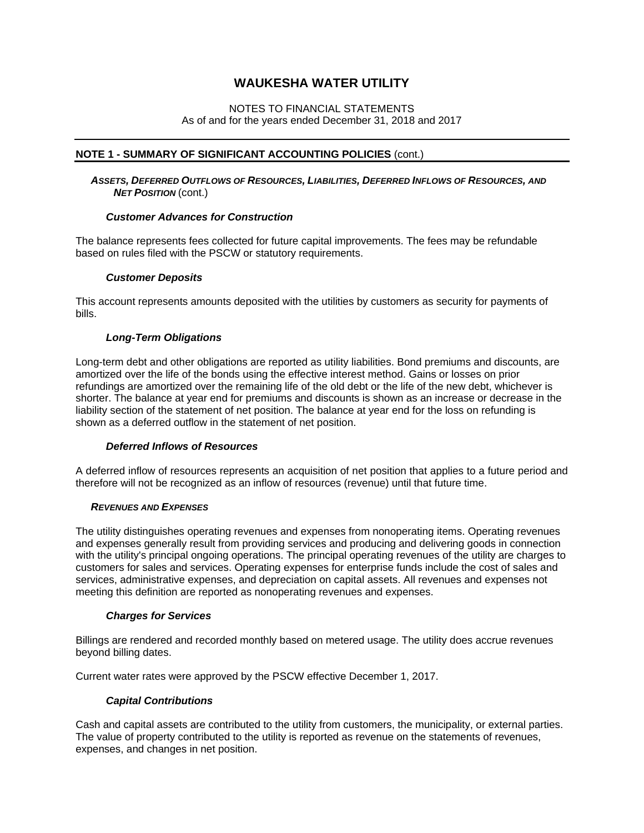### NOTES TO FINANCIAL STATEMENTS As of and for the years ended December 31, 2018 and 2017

#### **NOTE 1 - SUMMARY OF SIGNIFICANT ACCOUNTING POLICIES** (cont.)

 *ASSETS, DEFERRED OUTFLOWS OF RESOURCES, LIABILITIES, DEFERRED INFLOWS OF RESOURCES, AND NET POSITION* (cont.)

#### *Customer Advances for Construction*

The balance represents fees collected for future capital improvements. The fees may be refundable based on rules filed with the PSCW or statutory requirements.

#### *Customer Deposits*

This account represents amounts deposited with the utilities by customers as security for payments of bills.

#### *Long-Term Obligations*

Long-term debt and other obligations are reported as utility liabilities. Bond premiums and discounts, are amortized over the life of the bonds using the effective interest method. Gains or losses on prior refundings are amortized over the remaining life of the old debt or the life of the new debt, whichever is shorter. The balance at year end for premiums and discounts is shown as an increase or decrease in the liability section of the statement of net position. The balance at year end for the loss on refunding is shown as a deferred outflow in the statement of net position.

#### *Deferred Inflows of Resources*

A deferred inflow of resources represents an acquisition of net position that applies to a future period and therefore will not be recognized as an inflow of resources (revenue) until that future time.

#### *REVENUES AND EXPENSES*

The utility distinguishes operating revenues and expenses from nonoperating items. Operating revenues and expenses generally result from providing services and producing and delivering goods in connection with the utility's principal ongoing operations. The principal operating revenues of the utility are charges to customers for sales and services. Operating expenses for enterprise funds include the cost of sales and services, administrative expenses, and depreciation on capital assets. All revenues and expenses not meeting this definition are reported as nonoperating revenues and expenses.

#### *Charges for Services*

Billings are rendered and recorded monthly based on metered usage. The utility does accrue revenues beyond billing dates.

Current water rates were approved by the PSCW effective December 1, 2017.

#### *Capital Contributions*

Cash and capital assets are contributed to the utility from customers, the municipality, or external parties. The value of property contributed to the utility is reported as revenue on the statements of revenues, expenses, and changes in net position.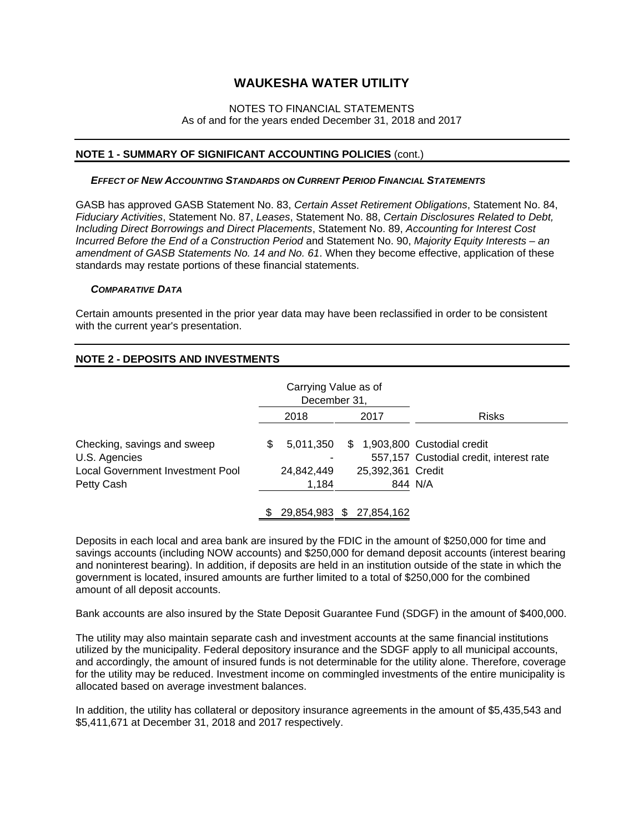#### NOTES TO FINANCIAL STATEMENTS As of and for the years ended December 31, 2018 and 2017

#### **NOTE 1 - SUMMARY OF SIGNIFICANT ACCOUNTING POLICIES** (cont.)

#### *EFFECT OF NEW ACCOUNTING STANDARDS ON CURRENT PERIOD FINANCIAL STATEMENTS*

GASB has approved GASB Statement No. 83, *Certain Asset Retirement Obligations*, Statement No. 84, *Fiduciary Activities*, Statement No. 87, *Leases*, Statement No. 88, *Certain Disclosures Related to Debt, Including Direct Borrowings and Direct Placements*, Statement No. 89, *Accounting for Interest Cost Incurred Before the End of a Construction Period* and Statement No. 90, *Majority Equity Interests – an amendment of GASB Statements No. 14 and No. 61*. When they become effective, application of these standards may restate portions of these financial statements.

#### *COMPARATIVE DATA*

Certain amounts presented in the prior year data may have been reclassified in order to be consistent with the current year's presentation.

#### **NOTE 2 - DEPOSITS AND INVESTMENTS**

|                                                                                                | Carrying Value as of<br>December 31,   |                          |                                                                                     |
|------------------------------------------------------------------------------------------------|----------------------------------------|--------------------------|-------------------------------------------------------------------------------------|
|                                                                                                | 2018                                   | 2017                     | <b>Risks</b>                                                                        |
| Checking, savings and sweep<br>U.S. Agencies<br>Local Government Investment Pool<br>Petty Cash | 5,011,350<br>S.<br>24,842,449<br>1,184 | 25,392,361 Credit        | \$ 1,903,800 Custodial credit<br>557,157 Custodial credit, interest rate<br>844 N/A |
|                                                                                                |                                        | 29,854,983 \$ 27,854,162 |                                                                                     |

 Deposits in each local and area bank are insured by the FDIC in the amount of \$250,000 for time and savings accounts (including NOW accounts) and \$250,000 for demand deposit accounts (interest bearing and noninterest bearing). In addition, if deposits are held in an institution outside of the state in which the government is located, insured amounts are further limited to a total of \$250,000 for the combined amount of all deposit accounts.

Bank accounts are also insured by the State Deposit Guarantee Fund (SDGF) in the amount of \$400,000.

The utility may also maintain separate cash and investment accounts at the same financial institutions utilized by the municipality. Federal depository insurance and the SDGF apply to all municipal accounts, and accordingly, the amount of insured funds is not determinable for the utility alone. Therefore, coverage for the utility may be reduced. Investment income on commingled investments of the entire municipality is allocated based on average investment balances.

In addition, the utility has collateral or depository insurance agreements in the amount of \$5,435,543 and \$5,411,671 at December 31, 2018 and 2017 respectively.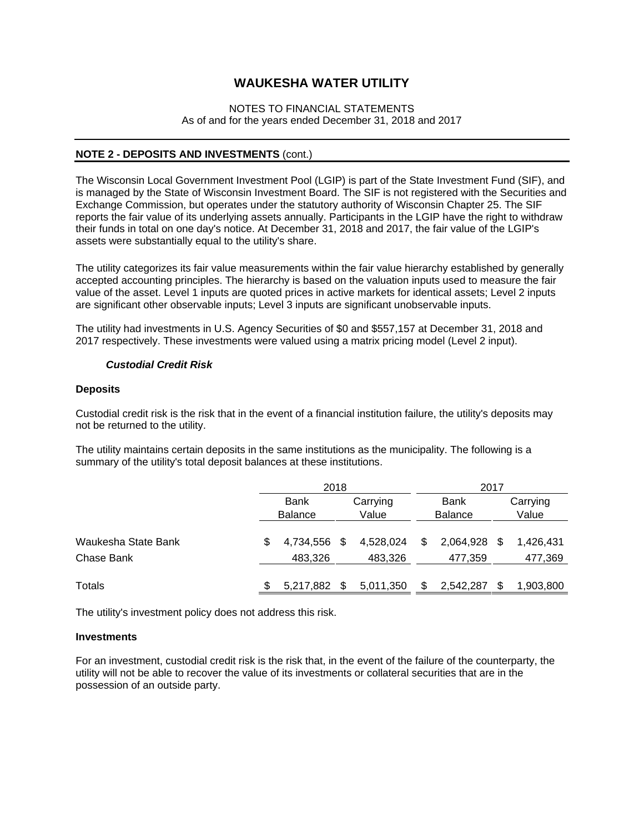#### NOTES TO FINANCIAL STATEMENTS As of and for the years ended December 31, 2018 and 2017

#### **NOTE 2 - DEPOSITS AND INVESTMENTS** (cont.)

The Wisconsin Local Government Investment Pool (LGIP) is part of the State Investment Fund (SIF), and is managed by the State of Wisconsin Investment Board. The SIF is not registered with the Securities and Exchange Commission, but operates under the statutory authority of Wisconsin Chapter 25. The SIF reports the fair value of its underlying assets annually. Participants in the LGIP have the right to withdraw their funds in total on one day's notice. At December 31, 2018 and 2017, the fair value of the LGIP's assets were substantially equal to the utility's share.

The utility categorizes its fair value measurements within the fair value hierarchy established by generally accepted accounting principles. The hierarchy is based on the valuation inputs used to measure the fair value of the asset. Level 1 inputs are quoted prices in active markets for identical assets; Level 2 inputs are significant other observable inputs; Level 3 inputs are significant unobservable inputs.

The utility had investments in U.S. Agency Securities of \$0 and \$557,157 at December 31, 2018 and 2017 respectively. These investments were valued using a matrix pricing model (Level 2 input).

#### *Custodial Credit Risk*

#### **Deposits**

Custodial credit risk is the risk that in the event of a financial institution failure, the utility's deposits may not be returned to the utility.

The utility maintains certain deposits in the same institutions as the municipality. The following is a summary of the utility's total deposit balances at these institutions.

|                     | 2018                    |             |    | 2017                    |   |           |          |           |
|---------------------|-------------------------|-------------|----|-------------------------|---|-----------|----------|-----------|
|                     |                         | <b>Bank</b> |    | <b>Bank</b><br>Carrying |   |           | Carrying |           |
|                     | Value<br><b>Balance</b> |             |    | <b>Balance</b>          |   | Value     |          |           |
|                     |                         |             |    |                         |   |           |          |           |
| Waukesha State Bank |                         | 4.734.556   | S. | 4,528,024               | S | 2.064.928 | \$.      | 1.426.431 |
| Chase Bank          |                         | 483,326     |    | 483,326                 |   | 477,359   |          | 477,369   |
|                     |                         |             |    |                         |   |           |          |           |
| Totals              |                         | 5,217,882   |    | 5,011,350               |   | 2,542,287 |          | 1,903,800 |

The utility's investment policy does not address this risk.

#### **Investments**

For an investment, custodial credit risk is the risk that, in the event of the failure of the counterparty, the utility will not be able to recover the value of its investments or collateral securities that are in the possession of an outside party.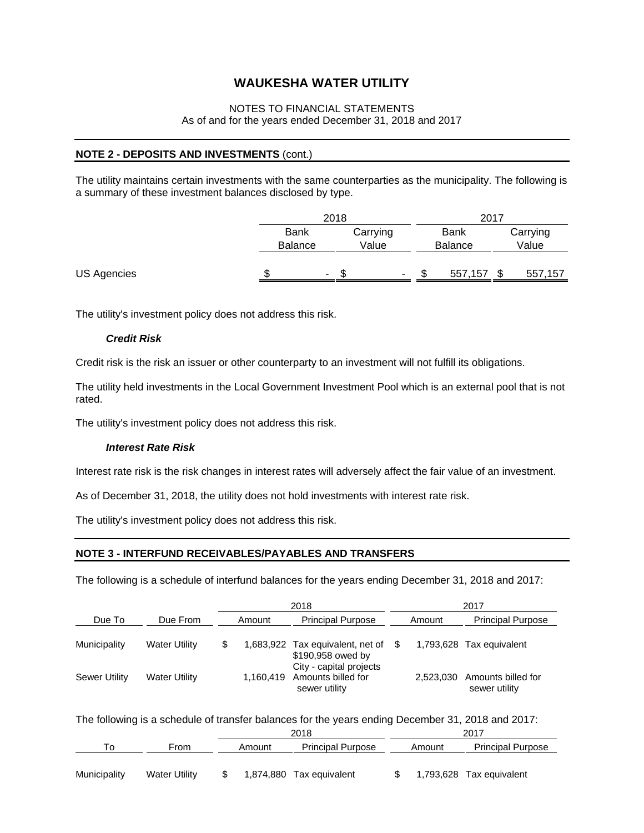### NOTES TO FINANCIAL STATEMENTS As of and for the years ended December 31, 2018 and 2017

### **NOTE 2 - DEPOSITS AND INVESTMENTS** (cont.)

The utility maintains certain investments with the same counterparties as the municipality. The following is a summary of these investment balances disclosed by type.

|             | 2018           |        |          | 2017 |             |                |          |         |
|-------------|----------------|--------|----------|------|-------------|----------------|----------|---------|
|             | <b>Bank</b>    |        | Carrying |      | <b>Bank</b> |                | Carrying |         |
|             | <b>Balance</b> |        | Value    |      |             | <b>Balance</b> |          | Value   |
|             |                |        |          |      |             |                |          |         |
| US Agencies |                | $\sim$ | ۰D       | ۰.   |             | 557,157        |          | 557,157 |

The utility's investment policy does not address this risk.

#### *Credit Risk*

Credit risk is the risk an issuer or other counterparty to an investment will not fulfill its obligations.

The utility held investments in the Local Government Investment Pool which is an external pool that is not rated.

The utility's investment policy does not address this risk.

#### *Interest Rate Risk*

Interest rate risk is the risk changes in interest rates will adversely affect the fair value of an investment.

As of December 31, 2018, the utility does not hold investments with interest rate risk.

The utility's investment policy does not address this risk.

#### **NOTE 3 - INTERFUND RECEIVABLES/PAYABLES AND TRANSFERS**

The following is a schedule of interfund balances for the years ending December 31, 2018 and 2017:

|                      |                      | 2018 |        |                                                                          |     |           | 2017                                |
|----------------------|----------------------|------|--------|--------------------------------------------------------------------------|-----|-----------|-------------------------------------|
| Due To               | Due From             |      | Amount | <b>Principal Purpose</b>                                                 |     | Amount    | <b>Principal Purpose</b>            |
| Municipality         | <b>Water Utility</b> | S    |        | 1,683,922 Tax equivalent, net of<br>\$190,958 owed by                    | - S |           | 1,793,628 Tax equivalent            |
| <b>Sewer Utility</b> | <b>Water Utility</b> |      |        | City - capital projects<br>1,160,419 Amounts billed for<br>sewer utility |     | 2.523.030 | Amounts billed for<br>sewer utility |

The following is a schedule of transfer balances for the years ending December 31, 2018 and 2017:

|              |               | 2018 |           |                          |  |        | 2017                     |
|--------------|---------------|------|-----------|--------------------------|--|--------|--------------------------|
| ۱o           | From          |      | Amount    | <b>Principal Purpose</b> |  | Amount | <b>Principal Purpose</b> |
|              |               |      |           |                          |  |        |                          |
| Municipality | Water Utility |      | 1,874,880 | Tax equivalent           |  |        | 1,793,628 Tax equivalent |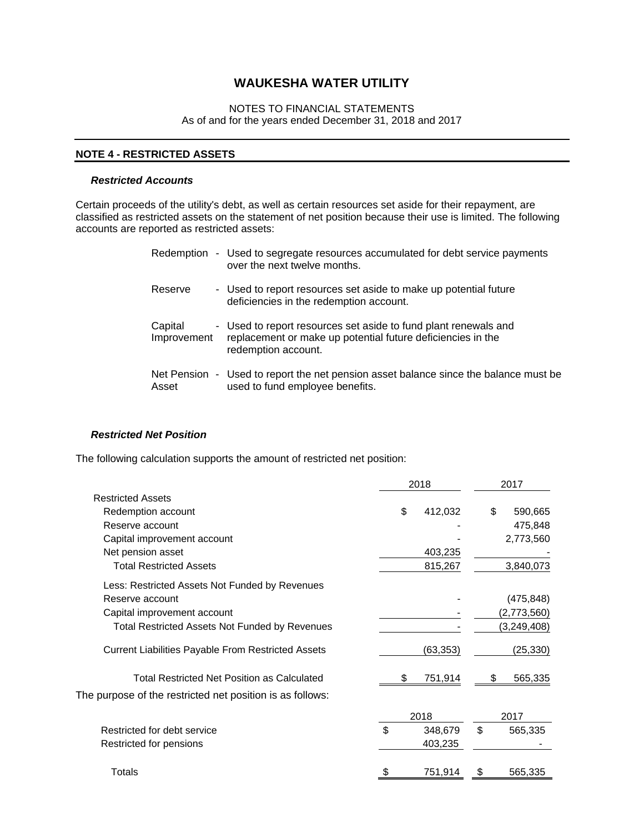### NOTES TO FINANCIAL STATEMENTS As of and for the years ended December 31, 2018 and 2017

#### **NOTE 4 - RESTRICTED ASSETS**

#### *Restricted Accounts*

Certain proceeds of the utility's debt, as well as certain resources set aside for their repayment, are classified as restricted assets on the statement of net position because their use is limited. The following accounts are reported as restricted assets:

|                        | Redemption - Used to segregate resources accumulated for debt service payments<br>over the next twelve months.                                        |
|------------------------|-------------------------------------------------------------------------------------------------------------------------------------------------------|
| Reserve                | - Used to report resources set aside to make up potential future<br>deficiencies in the redemption account.                                           |
| Capital<br>Improvement | - Used to report resources set aside to fund plant renewals and<br>replacement or make up potential future deficiencies in the<br>redemption account. |
| Asset                  | Net Pension - Used to report the net pension asset balance since the balance must be<br>used to fund employee benefits.                               |

### *Restricted Net Position*

The following calculation supports the amount of restricted net position:

|                                                           | 2018          | 2017 |               |  |
|-----------------------------------------------------------|---------------|------|---------------|--|
| <b>Restricted Assets</b>                                  |               |      |               |  |
| Redemption account                                        | \$<br>412,032 | \$   | 590,665       |  |
| Reserve account                                           |               |      | 475,848       |  |
| Capital improvement account                               |               |      | 2,773,560     |  |
| Net pension asset                                         | 403,235       |      |               |  |
| <b>Total Restricted Assets</b>                            | 815,267       |      | 3,840,073     |  |
| Less: Restricted Assets Not Funded by Revenues            |               |      |               |  |
| Reserve account                                           |               |      | (475, 848)    |  |
| Capital improvement account                               |               |      | (2,773,560)   |  |
| <b>Total Restricted Assets Not Funded by Revenues</b>     |               |      | (3, 249, 408) |  |
| <b>Current Liabilities Payable From Restricted Assets</b> | (63, 353)     |      | (25, 330)     |  |
| Total Restricted Net Position as Calculated               | 751,914       |      | 565,335       |  |
| The purpose of the restricted net position is as follows: |               |      |               |  |
|                                                           | 2018          |      | 2017          |  |
| Restricted for debt service                               | \$<br>348,679 | \$   | 565,335       |  |
| Restricted for pensions                                   | 403,235       |      |               |  |
| Totals                                                    | \$<br>751,914 | S    | 565,335       |  |
|                                                           |               |      |               |  |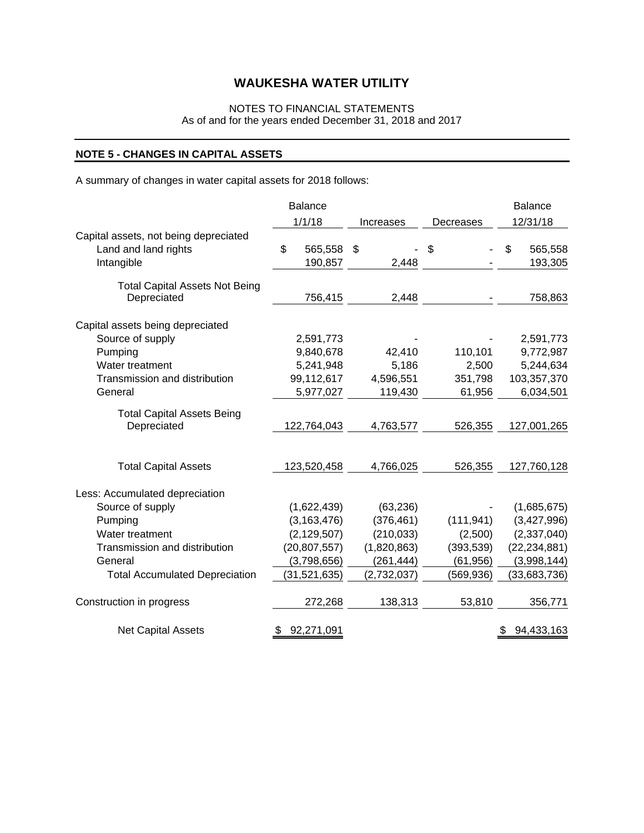## NOTES TO FINANCIAL STATEMENTS

As of and for the years ended December 31, 2018 and 2017

## **NOTE 5 - CHANGES IN CAPITAL ASSETS**

A summary of changes in water capital assets for 2018 follows:

|                                       | <b>Balance</b>   |                  |            | <b>Balance</b>   |
|---------------------------------------|------------------|------------------|------------|------------------|
|                                       | 1/1/18           | <b>Increases</b> | Decreases  | 12/31/18         |
| Capital assets, not being depreciated |                  |                  |            |                  |
| Land and land rights                  | \$<br>565,558    | \$               | \$         | \$<br>565,558    |
| Intangible                            | 190,857          | 2,448            |            | 193,305          |
| <b>Total Capital Assets Not Being</b> |                  |                  |            |                  |
| Depreciated                           | 756,415          | 2,448            |            | 758,863          |
| Capital assets being depreciated      |                  |                  |            |                  |
| Source of supply                      | 2,591,773        |                  |            | 2,591,773        |
| Pumping                               | 9,840,678        | 42,410           | 110,101    | 9,772,987        |
| Water treatment                       | 5,241,948        | 5,186            | 2,500      | 5,244,634        |
| Transmission and distribution         | 99,112,617       | 4,596,551        | 351,798    | 103,357,370      |
| General                               | 5,977,027        | 119,430          | 61,956     | 6,034,501        |
| <b>Total Capital Assets Being</b>     |                  |                  |            |                  |
| Depreciated                           | 122,764,043      | 4,763,577        | 526,355    | 127,001,265      |
| <b>Total Capital Assets</b>           | 123,520,458      | 4,766,025        | 526,355    | 127,760,128      |
| Less: Accumulated depreciation        |                  |                  |            |                  |
| Source of supply                      | (1,622,439)      | (63, 236)        |            | (1,685,675)      |
| Pumping                               | (3, 163, 476)    | (376, 461)       | (111, 941) | (3,427,996)      |
| Water treatment                       | (2, 129, 507)    | (210, 033)       | (2,500)    | (2, 337, 040)    |
| Transmission and distribution         | (20, 807, 557)   | (1,820,863)      | (393, 539) | (22, 234, 881)   |
| General                               | (3,798,656)      | (261, 444)       | (61, 956)  | (3,998,144)      |
| <b>Total Accumulated Depreciation</b> | (31, 521, 635)   | (2,732,037)      | (569,936)  | (33,683,736)     |
| Construction in progress              | 272,268          | 138,313          | 53,810     | 356,771          |
| <b>Net Capital Assets</b>             | 92,271,091<br>\$ |                  |            | 94,433,163<br>\$ |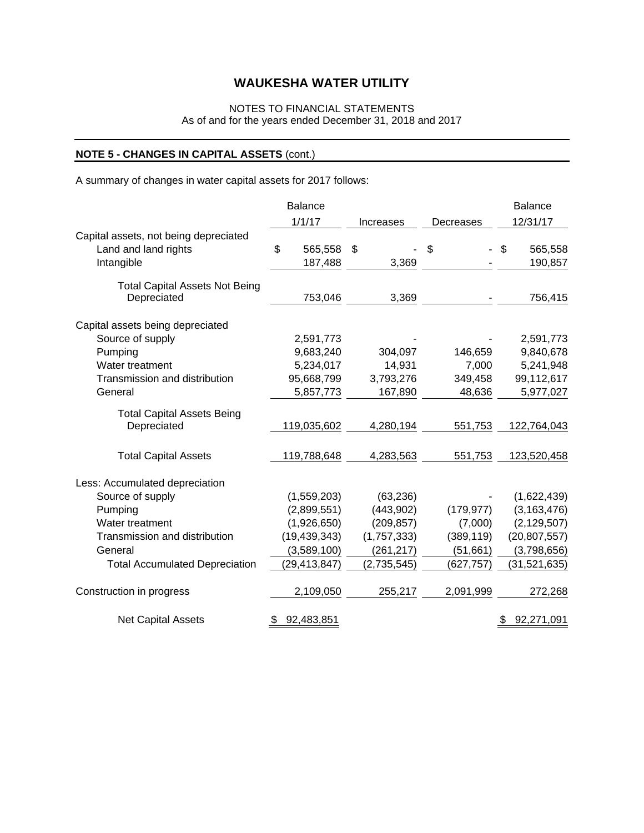## NOTES TO FINANCIAL STATEMENTS

### As of and for the years ended December 31, 2018 and 2017

## **NOTE 5 - CHANGES IN CAPITAL ASSETS** (cont.)

A summary of changes in water capital assets for 2017 follows:

|                                       | <b>Balance</b>   |             |                                | <b>Balance</b>            |
|---------------------------------------|------------------|-------------|--------------------------------|---------------------------|
|                                       | 1/1/17           | Increases   | Decreases                      | 12/31/17                  |
| Capital assets, not being depreciated |                  |             |                                |                           |
| Land and land rights                  | \$<br>565,558    | \$          | \$<br>$\overline{\phantom{0}}$ | $\mathfrak{S}$<br>565,558 |
| Intangible                            | 187,488          | 3,369       |                                | 190,857                   |
| <b>Total Capital Assets Not Being</b> |                  |             |                                |                           |
| Depreciated                           | 753,046          | 3,369       |                                | 756,415                   |
| Capital assets being depreciated      |                  |             |                                |                           |
| Source of supply                      | 2,591,773        |             |                                | 2,591,773                 |
| Pumping                               | 9,683,240        | 304,097     | 146,659                        | 9,840,678                 |
| Water treatment                       | 5,234,017        | 14,931      | 7,000                          | 5,241,948                 |
| Transmission and distribution         | 95,668,799       | 3,793,276   | 349,458                        | 99,112,617                |
| General                               | 5,857,773        | 167,890     | 48,636                         | 5,977,027                 |
| <b>Total Capital Assets Being</b>     |                  |             |                                |                           |
| Depreciated                           | 119,035,602      | 4,280,194   | 551,753                        | 122,764,043               |
| <b>Total Capital Assets</b>           | 119,788,648      | 4,283,563   | 551,753                        | 123,520,458               |
| Less: Accumulated depreciation        |                  |             |                                |                           |
| Source of supply                      | (1,559,203)      | (63, 236)   |                                | (1,622,439)               |
| Pumping                               | (2,899,551)      | (443,902)   | (179, 977)                     | (3, 163, 476)             |
| Water treatment                       | (1,926,650)      | (209, 857)  | (7,000)                        | (2, 129, 507)             |
| Transmission and distribution         | (19, 439, 343)   | (1,757,333) | (389, 119)                     | (20, 807, 557)            |
| General                               | (3,589,100)      | (261, 217)  | (51,661)                       | (3,798,656)               |
| <b>Total Accumulated Depreciation</b> | (29, 413, 847)   | (2,735,545) | (627, 757)                     | (31, 521, 635)            |
| Construction in progress              | 2,109,050        | 255,217     | 2,091,999                      | 272,268                   |
| <b>Net Capital Assets</b>             | 92,483,851<br>\$ |             |                                | \$<br>92,271,091          |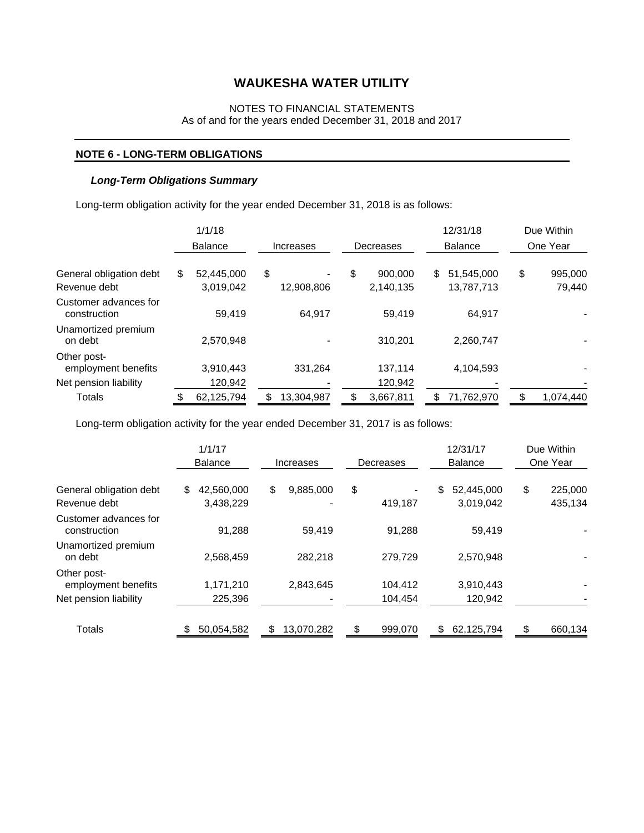#### NOTES TO FINANCIAL STATEMENTS As of and for the years ended December 31, 2018 and 2017

#### **NOTE 6 - LONG-TERM OBLIGATIONS**

#### *Long-Term Obligations Summary*

Long-term obligation activity for the year ended December 31, 2018 is as follows:

|                                         | 1/1/18                        |                  |                            |    | 12/31/18                 | Due Within              |
|-----------------------------------------|-------------------------------|------------------|----------------------------|----|--------------------------|-------------------------|
|                                         | <b>Balance</b>                | Increases        | Decreases                  |    | <b>Balance</b>           | One Year                |
| General obligation debt<br>Revenue debt | \$<br>52.445.000<br>3,019,042 | \$<br>12,908,806 | \$<br>900,000<br>2,140,135 | \$ | 51.545.000<br>13,787,713 | \$<br>995,000<br>79,440 |
| Customer advances for<br>construction   | 59,419                        | 64,917           | 59.419                     |    | 64.917                   |                         |
| Unamortized premium<br>on debt          | 2,570,948                     |                  | 310.201                    |    | 2.260.747                |                         |
| Other post-<br>employment benefits      | 3,910,443                     | 331,264          | 137,114                    |    | 4,104,593                |                         |
| Net pension liability                   | 120,942                       |                  | 120,942                    |    |                          |                         |
| <b>Totals</b>                           | 62,125,794                    | 13,304,987       | 3,667,811                  | S  | 71,762,970               | 1,074,440               |

Long-term obligation activity for the year ended December 31, 2017 is as follows:

|                                                             | 1/1/17<br><b>Balance</b>      | Increases       | Decreases          | 12/31/17<br><b>Balance</b>    | Due Within<br>One Year   |
|-------------------------------------------------------------|-------------------------------|-----------------|--------------------|-------------------------------|--------------------------|
| General obligation debt<br>Revenue debt                     | \$<br>42,560,000<br>3,438,229 | \$<br>9,885,000 | \$<br>419,187      | 52,445,000<br>\$<br>3,019,042 | \$<br>225,000<br>435,134 |
| Customer advances for<br>construction                       | 91.288                        | 59.419          | 91.288             | 59.419                        |                          |
| Unamortized premium<br>on debt                              | 2,568,459                     | 282,218         | 279,729            | 2,570,948                     |                          |
| Other post-<br>employment benefits<br>Net pension liability | 1,171,210<br>225,396          | 2.843.645       | 104,412<br>104,454 | 3.910.443<br>120,942          |                          |
| Totals                                                      | 50,054,582                    | 13,070,282      | S<br>999,070       | 62,125,794                    | \$<br>660,134            |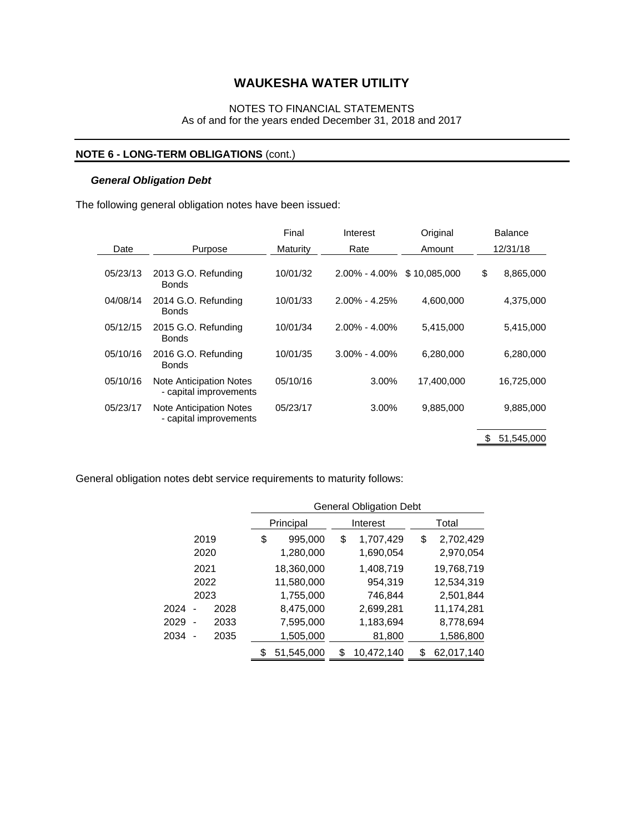### NOTES TO FINANCIAL STATEMENTS As of and for the years ended December 31, 2018 and 2017

## **NOTE 6 - LONG-TERM OBLIGATIONS** (cont.)

#### *General Obligation Debt*

The following general obligation notes have been issued:

|          |                                                          | Final    | Interest          | Original     | <b>Balance</b>  |
|----------|----------------------------------------------------------|----------|-------------------|--------------|-----------------|
| Date     | Purpose                                                  | Maturity | Rate              | Amount       | 12/31/18        |
| 05/23/13 | 2013 G.O. Refunding<br><b>Bonds</b>                      | 10/01/32 | $2.00\% - 4.00\%$ | \$10.085.000 | \$<br>8,865,000 |
| 04/08/14 | 2014 G.O. Refunding<br><b>Bonds</b>                      | 10/01/33 | $2.00\% - 4.25\%$ | 4,600,000    | 4,375,000       |
| 05/12/15 | 2015 G.O. Refunding<br><b>Bonds</b>                      | 10/01/34 | $2.00\% - 4.00\%$ | 5,415,000    | 5,415,000       |
| 05/10/16 | 2016 G.O. Refunding<br><b>Bonds</b>                      | 10/01/35 | $3.00\% - 4.00\%$ | 6,280,000    | 6,280,000       |
| 05/10/16 | Note Anticipation Notes<br>- capital improvements        | 05/10/16 | 3.00%             | 17,400,000   | 16,725,000      |
| 05/23/17 | <b>Note Anticipation Notes</b><br>- capital improvements | 05/23/17 | 3.00%             | 9,885,000    | 9,885,000       |
|          |                                                          |          |                   |              | 51,545,000      |

General obligation notes debt service requirements to maturity follows:

|      |                                  | <b>General Obligation Debt</b> |    |            |       |            |  |
|------|----------------------------------|--------------------------------|----|------------|-------|------------|--|
|      |                                  | Principal                      |    | Interest   | Total |            |  |
|      | 2019                             | \$<br>995,000                  | \$ | 1,707,429  | \$    | 2,702,429  |  |
|      | 2020                             | 1,280,000                      |    | 1,690,054  |       | 2,970,054  |  |
|      | 2021                             | 18,360,000                     |    | 1,408,719  |       | 19,768,719 |  |
|      | 2022                             | 11,580,000                     |    | 954,319    |       | 12,534,319 |  |
|      | 2023                             | 1,755,000                      |    | 746,844    |       | 2,501,844  |  |
| 2024 | 2028                             | 8,475,000                      |    | 2,699,281  |       | 11,174,281 |  |
| 2029 | 2033<br>$\overline{\phantom{a}}$ | 7,595,000                      |    | 1,183,694  |       | 8,778,694  |  |
| 2034 | 2035                             | 1,505,000                      |    | 81,800     |       | 1,586,800  |  |
|      |                                  | \$<br>51,545,000               | S  | 10,472,140 | \$    | 62,017,140 |  |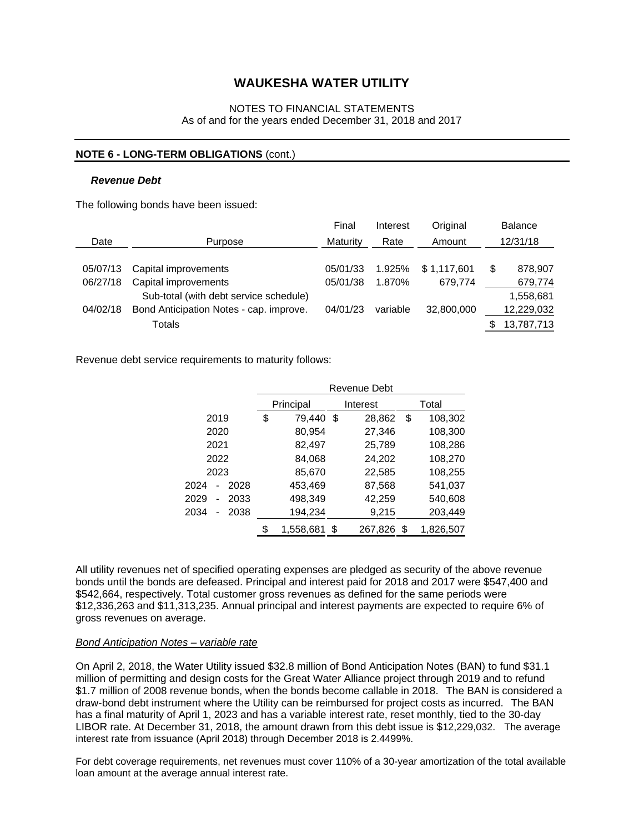#### NOTES TO FINANCIAL STATEMENTS As of and for the years ended December 31, 2018 and 2017

#### **NOTE 6 - LONG-TERM OBLIGATIONS** (cont.)

#### *Revenue Debt*

The following bonds have been issued:

|          |                                         | Final    | Interest | Original    |   | <b>Balance</b> |
|----------|-----------------------------------------|----------|----------|-------------|---|----------------|
| Date     | Purpose                                 | Maturity | Rate     | Amount      |   | 12/31/18       |
| 05/07/13 | Capital improvements                    | 05/01/33 | 1.925%   | \$1.117.601 | S | 878,907        |
| 06/27/18 | Capital improvements                    | 05/01/38 | 1.870%   | 679.774     |   | 679,774        |
|          | Sub-total (with debt service schedule)  |          |          |             |   | 1,558,681      |
| 04/02/18 | Bond Anticipation Notes - cap. improve. | 04/01/23 | variable | 32,800,000  |   | 12,229,032     |
|          | Totals                                  |          |          |             |   | 13,787,713     |

Revenue debt service requirements to maturity follows:

|                                      |      | Revenue Debt |           |     |          |       |           |  |
|--------------------------------------|------|--------------|-----------|-----|----------|-------|-----------|--|
|                                      |      |              | Principal |     | Interest | Total |           |  |
| 2019                                 |      | \$           | 79,440    | -\$ | 28,862   | \$    | 108,302   |  |
| 2020                                 |      |              | 80,954    |     | 27,346   |       | 108,300   |  |
| 2021                                 |      |              | 82,497    |     | 25,789   |       | 108,286   |  |
| 2022                                 |      |              | 84,068    |     | 24,202   |       | 108,270   |  |
| 2023                                 |      |              | 85,670    |     | 22,585   |       | 108,255   |  |
| 2024<br>$\overline{a}$               | 2028 |              | 453,469   |     | 87,568   |       | 541,037   |  |
| 2029<br>$\qquad \qquad \blacksquare$ | 2033 |              | 498,349   |     | 42,259   |       | 540,608   |  |
| 2034                                 | 2038 |              | 194,234   |     | 9,215    |       | 203,449   |  |
|                                      |      | \$           | 1,558,681 | \$  | 267,826  | S     | 1,826,507 |  |

All utility revenues net of specified operating expenses are pledged as security of the above revenue bonds until the bonds are defeased. Principal and interest paid for 2018 and 2017 were \$547,400 and \$542,664, respectively. Total customer gross revenues as defined for the same periods were \$12,336,263 and \$11,313,235. Annual principal and interest payments are expected to require 6% of gross revenues on average.

#### *Bond Anticipation Notes – variable rate*

On April 2, 2018, the Water Utility issued \$32.8 million of Bond Anticipation Notes (BAN) to fund \$31.1 million of permitting and design costs for the Great Water Alliance project through 2019 and to refund \$1.7 million of 2008 revenue bonds, when the bonds become callable in 2018. The BAN is considered a draw-bond debt instrument where the Utility can be reimbursed for project costs as incurred. The BAN has a final maturity of April 1, 2023 and has a variable interest rate, reset monthly, tied to the 30-day LIBOR rate. At December 31, 2018, the amount drawn from this debt issue is \$12,229,032. The average interest rate from issuance (April 2018) through December 2018 is 2.4499%.

For debt coverage requirements, net revenues must cover 110% of a 30-year amortization of the total available loan amount at the average annual interest rate.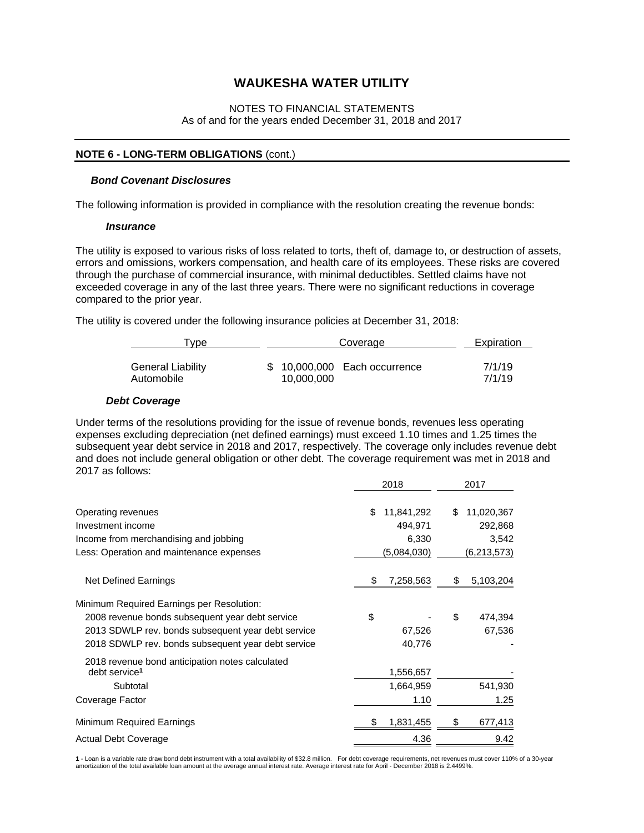#### NOTES TO FINANCIAL STATEMENTS As of and for the years ended December 31, 2018 and 2017

#### **NOTE 6 - LONG-TERM OBLIGATIONS** (cont.)

#### *Bond Covenant Disclosures*

The following information is provided in compliance with the resolution creating the revenue bonds:

#### *Insurance*

The utility is exposed to various risks of loss related to torts, theft of, damage to, or destruction of assets, errors and omissions, workers compensation, and health care of its employees. These risks are covered through the purchase of commercial insurance, with minimal deductibles. Settled claims have not exceeded coverage in any of the last three years. There were no significant reductions in coverage compared to the prior year.

The utility is covered under the following insurance policies at December 31, 2018:

| I vpe             | Coverage                      | Expiration |  |  |
|-------------------|-------------------------------|------------|--|--|
| General Liability | \$ 10,000,000 Each occurrence | 7/1/19     |  |  |
| Automobile        | 10.000.000                    | 7/1/19     |  |  |

#### *Debt Coverage*

Under terms of the resolutions providing for the issue of revenue bonds, revenues less operating expenses excluding depreciation (net defined earnings) must exceed 1.10 times and 1.25 times the subsequent year debt service in 2018 and 2017, respectively. The coverage only includes revenue debt and does not include general obligation or other debt. The coverage requirement was met in 2018 and 2017 as follows:

|                                                                              |    | 2018                  | 2017                        |
|------------------------------------------------------------------------------|----|-----------------------|-----------------------------|
| Operating revenues<br>Investment income                                      | \$ | 11,841,292<br>494,971 | \$<br>11,020,367<br>292,868 |
| Income from merchandising and jobbing                                        |    | 6,330                 | 3,542                       |
| Less: Operation and maintenance expenses                                     |    | (5,084,030)           | (6,213,573)                 |
| Net Defined Earnings                                                         | S  | 7,258,563             | \$<br>5,103,204             |
| Minimum Required Earnings per Resolution:                                    |    |                       |                             |
| 2008 revenue bonds subsequent year debt service                              | \$ |                       | \$<br>474,394               |
| 2013 SDWLP rev. bonds subsequent year debt service                           |    | 67,526                | 67,536                      |
| 2018 SDWLP rev. bonds subsequent year debt service                           |    | 40,776                |                             |
| 2018 revenue bond anticipation notes calculated<br>debt service <sup>1</sup> |    | 1,556,657             |                             |
| Subtotal                                                                     |    | 1,664,959             | 541,930                     |
| Coverage Factor                                                              |    | 1.10                  | 1.25                        |
| Minimum Required Earnings                                                    |    | 1,831,455             | \$<br>677,413               |
| <b>Actual Debt Coverage</b>                                                  |    | 4.36                  | 9.42                        |

**1** - Loan is a variable rate draw bond debt instrument with a total availability of \$32.8 million. For debt coverage requirements, net revenues must cover 110% of a 30-year amortization of the total available loan amount at the average annual interest rate. Average interest rate for April - December 2018 is 2.4499%.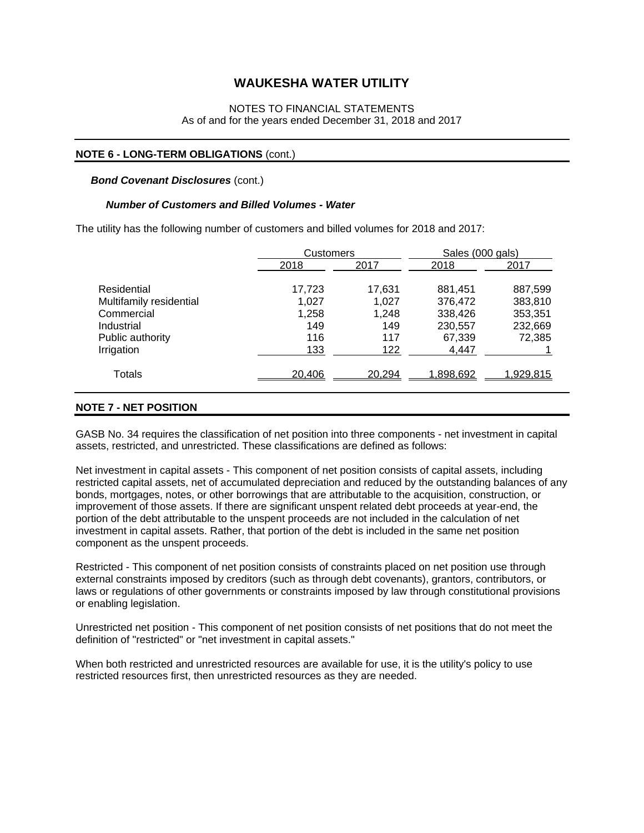#### NOTES TO FINANCIAL STATEMENTS As of and for the years ended December 31, 2018 and 2017

#### **NOTE 6 - LONG-TERM OBLIGATIONS** (cont.)

#### *Bond Covenant Disclosures (cont.)*

#### *Number of Customers and Billed Volumes - Water*

The utility has the following number of customers and billed volumes for 2018 and 2017:

|                         | Customers |        | Sales (000 gals) |                   |
|-------------------------|-----------|--------|------------------|-------------------|
|                         | 2018      | 2017   | 2018             | 2017              |
|                         |           |        |                  |                   |
| Residential             | 17,723    | 17,631 | 881,451          | 887,599           |
| Multifamily residential | 1.027     | 1.027  | 376,472          | 383,810           |
| Commercial              | 1,258     | 1,248  | 338,426          | 353,351           |
| Industrial              | 149       | 149    | 230,557          | 232,669           |
| Public authority        | 116       | 117    | 67,339           | 72,385            |
| Irrigation              | 133       | 122    | 4,447            |                   |
| <b>Totals</b>           | 20,406    | 20,294 | <u>1,898,692</u> | <u>1,929,815 </u> |

#### **NOTE 7 - NET POSITION**

GASB No. 34 requires the classification of net position into three components - net investment in capital assets, restricted, and unrestricted. These classifications are defined as follows:

Net investment in capital assets - This component of net position consists of capital assets, including restricted capital assets, net of accumulated depreciation and reduced by the outstanding balances of any bonds, mortgages, notes, or other borrowings that are attributable to the acquisition, construction, or improvement of those assets. If there are significant unspent related debt proceeds at year-end, the portion of the debt attributable to the unspent proceeds are not included in the calculation of net investment in capital assets. Rather, that portion of the debt is included in the same net position component as the unspent proceeds.

Restricted - This component of net position consists of constraints placed on net position use through external constraints imposed by creditors (such as through debt covenants), grantors, contributors, or laws or regulations of other governments or constraints imposed by law through constitutional provisions or enabling legislation.

Unrestricted net position - This component of net position consists of net positions that do not meet the definition of "restricted" or "net investment in capital assets."

When both restricted and unrestricted resources are available for use, it is the utility's policy to use restricted resources first, then unrestricted resources as they are needed.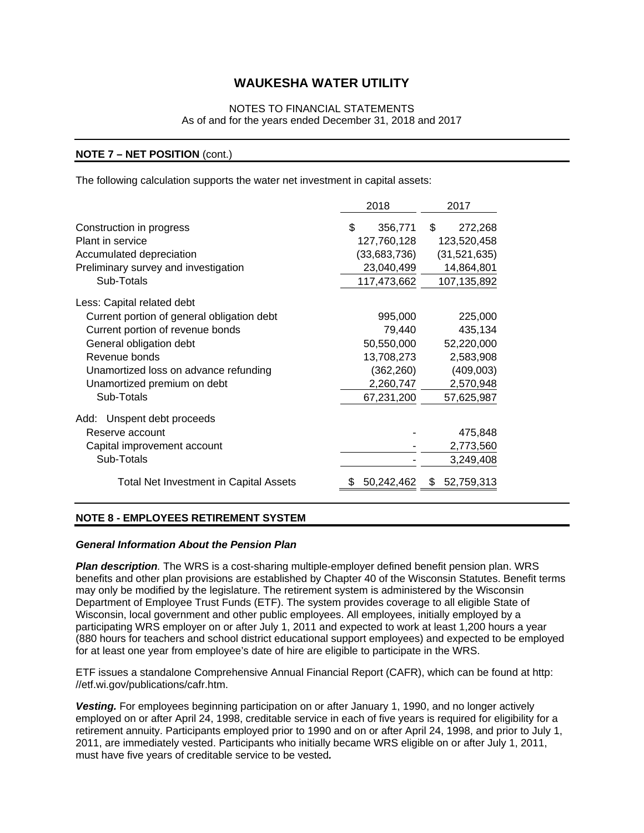### NOTES TO FINANCIAL STATEMENTS As of and for the years ended December 31, 2018 and 2017

#### **NOTE 7 – NET POSITION** (cont.)

The following calculation supports the water net investment in capital assets:

|                                               | 2018          | 2017             |
|-----------------------------------------------|---------------|------------------|
| Construction in progress                      | \$<br>356,771 | \$<br>272,268    |
| Plant in service                              | 127,760,128   | 123,520,458      |
| Accumulated depreciation                      | (33,683,736)  | (31,521,635)     |
| Preliminary survey and investigation          | 23,040,499    | 14,864,801       |
| Sub-Totals                                    | 117,473,662   | 107,135,892      |
| Less: Capital related debt                    |               |                  |
| Current portion of general obligation debt    | 995,000       | 225,000          |
| Current portion of revenue bonds              | 79,440        | 435,134          |
| General obligation debt                       | 50,550,000    | 52,220,000       |
| Revenue bonds                                 | 13,708,273    | 2,583,908        |
| Unamortized loss on advance refunding         | (362, 260)    | (409,003)        |
| Unamortized premium on debt                   | 2,260,747     | 2,570,948        |
| Sub-Totals                                    | 67,231,200    | 57,625,987       |
| Unspent debt proceeds<br>Add:                 |               |                  |
| Reserve account                               |               | 475,848          |
| Capital improvement account                   |               | 2,773,560        |
| Sub-Totals                                    |               | 3,249,408        |
| <b>Total Net Investment in Capital Assets</b> | 50,242,462    | 52,759,313<br>\$ |

#### **NOTE 8 - EMPLOYEES RETIREMENT SYSTEM**

#### *General Information About the Pension Plan*

*Plan description.* The WRS is a cost-sharing multiple-employer defined benefit pension plan. WRS benefits and other plan provisions are established by Chapter 40 of the Wisconsin Statutes. Benefit terms may only be modified by the legislature. The retirement system is administered by the Wisconsin Department of Employee Trust Funds (ETF). The system provides coverage to all eligible State of Wisconsin, local government and other public employees. All employees, initially employed by a participating WRS employer on or after July 1, 2011 and expected to work at least 1,200 hours a year (880 hours for teachers and school district educational support employees) and expected to be employed for at least one year from employee's date of hire are eligible to participate in the WRS.

ETF issues a standalone Comprehensive Annual Financial Report (CAFR), which can be found at http: //etf.wi.gov/publications/cafr.htm.

*Vesting.* For employees beginning participation on or after January 1, 1990, and no longer actively employed on or after April 24, 1998, creditable service in each of five years is required for eligibility for a retirement annuity. Participants employed prior to 1990 and on or after April 24, 1998, and prior to July 1, 2011, are immediately vested. Participants who initially became WRS eligible on or after July 1, 2011, must have five years of creditable service to be vested*.*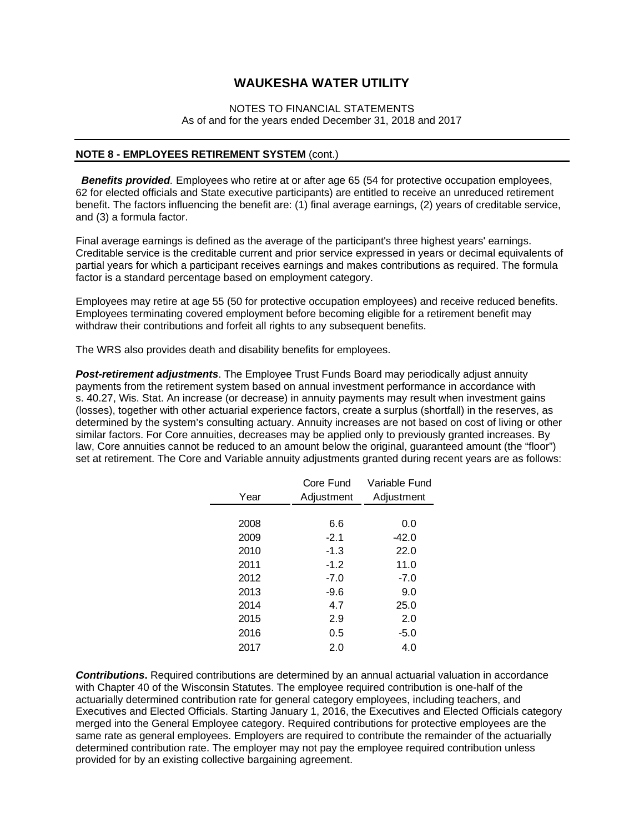#### NOTES TO FINANCIAL STATEMENTS As of and for the years ended December 31, 2018 and 2017

#### **NOTE 8 - EMPLOYEES RETIREMENT SYSTEM** (cont.)

**Benefits provided**. Employees who retire at or after age 65 (54 for protective occupation employees, 62 for elected officials and State executive participants) are entitled to receive an unreduced retirement benefit. The factors influencing the benefit are: (1) final average earnings, (2) years of creditable service, and (3) a formula factor.

Final average earnings is defined as the average of the participant's three highest years' earnings. Creditable service is the creditable current and prior service expressed in years or decimal equivalents of partial years for which a participant receives earnings and makes contributions as required. The formula factor is a standard percentage based on employment category.

Employees may retire at age 55 (50 for protective occupation employees) and receive reduced benefits. Employees terminating covered employment before becoming eligible for a retirement benefit may withdraw their contributions and forfeit all rights to any subsequent benefits.

The WRS also provides death and disability benefits for employees.

*Post-retirement adjustments*. The Employee Trust Funds Board may periodically adjust annuity payments from the retirement system based on annual investment performance in accordance with s. 40.27, Wis. Stat. An increase (or decrease) in annuity payments may result when investment gains (losses), together with other actuarial experience factors, create a surplus (shortfall) in the reserves, as determined by the system's consulting actuary. Annuity increases are not based on cost of living or other similar factors. For Core annuities, decreases may be applied only to previously granted increases. By law, Core annuities cannot be reduced to an amount below the original, guaranteed amount (the "floor") set at retirement. The Core and Variable annuity adjustments granted during recent years are as follows:

|      | Core Fund  | Variable Fund |
|------|------------|---------------|
| Year | Adjustment | Adjustment    |
|      |            |               |
| 2008 | 6.6        | 0.0           |
| 2009 | $-2.1$     | $-42.0$       |
| 2010 | $-1.3$     | 22.0          |
| 2011 | $-1.2$     | 11.0          |
| 2012 | $-7.0$     | $-7.0$        |
| 2013 | $-9.6$     | 9.0           |
| 2014 | 4.7        | 25.0          |
| 2015 | 2.9        | 2.0           |
| 2016 | 0.5        | $-5.0$        |
| 2017 | 2.0        | 4.0           |
|      |            |               |

*Contributions***.** Required contributions are determined by an annual actuarial valuation in accordance with Chapter 40 of the Wisconsin Statutes. The employee required contribution is one-half of the actuarially determined contribution rate for general category employees, including teachers, and Executives and Elected Officials. Starting January 1, 2016, the Executives and Elected Officials category merged into the General Employee category. Required contributions for protective employees are the same rate as general employees. Employers are required to contribute the remainder of the actuarially determined contribution rate. The employer may not pay the employee required contribution unless provided for by an existing collective bargaining agreement.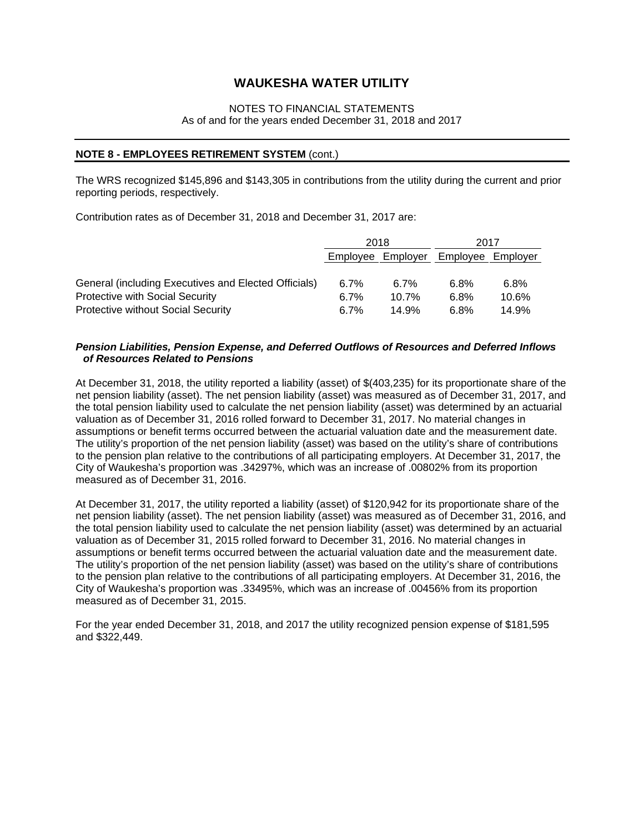#### NOTES TO FINANCIAL STATEMENTS As of and for the years ended December 31, 2018 and 2017

#### **NOTE 8 - EMPLOYEES RETIREMENT SYSTEM** (cont.)

The WRS recognized \$145,896 and \$143,305 in contributions from the utility during the current and prior reporting periods, respectively.

Contribution rates as of December 31, 2018 and December 31, 2017 are:

|                                                      |                   | 2018     |                   | 2017  |
|------------------------------------------------------|-------------------|----------|-------------------|-------|
|                                                      | Employee Employer |          | Employee Employer |       |
|                                                      |                   |          |                   |       |
| General (including Executives and Elected Officials) | 6.7%              | $6.7\%$  | 6.8%              | 6.8%  |
| <b>Protective with Social Security</b>               | 6.7%              | $10.7\%$ | 6.8%              | 10.6% |
| <b>Protective without Social Security</b>            | 6.7%              | 14.9%    | 6.8%              | 14.9% |

#### *Pension Liabilities, Pension Expense, and Deferred Outflows of Resources and Deferred Inflows of Resources Related to Pensions*

At December 31, 2018, the utility reported a liability (asset) of \$(403,235) for its proportionate share of the net pension liability (asset). The net pension liability (asset) was measured as of December 31, 2017, and the total pension liability used to calculate the net pension liability (asset) was determined by an actuarial valuation as of December 31, 2016 rolled forward to December 31, 2017. No material changes in assumptions or benefit terms occurred between the actuarial valuation date and the measurement date. The utility's proportion of the net pension liability (asset) was based on the utility's share of contributions to the pension plan relative to the contributions of all participating employers. At December 31, 2017, the City of Waukesha's proportion was .34297%, which was an increase of .00802% from its proportion measured as of December 31, 2016.

At December 31, 2017, the utility reported a liability (asset) of \$120,942 for its proportionate share of the net pension liability (asset). The net pension liability (asset) was measured as of December 31, 2016, and the total pension liability used to calculate the net pension liability (asset) was determined by an actuarial valuation as of December 31, 2015 rolled forward to December 31, 2016. No material changes in assumptions or benefit terms occurred between the actuarial valuation date and the measurement date. The utility's proportion of the net pension liability (asset) was based on the utility's share of contributions to the pension plan relative to the contributions of all participating employers. At December 31, 2016, the City of Waukesha's proportion was .33495%, which was an increase of .00456% from its proportion measured as of December 31, 2015.

For the year ended December 31, 2018, and 2017 the utility recognized pension expense of \$181,595 and \$322,449.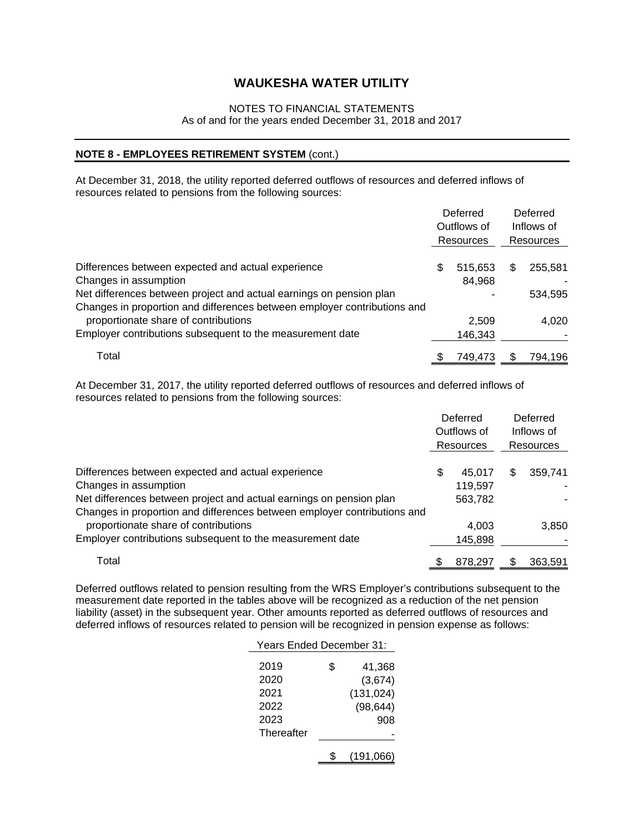#### NOTES TO FINANCIAL STATEMENTS

As of and for the years ended December 31, 2018 and 2017

#### **NOTE 8 - EMPLOYEES RETIREMENT SYSTEM** (cont.)

At December 31, 2018, the utility reported deferred outflows of resources and deferred inflows of resources related to pensions from the following sources:

|                                                                          | Deferred<br>Outflows of<br>Resources |    | Deferred<br>Inflows of<br>Resources |
|--------------------------------------------------------------------------|--------------------------------------|----|-------------------------------------|
|                                                                          |                                      |    |                                     |
| Differences between expected and actual experience                       | \$<br>515,653                        | \$ | 255.581                             |
| Changes in assumption                                                    | 84,968                               |    |                                     |
| Net differences between project and actual earnings on pension plan      |                                      |    | 534,595                             |
| Changes in proportion and differences between employer contributions and |                                      |    |                                     |
| proportionate share of contributions                                     | 2.509                                |    | 4.020                               |
| Employer contributions subsequent to the measurement date                | 146,343                              |    |                                     |
| Total                                                                    | 749,473                              | S  | 794,196                             |

 At December 31, 2017, the utility reported deferred outflows of resources and deferred inflows of resources related to pensions from the following sources:

|                                                                          |   | Deferred<br>Outflows of | Deferred<br>Inflows of |
|--------------------------------------------------------------------------|---|-------------------------|------------------------|
|                                                                          |   | Resources               | Resources              |
| Differences between expected and actual experience                       | S | 45.017                  | \$<br>359.741          |
| Changes in assumption                                                    |   | 119,597                 |                        |
| Net differences between project and actual earnings on pension plan      |   | 563,782                 |                        |
| Changes in proportion and differences between employer contributions and |   |                         |                        |
| proportionate share of contributions                                     |   | 4.003                   | 3,850                  |
| Employer contributions subsequent to the measurement date                |   | 145,898                 |                        |
| Total                                                                    |   | 878,297                 | \$<br>363,591          |

Deferred outflows related to pension resulting from the WRS Employer's contributions subsequent to the measurement date reported in the tables above will be recognized as a reduction of the net pension liability (asset) in the subsequent year. Other amounts reported as deferred outflows of resources and deferred inflows of resources related to pension will be recognized in pension expense as follows:

| Years Ended December 31: |    |            |  |  |  |
|--------------------------|----|------------|--|--|--|
| 2019                     | \$ | 41,368     |  |  |  |
| 2020                     |    | (3,674)    |  |  |  |
| 2021                     |    | (131, 024) |  |  |  |
| 2022                     |    | (98, 644)  |  |  |  |
| 2023                     |    | 908        |  |  |  |
| Thereafter               |    |            |  |  |  |
|                          |    | (191,066)  |  |  |  |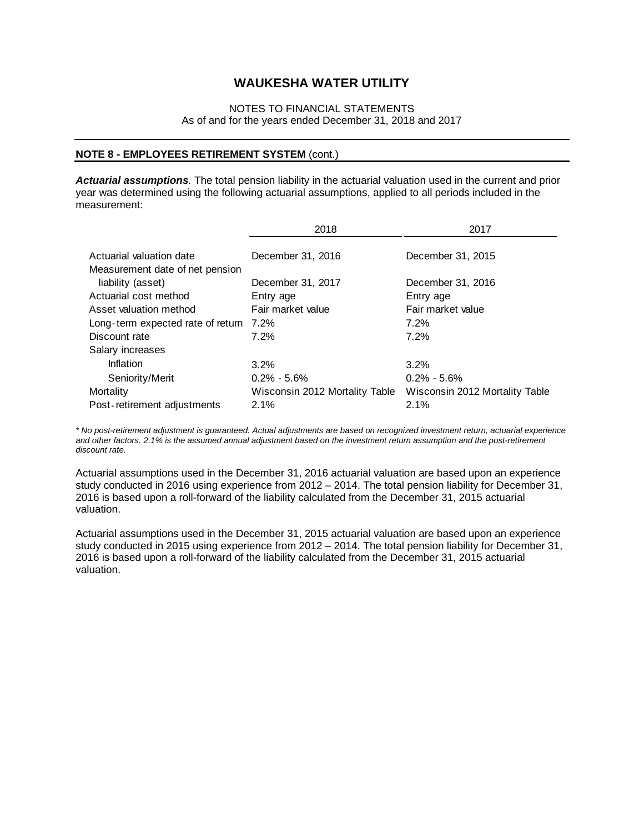### NOTES TO FINANCIAL STATEMENTS As of and for the years ended December 31, 2018 and 2017

#### **NOTE 8 - EMPLOYEES RETIREMENT SYSTEM** (cont.)

*Actuarial assumptions.* The total pension liability in the actuarial valuation used in the current and prior year was determined using the following actuarial assumptions, applied to all periods included in the measurement:

|                                                             | 2018                           | 2017                           |
|-------------------------------------------------------------|--------------------------------|--------------------------------|
| Actuarial valuation date<br>Measurement date of net pension | December 31, 2016              | December 31, 2015              |
| liability (asset)                                           | December 31, 2017              | December 31, 2016              |
| Actuarial cost method                                       | Entry age                      | Entry age                      |
| Asset valuation method                                      | Fair market value              | Fair market value              |
| Long-term expected rate of return 7.2%                      |                                | 7.2%                           |
| Discount rate                                               | 7.2%                           | 7.2%                           |
| Salary increases                                            |                                |                                |
| Inflation                                                   | 3.2%                           | $3.2\%$                        |
| Seniority/Merit                                             | $0.2\% - 5.6\%$                | $0.2\% - 5.6\%$                |
| Mortality                                                   | Wisconsin 2012 Mortality Table | Wisconsin 2012 Mortality Table |
| Post-retirement adjustments                                 | 2.1%                           | 2.1%                           |

*\* No post-retirement adjustment is guaranteed. Actual adjustments are based on recognized investment return, actuarial experience and other factors. 2.1% is the assumed annual adjustment based on the investment return assumption and the post-retirement discount rate.* 

Actuarial assumptions used in the December 31, 2016 actuarial valuation are based upon an experience study conducted in 2016 using experience from 2012 – 2014. The total pension liability for December 31, 2016 is based upon a roll-forward of the liability calculated from the December 31, 2015 actuarial valuation.

Actuarial assumptions used in the December 31, 2015 actuarial valuation are based upon an experience study conducted in 2015 using experience from 2012 – 2014. The total pension liability for December 31, 2016 is based upon a roll-forward of the liability calculated from the December 31, 2015 actuarial valuation.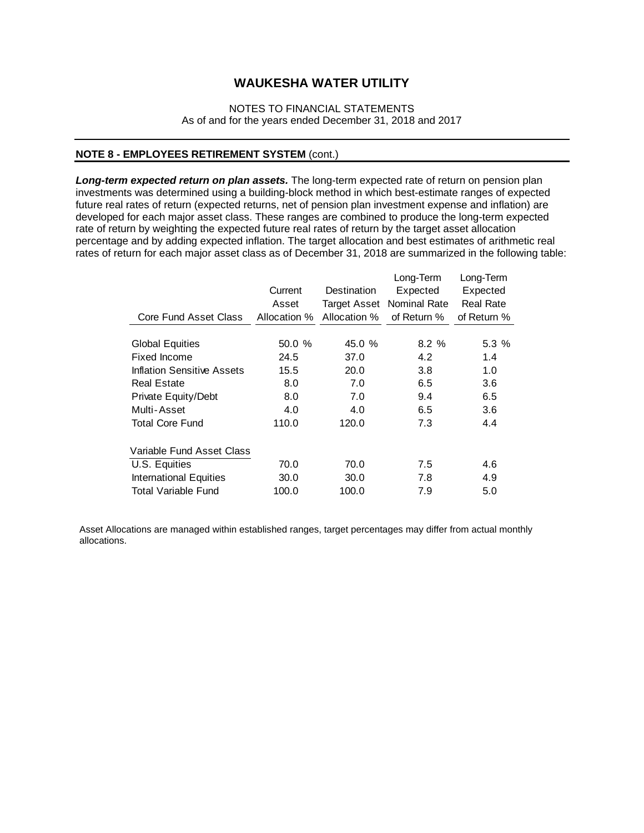### NOTES TO FINANCIAL STATEMENTS As of and for the years ended December 31, 2018 and 2017

#### **NOTE 8 - EMPLOYEES RETIREMENT SYSTEM** (cont.)

*Long-term expected return on plan assets.* The long-term expected rate of return on pension plan investments was determined using a building-block method in which best-estimate ranges of expected future real rates of return (expected returns, net of pension plan investment expense and inflation) are developed for each major asset class. These ranges are combined to produce the long-term expected rate of return by weighting the expected future real rates of return by the target asset allocation percentage and by adding expected inflation. The target allocation and best estimates of arithmetic real rates of return for each major asset class as of December 31, 2018 are summarized in the following table:

|                               | Current      | Destination         | Long-Term<br>Expected | Long-Term<br>Expected |
|-------------------------------|--------------|---------------------|-----------------------|-----------------------|
|                               | Asset        | <b>Target Asset</b> | Nominal Rate          | <b>Real Rate</b>      |
| Core Fund Asset Class         | Allocation % | Allocation %        | of Return %           | of Return %           |
| <b>Global Equities</b>        | 50.0 %       | 45.0 $%$            | 8.2%                  | 5.3%                  |
| Fixed Income                  | 24.5         | 37.0                | 4.2                   | 1.4                   |
| Inflation Sensitive Assets    | 15.5         | 20.0                | 3.8                   | 1.0                   |
| <b>Real Estate</b>            | 8.0          | 7.0                 | 6.5                   | 3.6                   |
| Private Equity/Debt           | 8.0          | 7.0                 | 9.4                   | 6.5                   |
| Multi-Asset                   | 4.0          | 4.0                 | 6.5                   | 3.6                   |
| <b>Total Core Fund</b>        | 110.0        | 120.0               | 7.3                   | 4.4                   |
| Variable Fund Asset Class     |              |                     |                       |                       |
| U.S. Equities                 | 70.0         | 70.0                | 7.5                   | 4.6                   |
| <b>International Equities</b> | 30.0         | 30.0                | 7.8                   | 4.9                   |
| <b>Total Variable Fund</b>    | 100.0        | 100.0               | 7.9                   | 5.0                   |

Asset Allocations are managed within established ranges, target percentages may differ from actual monthly allocations.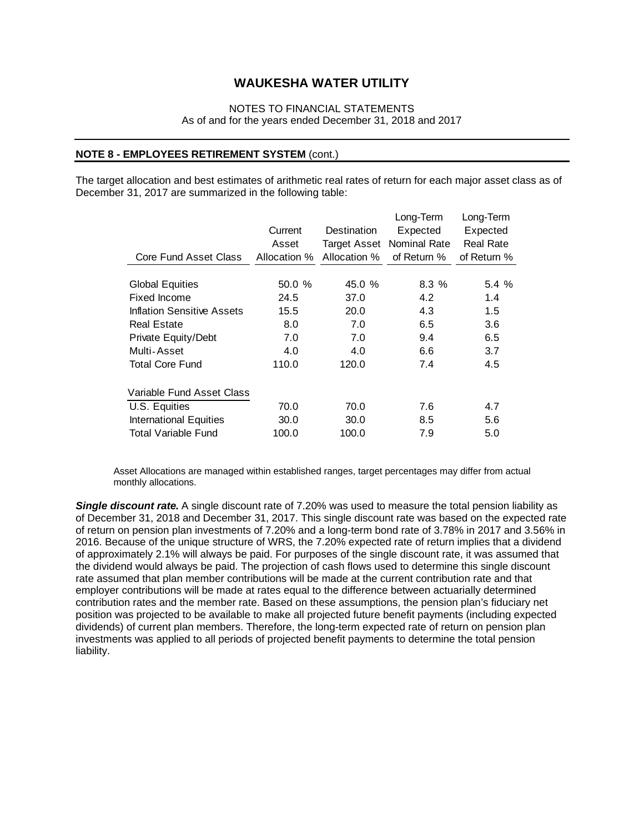#### NOTES TO FINANCIAL STATEMENTS As of and for the years ended December 31, 2018 and 2017

#### **NOTE 8 - EMPLOYEES RETIREMENT SYSTEM** (cont.)

The target allocation and best estimates of arithmetic real rates of return for each major asset class as of December 31, 2017 are summarized in the following table:

|                                        | Current<br>Asset | Destination<br><b>Target Asset</b> | Long-Term<br>Expected<br><b>Nominal Rate</b> | Long-Term<br>Expected<br><b>Real Rate</b> |
|----------------------------------------|------------------|------------------------------------|----------------------------------------------|-------------------------------------------|
| Core Fund Asset Class                  | Allocation %     | Allocation %                       | of Return %                                  | of Return %                               |
| <b>Global Equities</b><br>Fixed Income | 50.0%<br>24.5    | 45.0 %<br>37.0                     | 8.3%<br>4.2                                  | 5.4%<br>1.4                               |
| Inflation Sensitive Assets             | 15.5             | 20.0                               | 4.3                                          | $1.5\,$                                   |
| <b>Real Estate</b>                     | 8.0              | 7.0                                | 6.5                                          | 3.6                                       |
| Private Equity/Debt                    | 7.0              | 7.0                                | 9.4                                          | 6.5                                       |
| Multi-Asset                            | 4.0              | 4.0                                | 6.6                                          | 3.7                                       |
| <b>Total Core Fund</b>                 | 110.0            | 120.0                              | 7.4                                          | 4.5                                       |
| Variable Fund Asset Class              |                  |                                    |                                              |                                           |
| U.S. Equities                          | 70.0             | 70.0                               | 7.6                                          | 4.7                                       |
| <b>International Equities</b>          | 30.0             | 30.0                               | 8.5                                          | 5.6                                       |
| <b>Total Variable Fund</b>             | 100.0            | 100.0                              | 7.9                                          | 5.0                                       |

 Asset Allocations are managed within established ranges, target percentages may differ from actual monthly allocations.

*Single discount rate.* A single discount rate of 7.20% was used to measure the total pension liability as of December 31, 2018 and December 31, 2017. This single discount rate was based on the expected rate of return on pension plan investments of 7.20% and a long-term bond rate of 3.78% in 2017 and 3.56% in 2016. Because of the unique structure of WRS, the 7.20% expected rate of return implies that a dividend of approximately 2.1% will always be paid. For purposes of the single discount rate, it was assumed that the dividend would always be paid. The projection of cash flows used to determine this single discount rate assumed that plan member contributions will be made at the current contribution rate and that employer contributions will be made at rates equal to the difference between actuarially determined contribution rates and the member rate. Based on these assumptions, the pension plan's fiduciary net position was projected to be available to make all projected future benefit payments (including expected dividends) of current plan members. Therefore, the long-term expected rate of return on pension plan investments was applied to all periods of projected benefit payments to determine the total pension liability.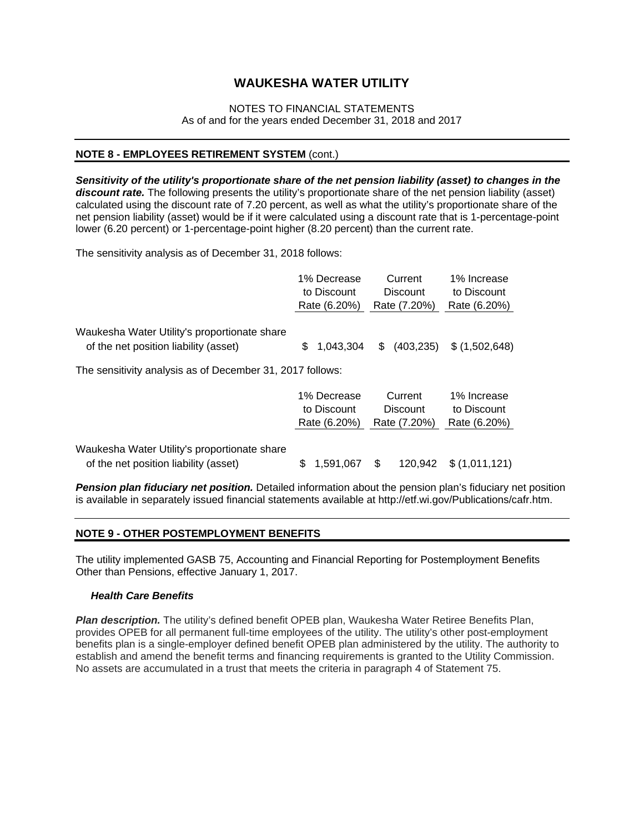### NOTES TO FINANCIAL STATEMENTS As of and for the years ended December 31, 2018 and 2017

### **NOTE 8 - EMPLOYEES RETIREMENT SYSTEM** (cont.)

*Sensitivity of the utility's proportionate share of the net pension liability (asset) to changes in the discount rate.* The following presents the utility's proportionate share of the net pension liability (asset) calculated using the discount rate of 7.20 percent, as well as what the utility's proportionate share of the net pension liability (asset) would be if it were calculated using a discount rate that is 1-percentage-point lower (6.20 percent) or 1-percentage-point higher (8.20 percent) than the current rate.

The sensitivity analysis as of December 31, 2018 follows:

|                                                           | 1% Decrease  | Current         | 1% Increase    |
|-----------------------------------------------------------|--------------|-----------------|----------------|
|                                                           | to Discount  | <b>Discount</b> | to Discount    |
|                                                           | Rate (6.20%) | Rate (7.20%)    | Rate (6.20%)   |
| Waukesha Water Utility's proportionate share              | 1,043,304    | (403, 235)      | \$ (1,502,648) |
| of the net position liability (asset)                     | \$.          | \$              |                |
| The sensitivity analysis as of December 31, 2017 follows: |              |                 |                |
|                                                           | 1% Decrease  | Current         | 1% Increase    |
|                                                           | to Discount  | <b>Discount</b> | to Discount    |
|                                                           | Rate (6.20%) | Rate (7.20%)    | Rate (6.20%)   |
| Waukesha Water Utility's proportionate share              | \$.          | 120.942         | \$(1,011,121)  |
| of the net position liability (asset)                     | 1.591.067    | \$              |                |

**Pension plan fiduciary net position.** Detailed information about the pension plan's fiduciary net position is available in separately issued financial statements available at http://etf.wi.gov/Publications/cafr.htm.

#### **NOTE 9 - OTHER POSTEMPLOYMENT BENEFITS**

The utility implemented GASB 75, Accounting and Financial Reporting for Postemployment Benefits Other than Pensions, effective January 1, 2017.

#### *Health Care Benefits*

*Plan description.* The utility's defined benefit OPEB plan, Waukesha Water Retiree Benefits Plan, provides OPEB for all permanent full-time employees of the utility. The utility's other post-employment benefits plan is a single-employer defined benefit OPEB plan administered by the utility. The authority to establish and amend the benefit terms and financing requirements is granted to the Utility Commission. No assets are accumulated in a trust that meets the criteria in paragraph 4 of Statement 75.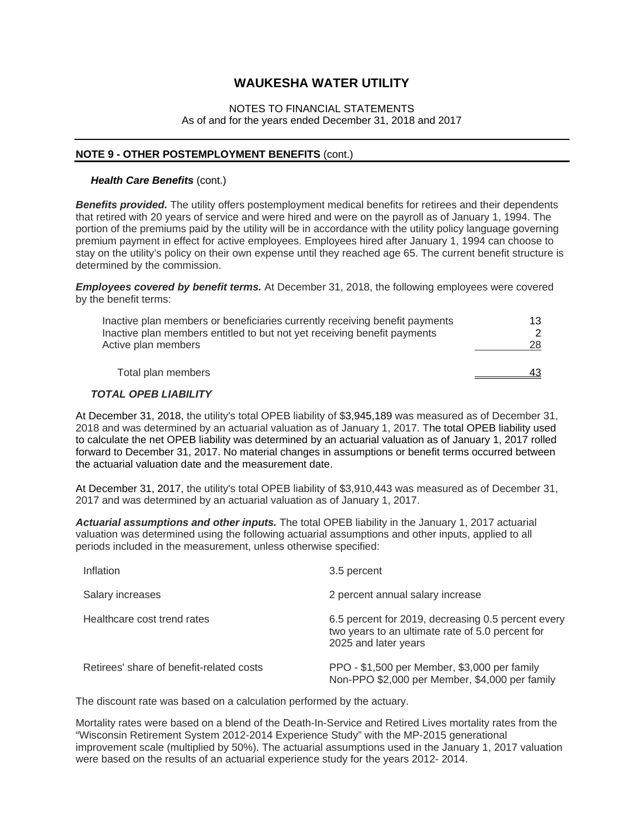#### NOTES TO FINANCIAL STATEMENTS As of and for the years ended December 31, 2018 and 2017

#### **NOTE 9 - OTHER POSTEMPLOYMENT BENEFITS** (cont.)

#### *Health Care Benefits (cont.)*

*Benefits provided.* The utility offers postemployment medical benefits for retirees and their dependents that retired with 20 years of service and were hired and were on the payroll as of January 1, 1994. The portion of the premiums paid by the utility will be in accordance with the utility policy language governing premium payment in effect for active employees. Employees hired after January 1, 1994 can choose to stay on the utility's policy on their own expense until they reached age 65. The current benefit structure is determined by the commission.

*Employees covered by benefit terms.* At December 31, 2018, the following employees were covered by the benefit terms:

| Inactive plan members or beneficiaries currently receiving benefit payments | 13. |
|-----------------------------------------------------------------------------|-----|
| Inactive plan members entitled to but not yet receiving benefit payments    |     |
| Active plan members                                                         | 28. |
|                                                                             |     |
| Total plan members                                                          | 43  |
|                                                                             |     |

#### *TOTAL OPEB LIABILITY*

At December 31, 2018, the utility's total OPEB liability of \$3,945,189 was measured as of December 31, 2018 and was determined by an actuarial valuation as of January 1, 2017. The total OPEB liability used to calculate the net OPEB liability was determined by an actuarial valuation as of January 1, 2017 rolled forward to December 31, 2017. No material changes in assumptions or benefit terms occurred between the actuarial valuation date and the measurement date.

At December 31, 2017, the utility's total OPEB liability of \$3,910,443 was measured as of December 31, 2017 and was determined by an actuarial valuation as of January 1, 2017.

*Actuarial assumptions and other inputs.* The total OPEB liability in the January 1, 2017 actuarial valuation was determined using the following actuarial assumptions and other inputs, applied to all periods included in the measurement, unless otherwise specified:

| Inflation                                | 3.5 percent                                                                                                                    |
|------------------------------------------|--------------------------------------------------------------------------------------------------------------------------------|
| Salary increases                         | 2 percent annual salary increase                                                                                               |
| Healthcare cost trend rates              | 6.5 percent for 2019, decreasing 0.5 percent every<br>two years to an ultimate rate of 5.0 percent for<br>2025 and later years |
| Retirees' share of benefit-related costs | PPO - \$1,500 per Member, \$3,000 per family<br>Non-PPO \$2,000 per Member, \$4,000 per family                                 |

The discount rate was based on a calculation performed by the actuary.

Mortality rates were based on a blend of the Death-In-Service and Retired Lives mortality rates from the "Wisconsin Retirement System 2012-2014 Experience Study" with the MP-2015 generational improvement scale (multiplied by 50%). The actuarial assumptions used in the January 1, 2017 valuation were based on the results of an actuarial experience study for the years 2012- 2014.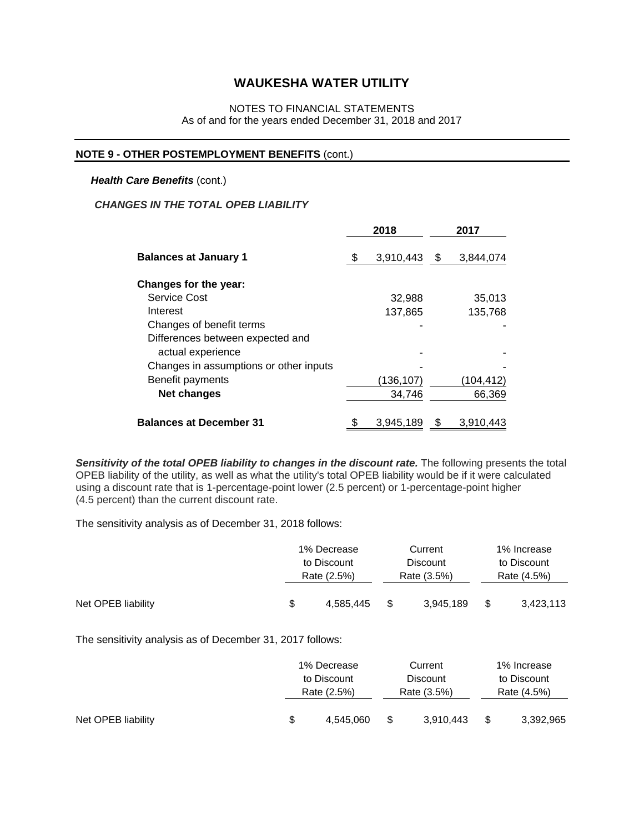### NOTES TO FINANCIAL STATEMENTS As of and for the years ended December 31, 2018 and 2017

#### **NOTE 9 - OTHER POSTEMPLOYMENT BENEFITS** (cont.)

#### *Health Care Benefits (cont.)*

### *CHANGES IN THE TOTAL OPEB LIABILITY*

|                                        |  | 2018      | 2017 |           |  |
|----------------------------------------|--|-----------|------|-----------|--|
| <b>Balances at January 1</b>           |  | 3,910,443 | - \$ | 3,844,074 |  |
| <b>Changes for the year:</b>           |  |           |      |           |  |
| Service Cost                           |  | 32,988    |      | 35,013    |  |
| Interest                               |  | 137,865   |      | 135,768   |  |
| Changes of benefit terms               |  |           |      |           |  |
| Differences between expected and       |  |           |      |           |  |
| actual experience                      |  |           |      |           |  |
| Changes in assumptions or other inputs |  |           |      |           |  |
| Benefit payments                       |  | (136,107) |      | (104,412) |  |
| <b>Net changes</b>                     |  | 34,746    |      | 66,369    |  |
| <b>Balances at December 31</b>         |  | 3,945,189 | \$   | 3,910,443 |  |

*Sensitivity of the total OPEB liability to changes in the discount rate.* The following presents the total OPEB liability of the utility, as well as what the utility's total OPEB liability would be if it were calculated using a discount rate that is 1-percentage-point lower (2.5 percent) or 1-percentage-point higher (4.5 percent) than the current discount rate.

The sensitivity analysis as of December 31, 2018 follows:

|                    | 1% Decrease     |   | Current         |     | 1% Increase |
|--------------------|-----------------|---|-----------------|-----|-------------|
|                    | to Discount     |   | <b>Discount</b> |     | to Discount |
|                    | Rate (2.5%)     |   | Rate (3.5%)     |     | Rate (4.5%) |
| Net OPEB liability | \$<br>4.585.445 | S | 3.945.189       | -\$ | 3,423,113   |

The sensitivity analysis as of December 31, 2017 follows:

|                    | 1% Decrease |           | Current         |           | 1% Increase |           |
|--------------------|-------------|-----------|-----------------|-----------|-------------|-----------|
|                    | to Discount |           | <b>Discount</b> |           | to Discount |           |
|                    | Rate (2.5%) |           | Rate (3.5%)     |           | Rate (4.5%) |           |
| Net OPEB liability | S           | 4.545.060 | S               | 3.910.443 |             | 3,392,965 |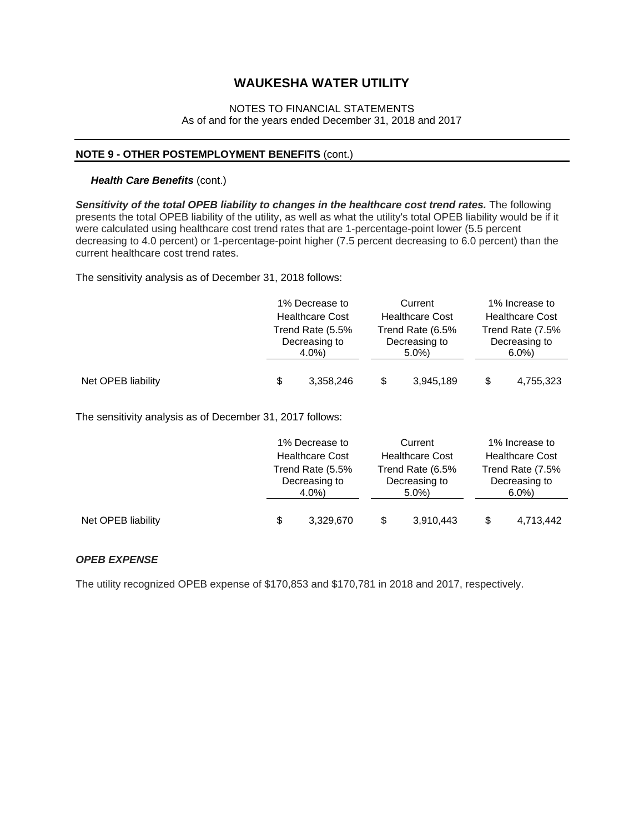### NOTES TO FINANCIAL STATEMENTS As of and for the years ended December 31, 2018 and 2017

#### **NOTE 9 - OTHER POSTEMPLOYMENT BENEFITS** (cont.)

#### *Health Care Benefits (cont.)*

*Sensitivity of the total OPEB liability to changes in the healthcare cost trend rates.* The following presents the total OPEB liability of the utility, as well as what the utility's total OPEB liability would be if it were calculated using healthcare cost trend rates that are 1-percentage-point lower (5.5 percent decreasing to 4.0 percent) or 1-percentage-point higher (7.5 percent decreasing to 6.0 percent) than the current healthcare cost trend rates.

The sensitivity analysis as of December 31, 2018 follows:

|                    | 1% Decrease to                               |           | Current                           |           | 1% Increase to         |           |  |
|--------------------|----------------------------------------------|-----------|-----------------------------------|-----------|------------------------|-----------|--|
|                    | <b>Healthcare Cost</b>                       |           | <b>Healthcare Cost</b>            |           | <b>Healthcare Cost</b> |           |  |
|                    | Trend Rate (5.5%<br>Decreasing to<br>$4.0\%$ |           | Trend Rate (6.5%<br>Decreasing to |           | Trend Rate (7.5%       |           |  |
|                    |                                              |           |                                   |           | Decreasing to          |           |  |
|                    |                                              |           |                                   | $5.0\%$   |                        | $6.0\%$   |  |
| Net OPEB liability | \$                                           | 3,358,246 |                                   | 3,945,189 |                        | 4,755,323 |  |

The sensitivity analysis as of December 31, 2017 follows:

|                    | 1% Decrease to<br><b>Healthcare Cost</b><br>Trend Rate (5.5%<br>Decreasing to<br>4.0%) |           |                                                                        | Current   |                                              | 1% Increase to |  |  |
|--------------------|----------------------------------------------------------------------------------------|-----------|------------------------------------------------------------------------|-----------|----------------------------------------------|----------------|--|--|
|                    |                                                                                        |           | <b>Healthcare Cost</b><br>Trend Rate (6.5%<br>Decreasing to<br>$5.0\%$ |           | <b>Healthcare Cost</b>                       |                |  |  |
|                    |                                                                                        |           |                                                                        |           | Trend Rate (7.5%<br>Decreasing to<br>$6.0\%$ |                |  |  |
|                    |                                                                                        |           |                                                                        |           |                                              |                |  |  |
|                    |                                                                                        |           |                                                                        |           |                                              |                |  |  |
| Net OPEB liability | S                                                                                      | 3,329,670 |                                                                        | 3,910,443 |                                              | 4,713,442      |  |  |

#### *OPEB EXPENSE*

The utility recognized OPEB expense of \$170,853 and \$170,781 in 2018 and 2017, respectively.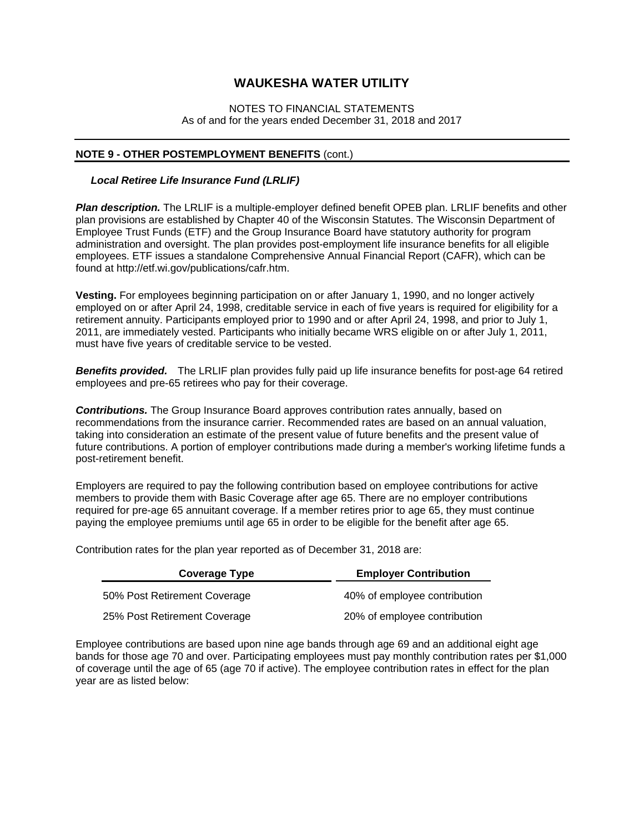#### NOTES TO FINANCIAL STATEMENTS As of and for the years ended December 31, 2018 and 2017

#### **NOTE 9 - OTHER POSTEMPLOYMENT BENEFITS** (cont.)

#### *Local Retiree Life Insurance Fund (LRLIF)*

*Plan description.* The LRLIF is a multiple-employer defined benefit OPEB plan. LRLIF benefits and other plan provisions are established by Chapter 40 of the Wisconsin Statutes. The Wisconsin Department of Employee Trust Funds (ETF) and the Group Insurance Board have statutory authority for program administration and oversight. The plan provides post-employment life insurance benefits for all eligible employees. ETF issues a standalone Comprehensive Annual Financial Report (CAFR), which can be found at http://etf.wi.gov/publications/cafr.htm.

**Vesting.** For employees beginning participation on or after January 1, 1990, and no longer actively employed on or after April 24, 1998, creditable service in each of five years is required for eligibility for a retirement annuity. Participants employed prior to 1990 and or after April 24, 1998, and prior to July 1, 2011, are immediately vested. Participants who initially became WRS eligible on or after July 1, 2011, must have five years of creditable service to be vested.

*Benefits provided.* The LRLIF plan provides fully paid up life insurance benefits for post-age 64 retired employees and pre-65 retirees who pay for their coverage.

*Contributions.* The Group Insurance Board approves contribution rates annually, based on recommendations from the insurance carrier. Recommended rates are based on an annual valuation, taking into consideration an estimate of the present value of future benefits and the present value of future contributions. A portion of employer contributions made during a member's working lifetime funds a post-retirement benefit.

Employers are required to pay the following contribution based on employee contributions for active members to provide them with Basic Coverage after age 65. There are no employer contributions required for pre-age 65 annuitant coverage. If a member retires prior to age 65, they must continue paying the employee premiums until age 65 in order to be eligible for the benefit after age 65.

Contribution rates for the plan year reported as of December 31, 2018 are:

| <b>Coverage Type</b>         | <b>Employer Contribution</b> |
|------------------------------|------------------------------|
| 50% Post Retirement Coverage | 40% of employee contribution |
| 25% Post Retirement Coverage | 20% of employee contribution |

Employee contributions are based upon nine age bands through age 69 and an additional eight age bands for those age 70 and over. Participating employees must pay monthly contribution rates per \$1,000 of coverage until the age of 65 (age 70 if active). The employee contribution rates in effect for the plan year are as listed below: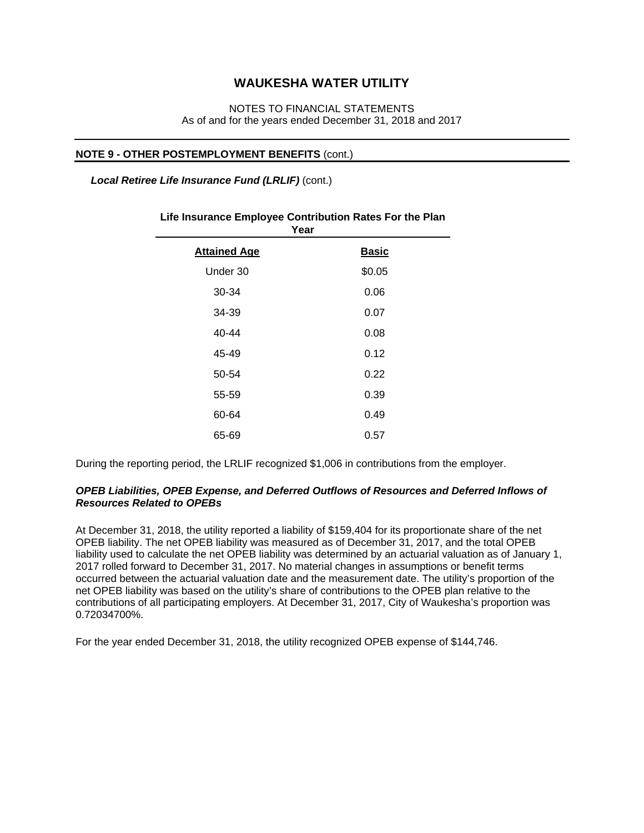### NOTES TO FINANCIAL STATEMENTS As of and for the years ended December 31, 2018 and 2017

#### **NOTE 9 - OTHER POSTEMPLOYMENT BENEFITS** (cont.)

 *Local Retiree Life Insurance Fund (LRLIF)* (cont.)

| ι σαι               |              |
|---------------------|--------------|
| <b>Attained Age</b> | <b>Basic</b> |
| Under 30            | \$0.05       |
| 30-34               | 0.06         |
| 34-39               | 0.07         |
| 40-44               | 0.08         |
| 45-49               | 0.12         |
| 50-54               | 0.22         |
| 55-59               | 0.39         |
| 60-64               | 0.49         |
| 65-69               | 0.57         |

#### **Life Insurance Employee Contribution Rates For the Plan Year**

During the reporting period, the LRLIF recognized \$1,006 in contributions from the employer.

#### *OPEB Liabilities, OPEB Expense, and Deferred Outflows of Resources and Deferred Inflows of Resources Related to OPEBs*

At December 31, 2018, the utility reported a liability of \$159,404 for its proportionate share of the net OPEB liability. The net OPEB liability was measured as of December 31, 2017, and the total OPEB liability used to calculate the net OPEB liability was determined by an actuarial valuation as of January 1, 2017 rolled forward to December 31, 2017. No material changes in assumptions or benefit terms occurred between the actuarial valuation date and the measurement date. The utility's proportion of the net OPEB liability was based on the utility's share of contributions to the OPEB plan relative to the contributions of all participating employers. At December 31, 2017, City of Waukesha's proportion was 0.72034700%.

For the year ended December 31, 2018, the utility recognized OPEB expense of \$144,746.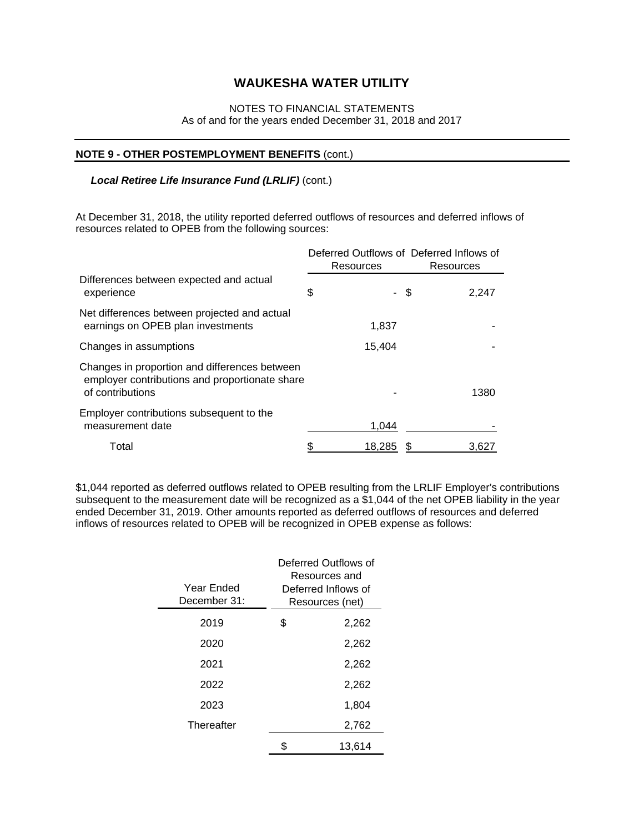### NOTES TO FINANCIAL STATEMENTS As of and for the years ended December 31, 2018 and 2017

#### **NOTE 9 - OTHER POSTEMPLOYMENT BENEFITS** (cont.)

### *Local Retiree Life Insurance Fund (LRLIF)* (cont.)

At December 31, 2018, the utility reported deferred outflows of resources and deferred inflows of resources related to OPEB from the following sources:

|                                                                                                                     | Resources | Deferred Outflows of Deferred Inflows of<br>Resources |
|---------------------------------------------------------------------------------------------------------------------|-----------|-------------------------------------------------------|
| Differences between expected and actual<br>experience                                                               | \$        | - \$<br>2,247                                         |
| Net differences between projected and actual<br>earnings on OPEB plan investments                                   | 1,837     |                                                       |
| Changes in assumptions                                                                                              | 15,404    |                                                       |
| Changes in proportion and differences between<br>employer contributions and proportionate share<br>of contributions |           | 1380                                                  |
| Employer contributions subsequent to the<br>measurement date                                                        | 1.044     |                                                       |
| Total                                                                                                               | 18.285    | 3.62                                                  |

\$1,044 reported as deferred outflows related to OPEB resulting from the LRLIF Employer's contributions subsequent to the measurement date will be recognized as a \$1,044 of the net OPEB liability in the year ended December 31, 2019. Other amounts reported as deferred outflows of resources and deferred inflows of resources related to OPEB will be recognized in OPEB expense as follows:

| Year Ended<br>December 31: | Deferred Outflows of<br>Resources and<br>Deferred Inflows of<br>Resources (net) |
|----------------------------|---------------------------------------------------------------------------------|
| 2019                       | \$<br>2,262                                                                     |
| 2020                       | 2,262                                                                           |
| 2021                       | 2,262                                                                           |
| 2022                       | 2,262                                                                           |
| 2023                       | 1,804                                                                           |
| Thereafter                 | 2,762                                                                           |
|                            | \$<br>13.614                                                                    |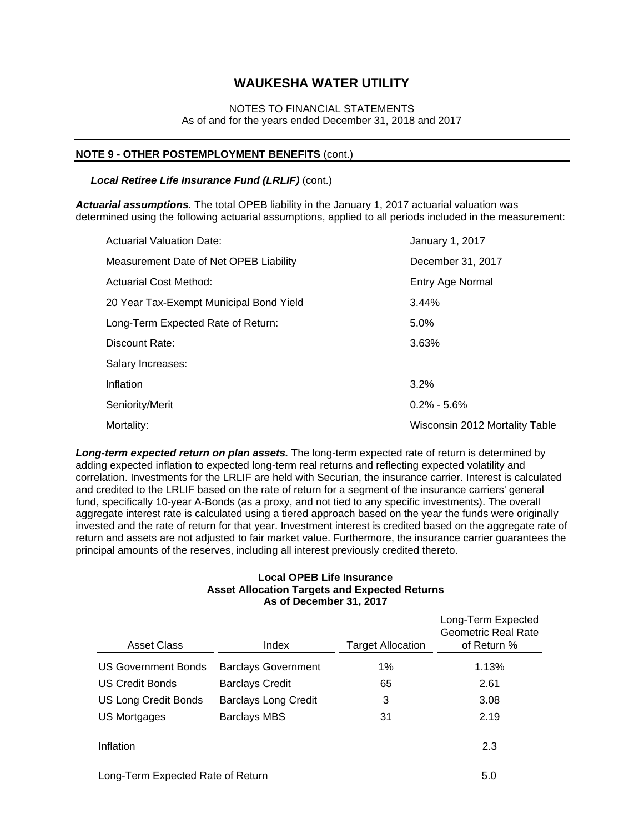### NOTES TO FINANCIAL STATEMENTS As of and for the years ended December 31, 2018 and 2017

#### **NOTE 9 - OTHER POSTEMPLOYMENT BENEFITS** (cont.)

#### *Local Retiree Life Insurance Fund (LRLIF)* (cont.)

*Actuarial assumptions.* The total OPEB liability in the January 1, 2017 actuarial valuation was determined using the following actuarial assumptions, applied to all periods included in the measurement:

| <b>Actuarial Valuation Date:</b>        | January 1, 2017                |
|-----------------------------------------|--------------------------------|
| Measurement Date of Net OPEB Liability  | December 31, 2017              |
| Actuarial Cost Method:                  | Entry Age Normal               |
| 20 Year Tax-Exempt Municipal Bond Yield | 3.44%                          |
| Long-Term Expected Rate of Return:      | 5.0%                           |
| Discount Rate:                          | 3.63%                          |
| Salary Increases:                       |                                |
| Inflation                               | 3.2%                           |
| Seniority/Merit                         | $0.2\% - 5.6\%$                |
| Mortality:                              | Wisconsin 2012 Mortality Table |

*Long-term expected return on plan assets.* The long-term expected rate of return is determined by adding expected inflation to expected long-term real returns and reflecting expected volatility and correlation. Investments for the LRLIF are held with Securian, the insurance carrier. Interest is calculated and credited to the LRLIF based on the rate of return for a segment of the insurance carriers' general fund, specifically 10-year A-Bonds (as a proxy, and not tied to any specific investments). The overall aggregate interest rate is calculated using a tiered approach based on the year the funds were originally invested and the rate of return for that year. Investment interest is credited based on the aggregate rate of return and assets are not adjusted to fair market value. Furthermore, the insurance carrier guarantees the principal amounts of the reserves, including all interest previously credited thereto.

#### **Local OPEB Life Insurance Asset Allocation Targets and Expected Returns As of December 31, 2017**

| <b>Asset Class</b>                | Index                       | <b>Target Allocation</b> | Long-Term Expected<br>Geometric Real Rate<br>of Return % |
|-----------------------------------|-----------------------------|--------------------------|----------------------------------------------------------|
| <b>US Government Bonds</b>        | <b>Barclays Government</b>  | 1%                       | 1.13%                                                    |
| <b>US Credit Bonds</b>            | <b>Barclays Credit</b>      | 65                       | 2.61                                                     |
| <b>US Long Credit Bonds</b>       | <b>Barclays Long Credit</b> | 3                        | 3.08                                                     |
| US Mortgages                      | <b>Barclays MBS</b>         | 31                       | 2.19                                                     |
| Inflation                         |                             |                          | 2.3                                                      |
| Long-Term Expected Rate of Return | 5.0                         |                          |                                                          |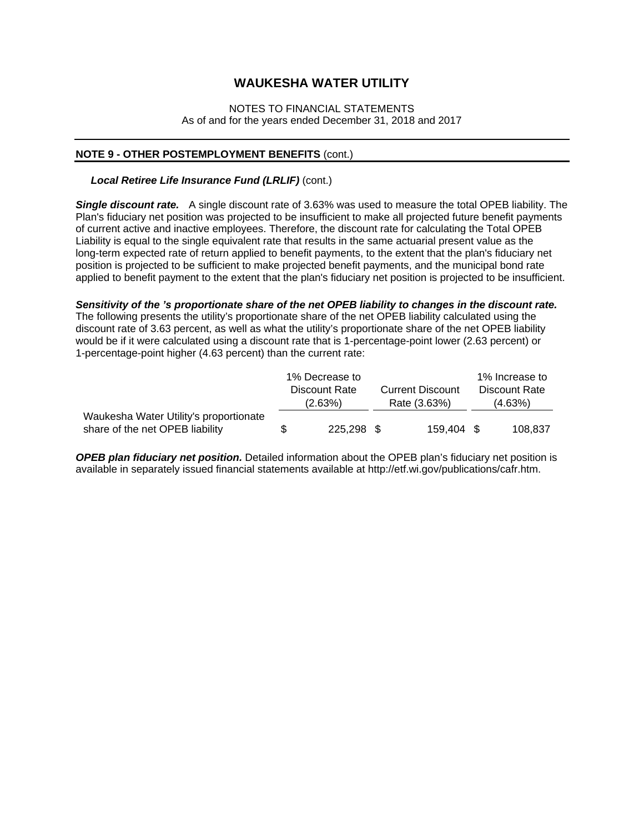#### NOTES TO FINANCIAL STATEMENTS As of and for the years ended December 31, 2018 and 2017

#### **NOTE 9 - OTHER POSTEMPLOYMENT BENEFITS** (cont.)

#### *Local Retiree Life Insurance Fund (LRLIF)* (cont.)

*Single discount rate.* A single discount rate of 3.63% was used to measure the total OPEB liability. The Plan's fiduciary net position was projected to be insufficient to make all projected future benefit payments of current active and inactive employees. Therefore, the discount rate for calculating the Total OPEB Liability is equal to the single equivalent rate that results in the same actuarial present value as the long-term expected rate of return applied to benefit payments, to the extent that the plan's fiduciary net position is projected to be sufficient to make projected benefit payments, and the municipal bond rate applied to benefit payment to the extent that the plan's fiduciary net position is projected to be insufficient.

#### *Sensitivity of the 's proportionate share of the net OPEB liability to changes in the discount rate.*

The following presents the utility's proportionate share of the net OPEB liability calculated using the discount rate of 3.63 percent, as well as what the utility's proportionate share of the net OPEB liability would be if it were calculated using a discount rate that is 1-percentage-point lower (2.63 percent) or 1-percentage-point higher (4.63 percent) than the current rate:

|                                        |               | 1% Decrease to |  |                         | 1% Increase to |               |
|----------------------------------------|---------------|----------------|--|-------------------------|----------------|---------------|
|                                        | Discount Rate |                |  | <b>Current Discount</b> |                | Discount Rate |
|                                        |               | (2.63%)        |  | Rate (3.63%)            |                | (4.63%)       |
| Waukesha Water Utility's proportionate |               |                |  |                         |                |               |
| share of the net OPEB liability        | S             | 225,298 \$     |  | 159.404 \$              |                | 108.837       |

*OPEB plan fiduciary net position.* Detailed information about the OPEB plan's fiduciary net position is available in separately issued financial statements available at http://etf.wi.gov/publications/cafr.htm.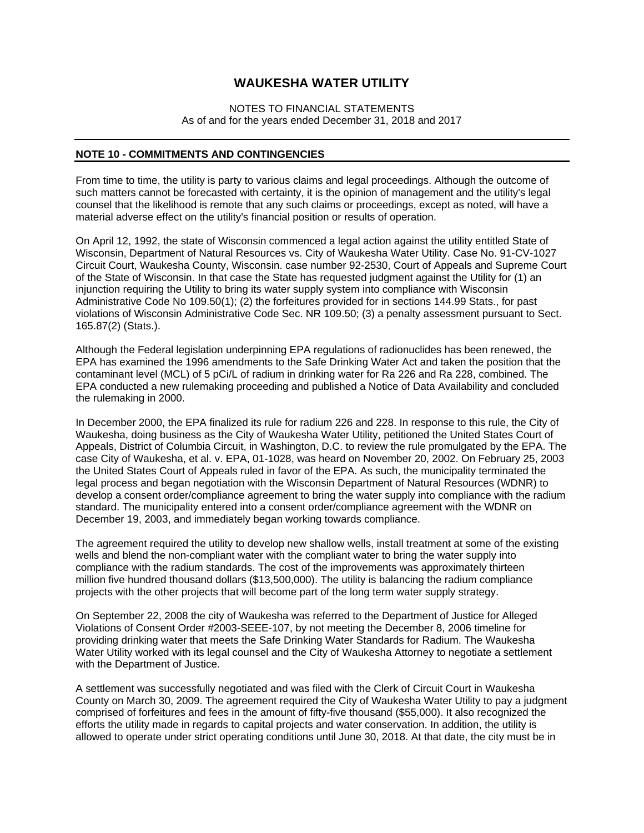#### NOTES TO FINANCIAL STATEMENTS As of and for the years ended December 31, 2018 and 2017

#### **NOTE 10 - COMMITMENTS AND CONTINGENCIES**

From time to time, the utility is party to various claims and legal proceedings. Although the outcome of such matters cannot be forecasted with certainty, it is the opinion of management and the utility's legal counsel that the likelihood is remote that any such claims or proceedings, except as noted, will have a material adverse effect on the utility's financial position or results of operation.

On April 12, 1992, the state of Wisconsin commenced a legal action against the utility entitled State of Wisconsin, Department of Natural Resources vs. City of Waukesha Water Utility. Case No. 91-CV-1027 Circuit Court, Waukesha County, Wisconsin. case number 92-2530, Court of Appeals and Supreme Court of the State of Wisconsin. In that case the State has requested judgment against the Utility for (1) an injunction requiring the Utility to bring its water supply system into compliance with Wisconsin Administrative Code No 109.50(1); (2) the forfeitures provided for in sections 144.99 Stats., for past violations of Wisconsin Administrative Code Sec. NR 109.50; (3) a penalty assessment pursuant to Sect. 165.87(2) (Stats.).

Although the Federal legislation underpinning EPA regulations of radionuclides has been renewed, the EPA has examined the 1996 amendments to the Safe Drinking Water Act and taken the position that the contaminant level (MCL) of 5 pCi/L of radium in drinking water for Ra 226 and Ra 228, combined. The EPA conducted a new rulemaking proceeding and published a Notice of Data Availability and concluded the rulemaking in 2000.

In December 2000, the EPA finalized its rule for radium 226 and 228. In response to this rule, the City of Waukesha, doing business as the City of Waukesha Water Utility, petitioned the United States Court of Appeals, District of Columbia Circuit, in Washington, D.C. to review the rule promulgated by the EPA. The case City of Waukesha, et al. v. EPA, 01-1028, was heard on November 20, 2002. On February 25, 2003 the United States Court of Appeals ruled in favor of the EPA. As such, the municipality terminated the legal process and began negotiation with the Wisconsin Department of Natural Resources (WDNR) to develop a consent order/compliance agreement to bring the water supply into compliance with the radium standard. The municipality entered into a consent order/compliance agreement with the WDNR on December 19, 2003, and immediately began working towards compliance.

The agreement required the utility to develop new shallow wells, install treatment at some of the existing wells and blend the non-compliant water with the compliant water to bring the water supply into compliance with the radium standards. The cost of the improvements was approximately thirteen million five hundred thousand dollars (\$13,500,000). The utility is balancing the radium compliance projects with the other projects that will become part of the long term water supply strategy.

On September 22, 2008 the city of Waukesha was referred to the Department of Justice for Alleged Violations of Consent Order #2003-SEEE-107, by not meeting the December 8, 2006 timeline for providing drinking water that meets the Safe Drinking Water Standards for Radium. The Waukesha Water Utility worked with its legal counsel and the City of Waukesha Attorney to negotiate a settlement with the Department of Justice.

A settlement was successfully negotiated and was filed with the Clerk of Circuit Court in Waukesha County on March 30, 2009. The agreement required the City of Waukesha Water Utility to pay a judgment comprised of forfeitures and fees in the amount of fifty-five thousand (\$55,000). It also recognized the efforts the utility made in regards to capital projects and water conservation. In addition, the utility is allowed to operate under strict operating conditions until June 30, 2018. At that date, the city must be in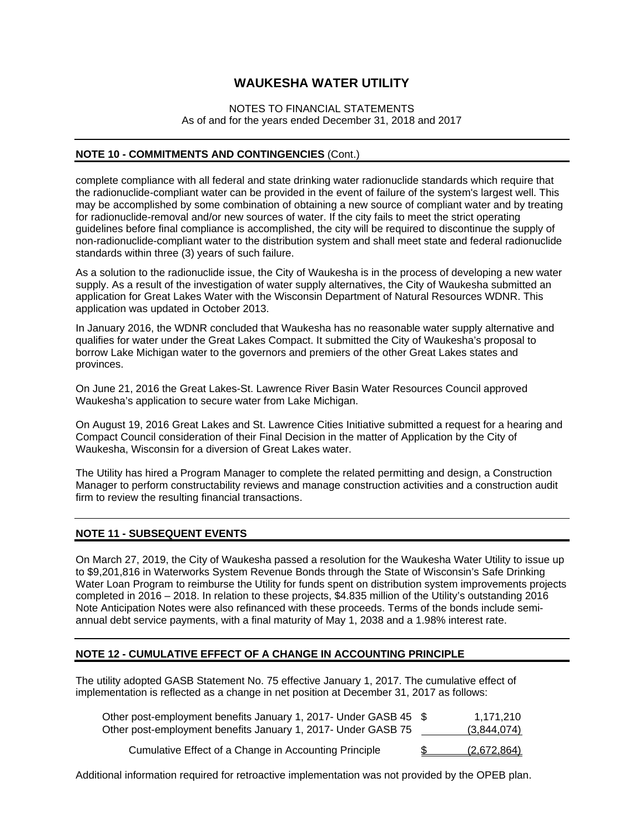#### NOTES TO FINANCIAL STATEMENTS As of and for the years ended December 31, 2018 and 2017

#### **NOTE 10 - COMMITMENTS AND CONTINGENCIES** (Cont.)

complete compliance with all federal and state drinking water radionuclide standards which require that the radionuclide-compliant water can be provided in the event of failure of the system's largest well. This may be accomplished by some combination of obtaining a new source of compliant water and by treating for radionuclide-removal and/or new sources of water. If the city fails to meet the strict operating guidelines before final compliance is accomplished, the city will be required to discontinue the supply of non-radionuclide-compliant water to the distribution system and shall meet state and federal radionuclide standards within three (3) years of such failure.

As a solution to the radionuclide issue, the City of Waukesha is in the process of developing a new water supply. As a result of the investigation of water supply alternatives, the City of Waukesha submitted an application for Great Lakes Water with the Wisconsin Department of Natural Resources WDNR. This application was updated in October 2013.

In January 2016, the WDNR concluded that Waukesha has no reasonable water supply alternative and qualifies for water under the Great Lakes Compact. It submitted the City of Waukesha's proposal to borrow Lake Michigan water to the governors and premiers of the other Great Lakes states and provinces.

On June 21, 2016 the Great Lakes-St. Lawrence River Basin Water Resources Council approved Waukesha's application to secure water from Lake Michigan.

On August 19, 2016 Great Lakes and St. Lawrence Cities Initiative submitted a request for a hearing and Compact Council consideration of their Final Decision in the matter of Application by the City of Waukesha, Wisconsin for a diversion of Great Lakes water.

The Utility has hired a Program Manager to complete the related permitting and design, a Construction Manager to perform constructability reviews and manage construction activities and a construction audit firm to review the resulting financial transactions.

#### **NOTE 11 - SUBSEQUENT EVENTS**

On March 27, 2019, the City of Waukesha passed a resolution for the Waukesha Water Utility to issue up to \$9,201,816 in Waterworks System Revenue Bonds through the State of Wisconsin's Safe Drinking Water Loan Program to reimburse the Utility for funds spent on distribution system improvements projects completed in 2016 – 2018. In relation to these projects, \$4.835 million of the Utility's outstanding 2016 Note Anticipation Notes were also refinanced with these proceeds. Terms of the bonds include semiannual debt service payments, with a final maturity of May 1, 2038 and a 1.98% interest rate.

#### **NOTE 12 - CUMULATIVE EFFECT OF A CHANGE IN ACCOUNTING PRINCIPLE**

The utility adopted GASB Statement No. 75 effective January 1, 2017. The cumulative effect of implementation is reflected as a change in net position at December 31, 2017 as follows:

| Other post-employment benefits January 1, 2017- Under GASB 45 \$<br>Other post-employment benefits January 1, 2017- Under GASB 75 | 1.171.210<br>(3,844,074) |
|-----------------------------------------------------------------------------------------------------------------------------------|--------------------------|
| Cumulative Effect of a Change in Accounting Principle                                                                             | (2,672,864)              |

Additional information required for retroactive implementation was not provided by the OPEB plan.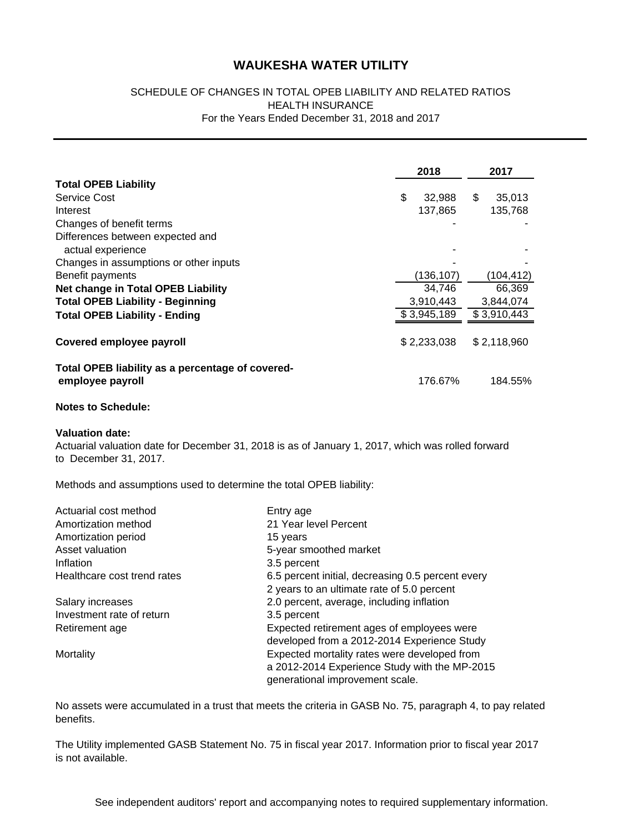### SCHEDULE OF CHANGES IN TOTAL OPEB LIABILITY AND RELATED RATIOS HEALTH INSURANCE For the Years Ended December 31, 2018 and 2017

|                                                                                                                                                      |           | 2018         | 2017         |
|------------------------------------------------------------------------------------------------------------------------------------------------------|-----------|--------------|--------------|
| <b>Total OPEB Liability</b>                                                                                                                          |           |              |              |
| Service Cost                                                                                                                                         |           | \$<br>32,988 | \$<br>35,013 |
| Interest                                                                                                                                             |           | 137,865      | 135,768      |
| Changes of benefit terms                                                                                                                             |           |              |              |
| Differences between expected and<br>actual experience                                                                                                |           |              |              |
| Changes in assumptions or other inputs                                                                                                               |           |              |              |
| Benefit payments                                                                                                                                     |           | (136, 107)   | (104, 412)   |
| <b>Net change in Total OPEB Liability</b>                                                                                                            |           | 34,746       | 66,369       |
| <b>Total OPEB Liability - Beginning</b>                                                                                                              |           | 3,910,443    | 3,844,074    |
| <b>Total OPEB Liability - Ending</b>                                                                                                                 |           | \$3,945,189  | \$3,910,443  |
| <b>Covered employee payroll</b>                                                                                                                      |           | \$2,233,038  | \$2,118,960  |
| Total OPEB liability as a percentage of covered-<br>employee payroll                                                                                 |           | 176.67%      | 184.55%      |
| <b>Notes to Schedule:</b>                                                                                                                            |           |              |              |
| <b>Valuation date:</b><br>Actuarial valuation date for December 31, 2018 is as of January 1, 2017, which was rolled forward<br>to December 31, 2017. |           |              |              |
| Methods and assumptions used to determine the total OPEB liability:                                                                                  |           |              |              |
| Actuarial cost method                                                                                                                                | Entry age |              |              |

| Actuarial cost method       | Entry age                                         |
|-----------------------------|---------------------------------------------------|
| Amortization method         | 21 Year level Percent                             |
| Amortization period         | 15 years                                          |
| Asset valuation             | 5-year smoothed market                            |
| Inflation                   | 3.5 percent                                       |
| Healthcare cost trend rates | 6.5 percent initial, decreasing 0.5 percent every |
|                             | 2 years to an ultimate rate of 5.0 percent        |
| Salary increases            | 2.0 percent, average, including inflation         |
| Investment rate of return   | 3.5 percent                                       |
| Retirement age              | Expected retirement ages of employees were        |
|                             | developed from a 2012-2014 Experience Study       |
| Mortality                   | Expected mortality rates were developed from      |
|                             | a 2012-2014 Experience Study with the MP-2015     |
|                             | generational improvement scale.                   |

No assets were accumulated in a trust that meets the criteria in GASB No. 75, paragraph 4, to pay related benefits.

The Utility implemented GASB Statement No. 75 in fiscal year 2017. Information prior to fiscal year 2017 is not available.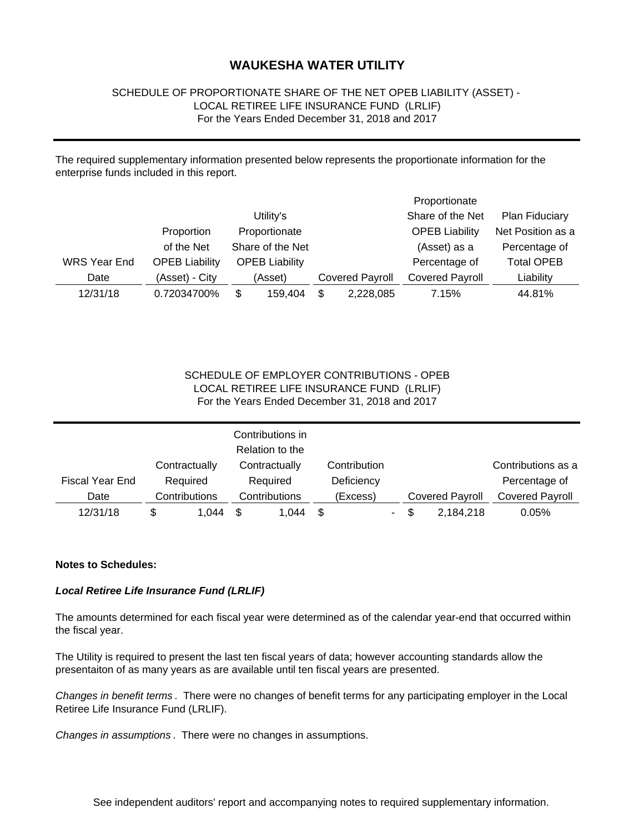### SCHEDULE OF PROPORTIONATE SHARE OF THE NET OPEB LIABILITY (ASSET) - LOCAL RETIREE LIFE INSURANCE FUND (LRLIF) For the Years Ended December 31, 2018 and 2017

The required supplementary information presented below represents the proportionate information for the enterprise funds included in this report.

|                     |                       |                       |                        | Proportionate          |                   |
|---------------------|-----------------------|-----------------------|------------------------|------------------------|-------------------|
|                     |                       | Utility's             |                        | Share of the Net       | Plan Fiduciary    |
|                     | Proportion            | Proportionate         |                        | <b>OPEB Liability</b>  | Net Position as a |
|                     | of the Net            | Share of the Net      |                        | (Asset) as a           | Percentage of     |
| <b>WRS Year End</b> | <b>OPEB Liability</b> | <b>OPEB Liability</b> |                        | Percentage of          | <b>Total OPEB</b> |
| Date                | (Asset) - City        | (Asset)               | <b>Covered Payroll</b> | <b>Covered Payroll</b> | Liability         |
| 12/31/18            | 0.72034700%           | \$<br>159.404         | \$<br>2,228,085        | 7.15%                  | 44.81%            |

### LOCAL RETIREE LIFE INSURANCE FUND (LRLIF) SCHEDULE OF EMPLOYER CONTRIBUTIONS - OPEB For the Years Ended December 31, 2018 and 2017

|                        |   |               | Contributions in<br>Relation to the |   |              |   |   |                        |                        |
|------------------------|---|---------------|-------------------------------------|---|--------------|---|---|------------------------|------------------------|
|                        |   | Contractually | Contractually                       |   | Contribution |   |   |                        | Contributions as a     |
| <b>Fiscal Year End</b> |   | Required      | Required                            |   | Deficiency   |   |   |                        | Percentage of          |
| Date                   |   | Contributions | Contributions                       |   | (Excess)     |   |   | <b>Covered Payroll</b> | <b>Covered Payroll</b> |
| 12/31/18               | S | 1.044         | 1,044                               | S |              | ۰ | S | 2,184,218              | 0.05%                  |

#### **Notes to Schedules:**

### *Local Retiree Life Insurance Fund (LRLIF)*

The amounts determined for each fiscal year were determined as of the calendar year-end that occurred within the fiscal year.

The Utility is required to present the last ten fiscal years of data; however accounting standards allow the presentaiton of as many years as are available until ten fiscal years are presented.

*Changes in benefit terms* . There were no changes of benefit terms for any participating employer in the Local Retiree Life Insurance Fund (LRLIF).

*Changes in assumptions* . There were no changes in assumptions.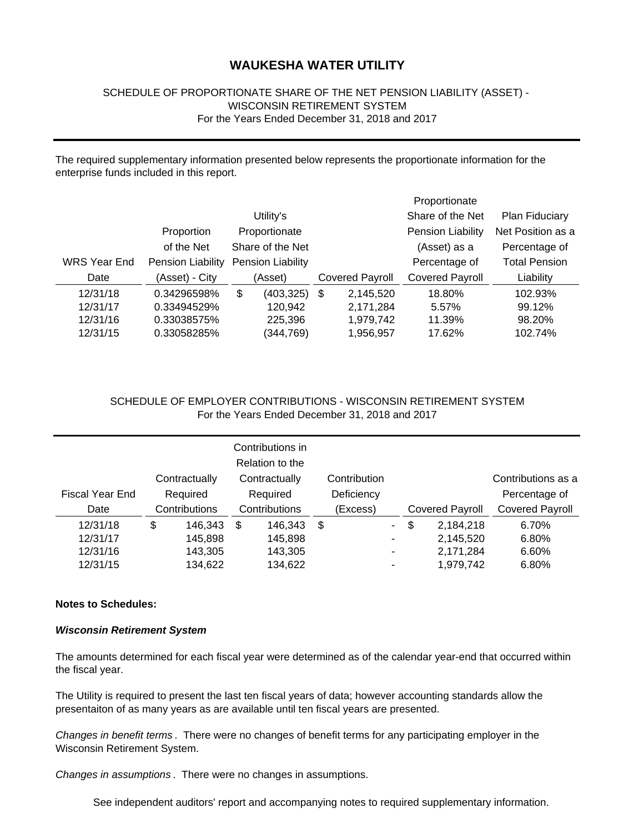### SCHEDULE OF PROPORTIONATE SHARE OF THE NET PENSION LIABILITY (ASSET) - WISCONSIN RETIREMENT SYSTEM For the Years Ended December 31, 2018 and 2017

The required supplementary information presented below represents the proportionate information for the enterprise funds included in this report.

|              |                   |                  |                   |      |           | Proportionate            |                       |  |                        |                        |           |
|--------------|-------------------|------------------|-------------------|------|-----------|--------------------------|-----------------------|--|------------------------|------------------------|-----------|
|              |                   |                  | Utility's         |      |           | Share of the Net         | <b>Plan Fiduciary</b> |  |                        |                        |           |
|              | Proportion        |                  | Proportionate     |      |           | <b>Pension Liability</b> | Net Position as a     |  |                        |                        |           |
|              | of the Net        | Share of the Net |                   |      |           | (Asset) as a             | Percentage of         |  |                        |                        |           |
| WRS Year End | Pension Liability |                  | Pension Liability |      |           | Percentage of            | <b>Total Pension</b>  |  |                        |                        |           |
| Date         | (Asset) - City    |                  | (Asset)           |      |           |                          |                       |  | <b>Covered Payroll</b> | <b>Covered Payroll</b> | Liability |
| 12/31/18     | 0.34296598%       | \$               | (403, 325)        | - \$ | 2,145,520 | 18.80%                   | 102.93%               |  |                        |                        |           |
| 12/31/17     | 0.33494529%       |                  | 120,942           |      | 2,171,284 | 5.57%                    | 99.12%                |  |                        |                        |           |
| 12/31/16     | 0.33038575%       |                  | 225,396           |      | 1,979,742 | 11.39%                   | 98.20%                |  |                        |                        |           |
| 12/31/15     | 0.33058285%       |                  | (344,769)         |      | 1,956,957 | 17.62%                   | 102.74%               |  |                        |                        |           |

### SCHEDULE OF EMPLOYER CONTRIBUTIONS - WISCONSIN RETIREMENT SYSTEM For the Years Ended December 31, 2018 and 2017

|                 | Contractually |               | Contributions in<br>Relation to the<br>Contractually |            | Contribution |        |                        |           | Contributions as a     |
|-----------------|---------------|---------------|------------------------------------------------------|------------|--------------|--------|------------------------|-----------|------------------------|
| Fiscal Year End | Required      | Required      |                                                      | Deficiency |              |        |                        |           | Percentage of          |
| Date            | Contributions | Contributions |                                                      | (Excess)   |              |        | <b>Covered Payroll</b> |           | <b>Covered Payroll</b> |
| 12/31/18        | \$<br>146.343 | \$            | 146.343                                              | \$         |              | $\sim$ | \$                     | 2,184,218 | 6.70%                  |
| 12/31/17        | 145,898       |               | 145,898                                              |            |              | -      |                        | 2,145,520 | 6.80%                  |
| 12/31/16        | 143.305       |               | 143,305                                              |            |              | ٠      |                        | 2,171,284 | 6.60%                  |
| 12/31/15        | 134,622       |               | 134,622                                              |            |              |        |                        | 1,979,742 | 6.80%                  |

#### **Notes to Schedules:**

#### *Wisconsin Retirement System*

The amounts determined for each fiscal year were determined as of the calendar year-end that occurred within the fiscal year.

The Utility is required to present the last ten fiscal years of data; however accounting standards allow the presentaiton of as many years as are available until ten fiscal years are presented.

*Changes in benefit terms* . There were no changes of benefit terms for any participating employer in the Wisconsin Retirement System.

*Changes in assumptions* . There were no changes in assumptions.

See independent auditors' report and accompanying notes to required supplementary information.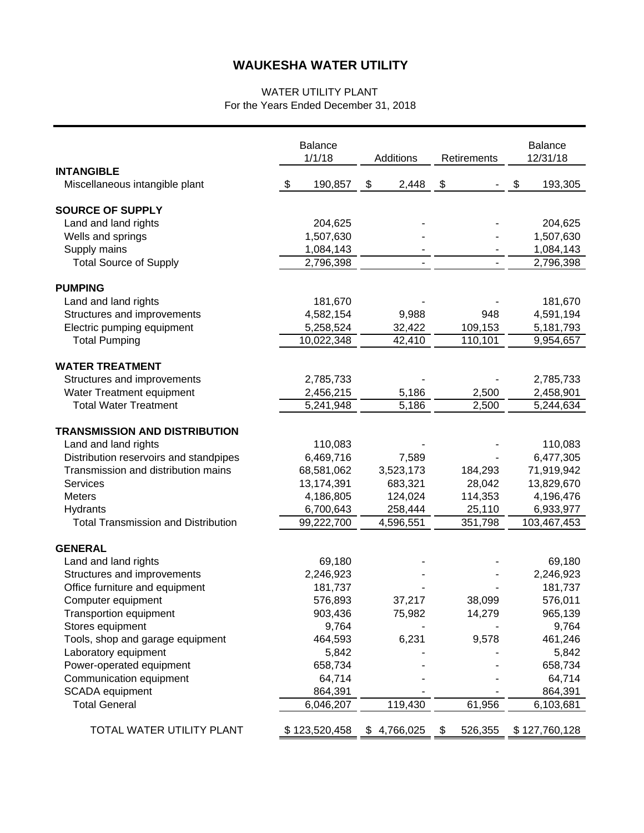### WATER UTILITY PLANT For the Years Ended December 31, 2018

|                                                        |     | <b>Balance</b><br>1/1/18 | Additions   | Retirements        | <b>Balance</b><br>12/31/18 |
|--------------------------------------------------------|-----|--------------------------|-------------|--------------------|----------------------------|
| <b>INTANGIBLE</b>                                      |     |                          |             |                    |                            |
| Miscellaneous intangible plant                         | -\$ | 190,857                  | \$<br>2,448 | \$                 | \$<br>193,305              |
| <b>SOURCE OF SUPPLY</b>                                |     |                          |             |                    |                            |
| Land and land rights                                   |     | 204,625                  |             |                    | 204,625                    |
| Wells and springs                                      |     | 1,507,630                |             |                    | 1,507,630                  |
| Supply mains                                           |     | 1,084,143                |             |                    | 1,084,143                  |
| <b>Total Source of Supply</b>                          |     | 2,796,398                |             |                    | 2,796,398                  |
| <b>PUMPING</b>                                         |     |                          |             |                    |                            |
| Land and land rights                                   |     | 181,670                  |             |                    | 181,670                    |
| Structures and improvements                            |     | 4,582,154                | 9,988       | 948                | 4,591,194                  |
| Electric pumping equipment                             |     | 5,258,524                | 32,422      | 109,153            | 5,181,793                  |
| <b>Total Pumping</b>                                   |     | 10,022,348               | 42,410      | 110,101            | 9,954,657                  |
| <b>WATER TREATMENT</b>                                 |     |                          |             |                    |                            |
| Structures and improvements                            |     | 2,785,733                |             |                    | 2,785,733                  |
| Water Treatment equipment                              |     | 2,456,215                | 5,186       | 2,500              | 2,458,901                  |
| <b>Total Water Treatment</b>                           |     | 5,241,948                | 5,186       | $\overline{2,}500$ | 5,244,634                  |
|                                                        |     |                          |             |                    |                            |
| <b>TRANSMISSION AND DISTRIBUTION</b>                   |     |                          |             |                    |                            |
| Land and land rights                                   |     | 110,083                  |             |                    | 110,083                    |
| Distribution reservoirs and standpipes                 |     | 6,469,716                | 7,589       |                    | 6,477,305                  |
| Transmission and distribution mains                    |     | 68,581,062               | 3,523,173   | 184,293            | 71,919,942                 |
| Services                                               |     | 13,174,391               | 683,321     | 28,042             | 13,829,670                 |
| <b>Meters</b>                                          |     | 4,186,805                | 124,024     | 114,353            | 4,196,476                  |
| Hydrants<br><b>Total Transmission and Distribution</b> |     | 6,700,643                | 258,444     | 25,110             | 6,933,977                  |
|                                                        |     | 99,222,700               | 4,596,551   | 351,798            | 103,467,453                |
| <b>GENERAL</b>                                         |     |                          |             |                    |                            |
| Land and land rights                                   |     | 69,180                   |             |                    | 69,180                     |
| Structures and improvements                            |     | 2,246,923                |             |                    | 2,246,923                  |
| Office furniture and equipment                         |     | 181,737                  |             |                    | 181,737                    |
| Computer equipment                                     |     | 576,893                  | 37,217      | 38,099             | 576,011                    |
| <b>Transportion equipment</b>                          |     | 903,436                  | 75,982      | 14,279             | 965,139                    |
| Stores equipment                                       |     | 9,764                    |             |                    | 9,764                      |
| Tools, shop and garage equipment                       |     | 464,593                  | 6,231       | 9,578              | 461,246                    |
| Laboratory equipment                                   |     | 5,842                    |             |                    | 5,842                      |
| Power-operated equipment                               |     | 658,734                  |             |                    | 658,734                    |
| Communication equipment                                |     | 64,714                   |             |                    | 64,714                     |
| <b>SCADA</b> equipment                                 |     | 864,391                  |             |                    | 864,391                    |
| <b>Total General</b>                                   |     | 6,046,207                | 119,430     | 61,956             | 6,103,681                  |
| TOTAL WATER UTILITY PLANT                              |     | \$123,520,458            | \$4,766,025 | \$<br>526,355      | \$127,760,128              |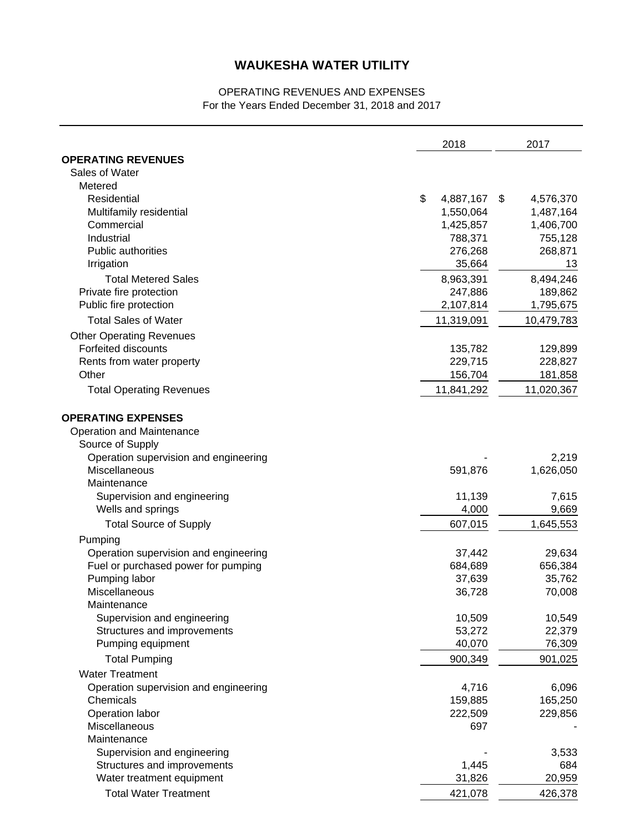## OPERATING REVENUES AND EXPENSES For the Years Ended December 31, 2018 and 2017

| <b>OPERATING REVENUES</b><br>Sales of Water<br>Metered<br>\$<br>Residential<br>4,887,167<br>4,576,370<br>\$<br>Multifamily residential<br>1,550,064<br>1,487,164<br>Commercial<br>1,425,857<br>1,406,700<br>Industrial<br>788,371<br>755,128<br><b>Public authorities</b><br>276,268<br>268,871<br>35,664<br>Irrigation<br>13<br>8,963,391<br>8,494,246<br><b>Total Metered Sales</b><br>Private fire protection<br>247,886<br>189,862<br>Public fire protection<br>2,107,814<br>1,795,675<br><b>Total Sales of Water</b><br>11,319,091<br>10,479,783<br><b>Other Operating Revenues</b><br>Forfeited discounts<br>135,782<br>129,899<br>229,715<br>228,827<br>Rents from water property<br>Other<br>156,704<br>181,858<br><b>Total Operating Revenues</b><br>11,841,292<br>11,020,367<br><b>OPERATING EXPENSES</b><br>Operation and Maintenance<br>Source of Supply<br>Operation supervision and engineering<br>2,219<br><b>Miscellaneous</b><br>591,876<br>1,626,050<br>Maintenance<br>Supervision and engineering<br>11,139<br>7,615<br>Wells and springs<br>4,000<br>9,669<br><b>Total Source of Supply</b><br>607,015<br>1,645,553<br>Pumping<br>Operation supervision and engineering<br>29,634<br>37,442<br>Fuel or purchased power for pumping<br>684,689<br>656,384<br>Pumping labor<br>35,762<br>37,639<br>Miscellaneous<br>70,008<br>36,728<br>Maintenance<br>10,509<br>10,549<br>Supervision and engineering<br>22,379<br>Structures and improvements<br>53,272<br>Pumping equipment<br>40,070<br>76,309<br><b>Total Pumping</b><br>900,349<br>901,025<br><b>Water Treatment</b><br>Operation supervision and engineering<br>4,716<br>6,096<br>Chemicals<br>159,885<br>165,250<br>Operation labor<br>222,509<br>229,856<br>Miscellaneous<br>697<br>Maintenance<br>Supervision and engineering<br>3,533<br>Structures and improvements<br>1,445<br>684<br>Water treatment equipment<br>31,826<br>20,959 |                              | 2018    |  | 2017    |  |
|--------------------------------------------------------------------------------------------------------------------------------------------------------------------------------------------------------------------------------------------------------------------------------------------------------------------------------------------------------------------------------------------------------------------------------------------------------------------------------------------------------------------------------------------------------------------------------------------------------------------------------------------------------------------------------------------------------------------------------------------------------------------------------------------------------------------------------------------------------------------------------------------------------------------------------------------------------------------------------------------------------------------------------------------------------------------------------------------------------------------------------------------------------------------------------------------------------------------------------------------------------------------------------------------------------------------------------------------------------------------------------------------------------------------------------------------------------------------------------------------------------------------------------------------------------------------------------------------------------------------------------------------------------------------------------------------------------------------------------------------------------------------------------------------------------------------------------------------------------------------------------------------------------------------|------------------------------|---------|--|---------|--|
|                                                                                                                                                                                                                                                                                                                                                                                                                                                                                                                                                                                                                                                                                                                                                                                                                                                                                                                                                                                                                                                                                                                                                                                                                                                                                                                                                                                                                                                                                                                                                                                                                                                                                                                                                                                                                                                                                                                    |                              |         |  |         |  |
|                                                                                                                                                                                                                                                                                                                                                                                                                                                                                                                                                                                                                                                                                                                                                                                                                                                                                                                                                                                                                                                                                                                                                                                                                                                                                                                                                                                                                                                                                                                                                                                                                                                                                                                                                                                                                                                                                                                    |                              |         |  |         |  |
|                                                                                                                                                                                                                                                                                                                                                                                                                                                                                                                                                                                                                                                                                                                                                                                                                                                                                                                                                                                                                                                                                                                                                                                                                                                                                                                                                                                                                                                                                                                                                                                                                                                                                                                                                                                                                                                                                                                    |                              |         |  |         |  |
|                                                                                                                                                                                                                                                                                                                                                                                                                                                                                                                                                                                                                                                                                                                                                                                                                                                                                                                                                                                                                                                                                                                                                                                                                                                                                                                                                                                                                                                                                                                                                                                                                                                                                                                                                                                                                                                                                                                    |                              |         |  |         |  |
|                                                                                                                                                                                                                                                                                                                                                                                                                                                                                                                                                                                                                                                                                                                                                                                                                                                                                                                                                                                                                                                                                                                                                                                                                                                                                                                                                                                                                                                                                                                                                                                                                                                                                                                                                                                                                                                                                                                    |                              |         |  |         |  |
|                                                                                                                                                                                                                                                                                                                                                                                                                                                                                                                                                                                                                                                                                                                                                                                                                                                                                                                                                                                                                                                                                                                                                                                                                                                                                                                                                                                                                                                                                                                                                                                                                                                                                                                                                                                                                                                                                                                    |                              |         |  |         |  |
|                                                                                                                                                                                                                                                                                                                                                                                                                                                                                                                                                                                                                                                                                                                                                                                                                                                                                                                                                                                                                                                                                                                                                                                                                                                                                                                                                                                                                                                                                                                                                                                                                                                                                                                                                                                                                                                                                                                    |                              |         |  |         |  |
|                                                                                                                                                                                                                                                                                                                                                                                                                                                                                                                                                                                                                                                                                                                                                                                                                                                                                                                                                                                                                                                                                                                                                                                                                                                                                                                                                                                                                                                                                                                                                                                                                                                                                                                                                                                                                                                                                                                    |                              |         |  |         |  |
|                                                                                                                                                                                                                                                                                                                                                                                                                                                                                                                                                                                                                                                                                                                                                                                                                                                                                                                                                                                                                                                                                                                                                                                                                                                                                                                                                                                                                                                                                                                                                                                                                                                                                                                                                                                                                                                                                                                    |                              |         |  |         |  |
|                                                                                                                                                                                                                                                                                                                                                                                                                                                                                                                                                                                                                                                                                                                                                                                                                                                                                                                                                                                                                                                                                                                                                                                                                                                                                                                                                                                                                                                                                                                                                                                                                                                                                                                                                                                                                                                                                                                    |                              |         |  |         |  |
|                                                                                                                                                                                                                                                                                                                                                                                                                                                                                                                                                                                                                                                                                                                                                                                                                                                                                                                                                                                                                                                                                                                                                                                                                                                                                                                                                                                                                                                                                                                                                                                                                                                                                                                                                                                                                                                                                                                    |                              |         |  |         |  |
|                                                                                                                                                                                                                                                                                                                                                                                                                                                                                                                                                                                                                                                                                                                                                                                                                                                                                                                                                                                                                                                                                                                                                                                                                                                                                                                                                                                                                                                                                                                                                                                                                                                                                                                                                                                                                                                                                                                    |                              |         |  |         |  |
|                                                                                                                                                                                                                                                                                                                                                                                                                                                                                                                                                                                                                                                                                                                                                                                                                                                                                                                                                                                                                                                                                                                                                                                                                                                                                                                                                                                                                                                                                                                                                                                                                                                                                                                                                                                                                                                                                                                    |                              |         |  |         |  |
|                                                                                                                                                                                                                                                                                                                                                                                                                                                                                                                                                                                                                                                                                                                                                                                                                                                                                                                                                                                                                                                                                                                                                                                                                                                                                                                                                                                                                                                                                                                                                                                                                                                                                                                                                                                                                                                                                                                    |                              |         |  |         |  |
|                                                                                                                                                                                                                                                                                                                                                                                                                                                                                                                                                                                                                                                                                                                                                                                                                                                                                                                                                                                                                                                                                                                                                                                                                                                                                                                                                                                                                                                                                                                                                                                                                                                                                                                                                                                                                                                                                                                    |                              |         |  |         |  |
|                                                                                                                                                                                                                                                                                                                                                                                                                                                                                                                                                                                                                                                                                                                                                                                                                                                                                                                                                                                                                                                                                                                                                                                                                                                                                                                                                                                                                                                                                                                                                                                                                                                                                                                                                                                                                                                                                                                    |                              |         |  |         |  |
|                                                                                                                                                                                                                                                                                                                                                                                                                                                                                                                                                                                                                                                                                                                                                                                                                                                                                                                                                                                                                                                                                                                                                                                                                                                                                                                                                                                                                                                                                                                                                                                                                                                                                                                                                                                                                                                                                                                    |                              |         |  |         |  |
|                                                                                                                                                                                                                                                                                                                                                                                                                                                                                                                                                                                                                                                                                                                                                                                                                                                                                                                                                                                                                                                                                                                                                                                                                                                                                                                                                                                                                                                                                                                                                                                                                                                                                                                                                                                                                                                                                                                    |                              |         |  |         |  |
|                                                                                                                                                                                                                                                                                                                                                                                                                                                                                                                                                                                                                                                                                                                                                                                                                                                                                                                                                                                                                                                                                                                                                                                                                                                                                                                                                                                                                                                                                                                                                                                                                                                                                                                                                                                                                                                                                                                    |                              |         |  |         |  |
|                                                                                                                                                                                                                                                                                                                                                                                                                                                                                                                                                                                                                                                                                                                                                                                                                                                                                                                                                                                                                                                                                                                                                                                                                                                                                                                                                                                                                                                                                                                                                                                                                                                                                                                                                                                                                                                                                                                    |                              |         |  |         |  |
|                                                                                                                                                                                                                                                                                                                                                                                                                                                                                                                                                                                                                                                                                                                                                                                                                                                                                                                                                                                                                                                                                                                                                                                                                                                                                                                                                                                                                                                                                                                                                                                                                                                                                                                                                                                                                                                                                                                    |                              |         |  |         |  |
|                                                                                                                                                                                                                                                                                                                                                                                                                                                                                                                                                                                                                                                                                                                                                                                                                                                                                                                                                                                                                                                                                                                                                                                                                                                                                                                                                                                                                                                                                                                                                                                                                                                                                                                                                                                                                                                                                                                    |                              |         |  |         |  |
|                                                                                                                                                                                                                                                                                                                                                                                                                                                                                                                                                                                                                                                                                                                                                                                                                                                                                                                                                                                                                                                                                                                                                                                                                                                                                                                                                                                                                                                                                                                                                                                                                                                                                                                                                                                                                                                                                                                    |                              |         |  |         |  |
|                                                                                                                                                                                                                                                                                                                                                                                                                                                                                                                                                                                                                                                                                                                                                                                                                                                                                                                                                                                                                                                                                                                                                                                                                                                                                                                                                                                                                                                                                                                                                                                                                                                                                                                                                                                                                                                                                                                    |                              |         |  |         |  |
|                                                                                                                                                                                                                                                                                                                                                                                                                                                                                                                                                                                                                                                                                                                                                                                                                                                                                                                                                                                                                                                                                                                                                                                                                                                                                                                                                                                                                                                                                                                                                                                                                                                                                                                                                                                                                                                                                                                    |                              |         |  |         |  |
|                                                                                                                                                                                                                                                                                                                                                                                                                                                                                                                                                                                                                                                                                                                                                                                                                                                                                                                                                                                                                                                                                                                                                                                                                                                                                                                                                                                                                                                                                                                                                                                                                                                                                                                                                                                                                                                                                                                    |                              |         |  |         |  |
|                                                                                                                                                                                                                                                                                                                                                                                                                                                                                                                                                                                                                                                                                                                                                                                                                                                                                                                                                                                                                                                                                                                                                                                                                                                                                                                                                                                                                                                                                                                                                                                                                                                                                                                                                                                                                                                                                                                    |                              |         |  |         |  |
|                                                                                                                                                                                                                                                                                                                                                                                                                                                                                                                                                                                                                                                                                                                                                                                                                                                                                                                                                                                                                                                                                                                                                                                                                                                                                                                                                                                                                                                                                                                                                                                                                                                                                                                                                                                                                                                                                                                    |                              |         |  |         |  |
|                                                                                                                                                                                                                                                                                                                                                                                                                                                                                                                                                                                                                                                                                                                                                                                                                                                                                                                                                                                                                                                                                                                                                                                                                                                                                                                                                                                                                                                                                                                                                                                                                                                                                                                                                                                                                                                                                                                    |                              |         |  |         |  |
|                                                                                                                                                                                                                                                                                                                                                                                                                                                                                                                                                                                                                                                                                                                                                                                                                                                                                                                                                                                                                                                                                                                                                                                                                                                                                                                                                                                                                                                                                                                                                                                                                                                                                                                                                                                                                                                                                                                    |                              |         |  |         |  |
|                                                                                                                                                                                                                                                                                                                                                                                                                                                                                                                                                                                                                                                                                                                                                                                                                                                                                                                                                                                                                                                                                                                                                                                                                                                                                                                                                                                                                                                                                                                                                                                                                                                                                                                                                                                                                                                                                                                    |                              |         |  |         |  |
|                                                                                                                                                                                                                                                                                                                                                                                                                                                                                                                                                                                                                                                                                                                                                                                                                                                                                                                                                                                                                                                                                                                                                                                                                                                                                                                                                                                                                                                                                                                                                                                                                                                                                                                                                                                                                                                                                                                    |                              |         |  |         |  |
|                                                                                                                                                                                                                                                                                                                                                                                                                                                                                                                                                                                                                                                                                                                                                                                                                                                                                                                                                                                                                                                                                                                                                                                                                                                                                                                                                                                                                                                                                                                                                                                                                                                                                                                                                                                                                                                                                                                    |                              |         |  |         |  |
|                                                                                                                                                                                                                                                                                                                                                                                                                                                                                                                                                                                                                                                                                                                                                                                                                                                                                                                                                                                                                                                                                                                                                                                                                                                                                                                                                                                                                                                                                                                                                                                                                                                                                                                                                                                                                                                                                                                    |                              |         |  |         |  |
|                                                                                                                                                                                                                                                                                                                                                                                                                                                                                                                                                                                                                                                                                                                                                                                                                                                                                                                                                                                                                                                                                                                                                                                                                                                                                                                                                                                                                                                                                                                                                                                                                                                                                                                                                                                                                                                                                                                    |                              |         |  |         |  |
|                                                                                                                                                                                                                                                                                                                                                                                                                                                                                                                                                                                                                                                                                                                                                                                                                                                                                                                                                                                                                                                                                                                                                                                                                                                                                                                                                                                                                                                                                                                                                                                                                                                                                                                                                                                                                                                                                                                    |                              |         |  |         |  |
|                                                                                                                                                                                                                                                                                                                                                                                                                                                                                                                                                                                                                                                                                                                                                                                                                                                                                                                                                                                                                                                                                                                                                                                                                                                                                                                                                                                                                                                                                                                                                                                                                                                                                                                                                                                                                                                                                                                    |                              |         |  |         |  |
|                                                                                                                                                                                                                                                                                                                                                                                                                                                                                                                                                                                                                                                                                                                                                                                                                                                                                                                                                                                                                                                                                                                                                                                                                                                                                                                                                                                                                                                                                                                                                                                                                                                                                                                                                                                                                                                                                                                    |                              |         |  |         |  |
|                                                                                                                                                                                                                                                                                                                                                                                                                                                                                                                                                                                                                                                                                                                                                                                                                                                                                                                                                                                                                                                                                                                                                                                                                                                                                                                                                                                                                                                                                                                                                                                                                                                                                                                                                                                                                                                                                                                    |                              |         |  |         |  |
|                                                                                                                                                                                                                                                                                                                                                                                                                                                                                                                                                                                                                                                                                                                                                                                                                                                                                                                                                                                                                                                                                                                                                                                                                                                                                                                                                                                                                                                                                                                                                                                                                                                                                                                                                                                                                                                                                                                    |                              |         |  |         |  |
|                                                                                                                                                                                                                                                                                                                                                                                                                                                                                                                                                                                                                                                                                                                                                                                                                                                                                                                                                                                                                                                                                                                                                                                                                                                                                                                                                                                                                                                                                                                                                                                                                                                                                                                                                                                                                                                                                                                    |                              |         |  |         |  |
|                                                                                                                                                                                                                                                                                                                                                                                                                                                                                                                                                                                                                                                                                                                                                                                                                                                                                                                                                                                                                                                                                                                                                                                                                                                                                                                                                                                                                                                                                                                                                                                                                                                                                                                                                                                                                                                                                                                    |                              |         |  |         |  |
|                                                                                                                                                                                                                                                                                                                                                                                                                                                                                                                                                                                                                                                                                                                                                                                                                                                                                                                                                                                                                                                                                                                                                                                                                                                                                                                                                                                                                                                                                                                                                                                                                                                                                                                                                                                                                                                                                                                    |                              |         |  |         |  |
|                                                                                                                                                                                                                                                                                                                                                                                                                                                                                                                                                                                                                                                                                                                                                                                                                                                                                                                                                                                                                                                                                                                                                                                                                                                                                                                                                                                                                                                                                                                                                                                                                                                                                                                                                                                                                                                                                                                    |                              |         |  |         |  |
|                                                                                                                                                                                                                                                                                                                                                                                                                                                                                                                                                                                                                                                                                                                                                                                                                                                                                                                                                                                                                                                                                                                                                                                                                                                                                                                                                                                                                                                                                                                                                                                                                                                                                                                                                                                                                                                                                                                    |                              |         |  |         |  |
|                                                                                                                                                                                                                                                                                                                                                                                                                                                                                                                                                                                                                                                                                                                                                                                                                                                                                                                                                                                                                                                                                                                                                                                                                                                                                                                                                                                                                                                                                                                                                                                                                                                                                                                                                                                                                                                                                                                    |                              |         |  |         |  |
|                                                                                                                                                                                                                                                                                                                                                                                                                                                                                                                                                                                                                                                                                                                                                                                                                                                                                                                                                                                                                                                                                                                                                                                                                                                                                                                                                                                                                                                                                                                                                                                                                                                                                                                                                                                                                                                                                                                    |                              |         |  |         |  |
|                                                                                                                                                                                                                                                                                                                                                                                                                                                                                                                                                                                                                                                                                                                                                                                                                                                                                                                                                                                                                                                                                                                                                                                                                                                                                                                                                                                                                                                                                                                                                                                                                                                                                                                                                                                                                                                                                                                    |                              |         |  |         |  |
|                                                                                                                                                                                                                                                                                                                                                                                                                                                                                                                                                                                                                                                                                                                                                                                                                                                                                                                                                                                                                                                                                                                                                                                                                                                                                                                                                                                                                                                                                                                                                                                                                                                                                                                                                                                                                                                                                                                    | <b>Total Water Treatment</b> | 421,078 |  | 426,378 |  |